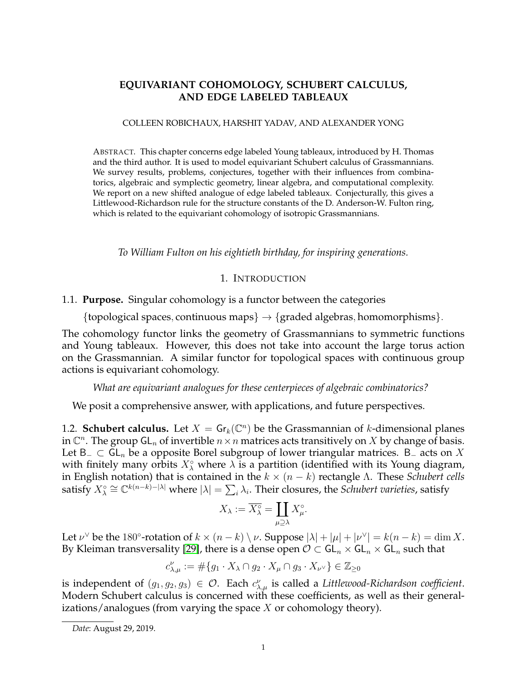# **EQUIVARIANT COHOMOLOGY, SCHUBERT CALCULUS, AND EDGE LABELED TABLEAUX**

### COLLEEN ROBICHAUX, HARSHIT YADAV, AND ALEXANDER YONG

ABSTRACT. This chapter concerns edge labeled Young tableaux, introduced by H. Thomas and the third author. It is used to model equivariant Schubert calculus of Grassmannians. We survey results, problems, conjectures, together with their influences from combinatorics, algebraic and symplectic geometry, linear algebra, and computational complexity. We report on a new shifted analogue of edge labeled tableaux. Conjecturally, this gives a Littlewood-Richardson rule for the structure constants of the D. Anderson-W. Fulton ring, which is related to the equivariant cohomology of isotropic Grassmannians.

*To William Fulton on his eightieth birthday, for inspiring generations.*

# 1. INTRODUCTION

## <span id="page-0-0"></span>1.1. **Purpose.** Singular cohomology is a functor between the categories

{topological spaces, continuous maps}  $\rightarrow$  {graded algebras, homomorphisms}.

The cohomology functor links the geometry of Grassmannians to symmetric functions and Young tableaux. However, this does not take into account the large torus action on the Grassmannian. A similar functor for topological spaces with continuous group actions is equivariant cohomology.

*What are equivariant analogues for these centerpieces of algebraic combinatorics?*

We posit a comprehensive answer, with applications, and future perspectives.

1.2. **Schubert calculus.** Let  $X = \mathsf{Gr}_k(\mathbb{C}^n)$  be the Grassmannian of k-dimensional planes in  $\mathbb{C}^n.$  The group GL $_n$  of invertible  $n\times n$  matrices acts transitively on  $X$  by change of basis. Let B<sub>−</sub> ⊂ GL<sub>n</sub> be a opposite Borel subgroup of lower triangular matrices. B<sub>−</sub> acts on X with finitely many orbits  $X^{\circ}_{\lambda}$  where  $\lambda$  is a partition (identified with its Young diagram, in English notation) that is contained in the  $k \times (n - k)$  rectangle Λ. These *Schubert cells* satisfy  $X^\circ_\lambda\cong\mathbb{C}^{k(n-k)-|\lambda|}$  where  $|\lambda|=\sum_i\lambda_i.$  Their closures, the *Schubert varieties*, satisfy

$$
X_{\lambda} := \overline{X_{\lambda}^{\circ}} = \coprod_{\mu \supseteq \lambda} X_{\mu}^{\circ}.
$$

Let  $\nu^{\vee}$  be the 180°-rotation of  $k \times (n-k) \setminus \nu$ . Suppose  $|\lambda| + |\mu| + |\nu^{\vee}| = k(n-k) = \dim X$ . By Kleiman transversality [\[29\]](#page-36-0), there is a dense open  $\mathcal{O} \subset GL_n \times GL_n \times GL_n$  such that

$$
c_{\lambda,\mu}^{\nu}:=\#\{g_1\cdot X_{\lambda}\cap g_2\cdot X_{\mu}\cap g_3\cdot X_{\nu^{\vee}}\}\in\mathbb{Z}_{\geq 0}
$$

is independent of  $(g_1, g_2, g_3) \in \mathcal{O}$ . Each  $c_{\lambda,\mu}^{\nu}$  is called a *Littlewood-Richardson coefficient*. Modern Schubert calculus is concerned with these coefficients, as well as their generalizations/analogues (from varying the space  $X$  or cohomology theory).

*Date*: August 29, 2019.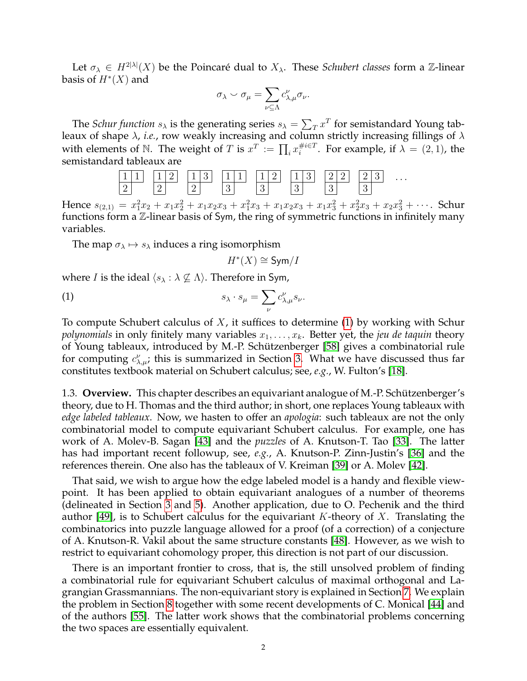Let  $\sigma_{\lambda} \in H^{2|\lambda|}(X)$  be the Poincaré dual to  $X_{\lambda}$ . These *Schubert classes* form a Z-linear basis of  $H^*(X)$  and

$$
\sigma_{\lambda} \smile \sigma_{\mu} = \sum_{\nu \subseteq \Lambda} c_{\lambda,\mu}^{\nu} \sigma_{\nu}.
$$

The *Schur function*  $s_\lambda$  is the generating series  $s_\lambda = \sum_T x^T$  for semistandard Young tableaux of shape  $\lambda$ , *i.e.*, row weakly increasing and column strictly increasing fillings of  $\lambda$ with elements of  $\mathbb N.$  The weight of  $T$  is  $x^T \,:=\, \prod_i x_i^{\# i \in T}$  $i^{\#i\in T}$ . For example, if  $\lambda = (2,1)$ , the semistandard tableaux are



Hence  $s_{(2,1)} = x_1^2x_2 + x_1x_2^2 + x_1x_2x_3 + x_1^2x_3 + x_1x_2x_3 + x_1x_3^2 + x_2^2x_3 + x_2x_3^2 + \cdots$ . Schur functions form a Z-linear basis of Sym, the ring of symmetric functions in infinitely many variables.

The map  $\sigma_{\lambda} \mapsto s_{\lambda}$  induces a ring isomorphism

<span id="page-1-0"></span> $H^*(X) \cong \text{Sym}/I$ 

where *I* is the ideal  $\langle s_{\lambda} : \lambda \nsubseteq \Lambda \rangle$ . Therefore in Sym,

(1) 
$$
s_{\lambda} \cdot s_{\mu} = \sum_{\nu} c_{\lambda,\mu}^{\nu} s_{\nu}.
$$

To compute Schubert calculus of  $X$ , it suffices to determine [\(1\)](#page-1-0) by working with Schur *polynomials* in only finitely many variables  $x_1, \ldots, x_k$ . Better yet, the *jeu de taquin* theory of Young tableaux, introduced by M.-P. Schützenberger [\[58\]](#page-37-0) gives a combinatorial rule for computing  $c^{\nu}_{\lambda,\mu}$ ; this is summarized in Section [3.](#page-5-0) What we have discussed thus far constitutes textbook material on Schubert calculus; see, *e.g.*, W. Fulton's [\[18\]](#page-36-1).

1.3. **Overview.** This chapter describes an equivariant analogue of M.-P. Schützenberger's theory, due to H. Thomas and the third author; in short, one replaces Young tableaux with *edge labeled tableaux*. Now, we hasten to offer an *apologia*: such tableaux are not the only combinatorial model to compute equivariant Schubert calculus. For example, one has work of A. Molev-B. Sagan [\[43\]](#page-37-1) and the *puzzles* of A. Knutson-T. Tao [\[33\]](#page-36-2). The latter has had important recent followup, see, *e.g.*, A. Knutson-P. Zinn-Justin's [\[36\]](#page-36-3) and the references therein. One also has the tableaux of V. Kreiman [\[39\]](#page-37-2) or A. Molev [\[42\]](#page-37-3).

That said, we wish to argue how the edge labeled model is a handy and flexible viewpoint. It has been applied to obtain equivariant analogues of a number of theorems (delineated in Section [3](#page-5-0) and [5\)](#page-12-0). Another application, due to O. Pechenik and the third author [\[49\]](#page-37-4), is to Schubert calculus for the equivariant K-theory of X. Translating the combinatorics into puzzle language allowed for a proof (of a correction) of a conjecture of A. Knutson-R. Vakil about the same structure constants [\[48\]](#page-37-5). However, as we wish to restrict to equivariant cohomology proper, this direction is not part of our discussion.

There is an important frontier to cross, that is, the still unsolved problem of finding a combinatorial rule for equivariant Schubert calculus of maximal orthogonal and Lagrangian Grassmannians. The non-equivariant story is explained in Section [7.](#page-17-0) We explain the problem in Section [8](#page-21-0) together with some recent developments of C. Monical [\[44\]](#page-37-6) and of the authors [\[55\]](#page-37-7). The latter work shows that the combinatorial problems concerning the two spaces are essentially equivalent.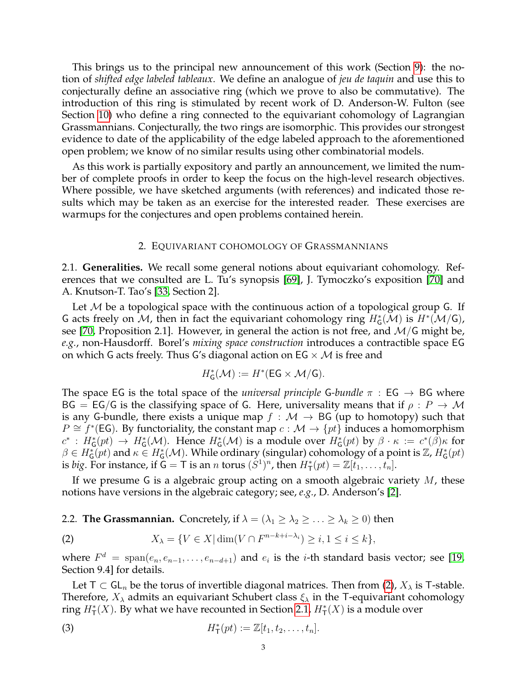This brings us to the principal new announcement of this work (Section [9\)](#page-24-0): the notion of *shifted edge labeled tableaux*. We define an analogue of *jeu de taquin* and use this to conjecturally define an associative ring (which we prove to also be commutative). The introduction of this ring is stimulated by recent work of D. Anderson-W. Fulton (see Section [10\)](#page-30-0) who define a ring connected to the equivariant cohomology of Lagrangian Grassmannians. Conjecturally, the two rings are isomorphic. This provides our strongest evidence to date of the applicability of the edge labeled approach to the aforementioned open problem; we know of no similar results using other combinatorial models.

As this work is partially expository and partly an announcement, we limited the number of complete proofs in order to keep the focus on the high-level research objectives. Where possible, we have sketched arguments (with references) and indicated those results which may be taken as an exercise for the interested reader. These exercises are warmups for the conjectures and open problems contained herein.

### 2. EQUIVARIANT COHOMOLOGY OF GRASSMANNIANS

<span id="page-2-3"></span><span id="page-2-1"></span>2.1. **Generalities.** We recall some general notions about equivariant cohomology. References that we consulted are L. Tu's synopsis [\[69\]](#page-38-0), J. Tymoczko's exposition [\[70\]](#page-38-1) and A. Knutson-T. Tao's [\[33,](#page-36-2) Section 2].

Let  $M$  be a topological space with the continuous action of a topological group G. If G acts freely on M, then in fact the equivariant cohomology ring  $H^*_\mathsf{G}(\mathcal{M})$  is  $H^*(\mathcal{M}/\mathsf{G})$ , see [\[70,](#page-38-1) Proposition 2.1]. However, in general the action is not free, and  $\mathcal{M}/\mathsf{G}$  might be, *e.g.*, non-Hausdorff. Borel's *mixing space construction* introduces a contractible space EG on which G acts freely. Thus G's diagonal action on  $EG \times M$  is free and

$$
H^*_\mathsf{G}(\mathcal{M}) := H^*(\mathsf{EG} \times \mathcal{M}/\mathsf{G}).
$$

The space EG is the total space of the *universal principle* G-bundle  $\pi$  : EG  $\rightarrow$  BG where BG = EG/G is the classifying space of G. Here, universality means that if  $\rho$  :  $P \to M$ is any G-bundle, there exists a unique map  $f : \mathcal{M} \to BG$  (up to homotopy) such that  $P \cong f^*(EG)$ . By functoriality, the constant map  $c : \mathcal{M} \to \{pt\}$  induces a homomorphism  $c^*: H^*_\mathsf{G}(pt) \to H^*_\mathsf{G}(\mathcal{M})$ . Hence  $H^*_\mathsf{G}(\mathcal{M})$  is a module over  $H^*_\mathsf{G}(pt)$  by  $\beta \cdot \kappa := c^*(\beta)\kappa$  for  $\beta\in H_G^*(pt)$  and  $\kappa\in H_G^*(\mathcal{M})$ . While ordinary (singular) cohomology of a point is  $\mathbb{Z}, H_G^*(pt)$ is *big*. For instance, if  $\mathbf{G} = \mathbf{T}$  is an *n* torus  $(S^1)^n$ , then  $H^*_{\mathbf{T}}(pt) = \mathbb{Z}[t_1, \ldots, t_n].$ 

If we presume G is a algebraic group acting on a smooth algebraic variety  $M$ , these notions have versions in the algebraic category; see, *e.g.*, D. Anderson's [\[2\]](#page-35-0).

2.2. **The Grassmannian.** Concretely, if  $\lambda = (\lambda_1 \geq \lambda_2 \geq \ldots \geq \lambda_k \geq 0)$  then

<span id="page-2-0"></span>(2) 
$$
X_{\lambda} = \{ V \in X | \dim(V \cap F^{n-k+i-\lambda_i}) \ge i, 1 \le i \le k \},
$$

where  $F^d = \text{span}(e_n, e_{n-1}, \ldots, e_{n-d+1})$  and  $e_i$  is the *i*-th standard basis vector; see [\[19,](#page-36-4) Section 9.4] for details.

Let T  $\subset$  GL<sub>n</sub> be the torus of invertible diagonal matrices. Then from [\(2\)](#page-2-0),  $X_{\lambda}$  is T-stable. Therefore,  $X_{\lambda}$  admits an equivariant Schubert class  $\xi_{\lambda}$  in the T-equivariant cohomology ring  $H^*_\mathsf{T}(X)$ . By what we have recounted in Section [2.1,](#page-2-1)  $H^*_\mathsf{T}(X)$  is a module over

<span id="page-2-2"></span>(3) 
$$
H^*_{\mathsf{T}}(pt) := \mathbb{Z}[t_1, t_2, \ldots, t_n].
$$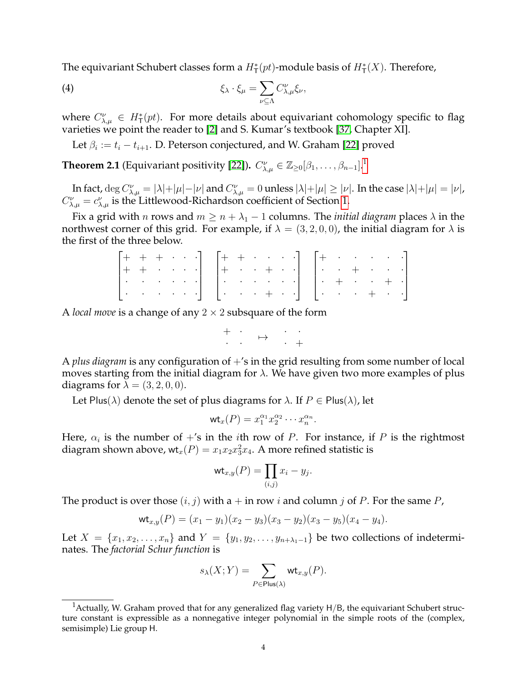The equivariant Schubert classes form a  $H^*_{\mathsf{T}}(pt)$ -module basis of  $H^*_{\mathsf{T}}(X)$ . Therefore,

<span id="page-3-1"></span>(4) 
$$
\xi_{\lambda} \cdot \xi_{\mu} = \sum_{\nu \subseteq \Lambda} C_{\lambda,\mu}^{\nu} \xi_{\nu},
$$

where  $C_{\lambda,\mu}^{\nu} \in H_{\mathsf{T}}^{*}(pt)$ . For more details about equivariant cohomology specific to flag varieties we point the reader to [\[2\]](#page-35-0) and S. Kumar's textbook [\[37,](#page-36-5) Chapter XI].

Let  $\beta_i := t_i - t_{i+1}$ . D. Peterson conjectured, and W. Graham [\[22\]](#page-36-6) proved

<span id="page-3-2"></span>**Theorem 2.[1](#page-3-0)** (Equivariant positivity [\[22\]](#page-36-6)).  $C_{\lambda,\mu}^{\nu}\in\mathbb{Z}_{\geq0}[\beta_1,\ldots,\beta_{n-1}]$ .

In fact,  $\deg C_{\lambda,\mu}^{\nu}=|\lambda|+|\mu|-|\nu|$  and  $C_{\lambda,\mu}^{\nu}=0$  unless  $|\lambda|+|\mu|\geq|\nu|.$  In the case  $|\lambda|+|\mu|=|\nu|$ ,  $C_{\lambda,\mu}^{\nu}=c_{\lambda,\mu}^{\nu}$  is the Littlewood-Richardson coefficient of Section [1.](#page-0-0)

Fix a grid with *n* rows and  $m \ge n + \lambda_1 - 1$  columns. The *initial diagram* places  $\lambda$  in the northwest corner of this grid. For example, if  $\lambda = (3, 2, 0, 0)$ , the initial diagram for  $\lambda$  is the first of the three below.

|  |  |  |  |  |  |  |  |  | $\begin{bmatrix} + & + & + & \cdot & \cdot & \cdot \\ + & + & \cdot & \cdot & \cdot & \cdot \\ \end{bmatrix} \quad \begin{bmatrix} + & + & \cdot & \cdot & \cdot & \cdot \\ + & \cdot & \cdot & + & \cdot & \cdot \\ \end{bmatrix} \quad \begin{bmatrix} + & \cdot & \cdot & \cdot & \cdot & \cdot \\ \cdot & \cdot & + & \cdot & \cdot & \cdot \\ \end{bmatrix}$ |  |
|--|--|--|--|--|--|--|--|--|-------------------------------------------------------------------------------------------------------------------------------------------------------------------------------------------------------------------------------------------------------------------------------------------------------------------------------------------------------------------|--|
|  |  |  |  |  |  |  |  |  |                                                                                                                                                                                                                                                                                                                                                                   |  |
|  |  |  |  |  |  |  |  |  |                                                                                                                                                                                                                                                                                                                                                                   |  |
|  |  |  |  |  |  |  |  |  | [이 이 이 이 아] [이 이 이 비 이 ] [이 이 이 비 이 아]                                                                                                                                                                                                                                                                                                                            |  |

A *local move* is a change of any  $2 \times 2$  subsquare of the form

$$
\begin{array}{ccccc} + & \cdot & & \cdot & \cdot & \cdot \\ \cdot & \cdot & & \mapsto & & \cdot & + \end{array}
$$

A *plus diagram* is any configuration of  $+$ 's in the grid resulting from some number of local moves starting from the initial diagram for  $\lambda$ . We have given two more examples of plus diagrams for  $\lambda = (3, 2, 0, 0)$ .

Let Plus( $\lambda$ ) denote the set of plus diagrams for  $\lambda$ . If  $P \in$  Plus( $\lambda$ ), let

$$
\mathsf{wt}_x(P) = x_1^{\alpha_1} x_2^{\alpha_2} \cdots x_n^{\alpha_n}.
$$

Here,  $\alpha_i$  is the number of +'s in the ith row of P. For instance, if P is the rightmost diagram shown above, wt $_x(P) = x_1x_2x_3^2x_4$ . A more refined statistic is

$$
\mathsf{wt}_{x,y}(P) = \prod_{(i,j)} x_i - y_j.
$$

The product is over those  $(i, j)$  with a  $+$  in row i and column j of P. For the same P,

$$
\mathsf{wt}_{x,y}(P) = (x_1 - y_1)(x_2 - y_3)(x_3 - y_2)(x_3 - y_5)(x_4 - y_4).
$$

Let  $X = \{x_1, x_2, \ldots, x_n\}$  and  $Y = \{y_1, y_2, \ldots, y_{n+\lambda_1-1}\}$  be two collections of indeterminates. The *factorial Schur function* is

$$
s_{\lambda}(X;Y)=\sum_{P\in {\sf Plus}(\lambda)}{\sf wt}_{x,y}(P).
$$

<span id="page-3-0"></span><sup>&</sup>lt;sup>1</sup> Actually, W. Graham proved that for any generalized flag variety  $H/B$ , the equivariant Schubert structure constant is expressible as a nonnegative integer polynomial in the simple roots of the (complex, semisimple) Lie group H.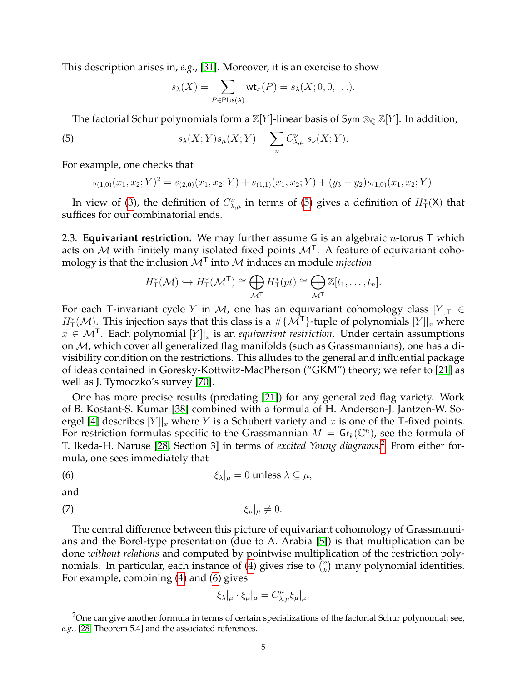This description arises in, *e.g.*, [\[31\]](#page-36-7). Moreover, it is an exercise to show

<span id="page-4-0"></span>
$$
s_{\lambda}(X) = \sum_{P \in \text{Plus}(\lambda)} \text{wt}_x(P) = s_{\lambda}(X; 0, 0, \ldots).
$$

The factorial Schur polynomials form a  $\mathbb{Z}[Y]$ -linear basis of Sym  $\otimes_{\mathbb{Q}} \mathbb{Z}[Y]$ . In addition,

(5) 
$$
s_{\lambda}(X;Y)s_{\mu}(X;Y)=\sum_{\nu}C_{\lambda,\mu}^{\nu} s_{\nu}(X;Y).
$$

For example, one checks that

$$
s_{(1,0)}(x_1, x_2; Y)^2 = s_{(2,0)}(x_1, x_2; Y) + s_{(1,1)}(x_1, x_2; Y) + (y_3 - y_2)s_{(1,0)}(x_1, x_2; Y).
$$

In view of [\(3\)](#page-2-2), the definition of  $C_{\lambda,\mu}^{\nu}$  in terms of [\(5\)](#page-4-0) gives a definition of  $H^*_{\mathsf{T}}(\mathsf{X})$  that suffices for our combinatorial ends.

<span id="page-4-4"></span>2.3. **Equivariant restriction.** We may further assume G is an algebraic n-torus T which acts on M with finitely many isolated fixed points  $\mathcal{M}^{\mathsf{T}}$ . A feature of equivariant cohomology is that the inclusion  $\mathcal{M}^{\mathsf{T}}$  into  $\mathcal M$  induces an module *injection* 

$$
H^*_{\mathsf{T}}(\mathcal{M}) \hookrightarrow H^*_{\mathsf{T}}(\mathcal{M}^{\mathsf{T}}) \cong \bigoplus_{\mathcal{M}^{\mathsf{T}}} H^*_{\mathsf{T}}(pt) \cong \bigoplus_{\mathcal{M}^{\mathsf{T}}} \mathbb{Z}[t_1,\ldots,t_n].
$$

For each T-invariant cycle Y in M, one has an equivariant cohomology class  $[Y]_T \in$  $H^*_\mathsf{T}(\mathcal{M})$ . This injection says that this class is a  $\#\{\mathcal{M}^\mathsf{T}\}$ -tuple of polynomials  $[Y]|_x$  where  $x \in \mathcal{M}^{\mathsf{T}}$ . Each polynomial  $[Y]|_x$  is an *equivariant restriction*. Under certain assumptions on  $M$ , which cover all generalized flag manifolds (such as Grassmannians), one has a divisibility condition on the restrictions. This alludes to the general and influential package of ideas contained in Goresky-Kottwitz-MacPherson ("GKM") theory; we refer to [\[21\]](#page-36-8) as well as J. Tymoczko's survey [\[70\]](#page-38-1).

One has more precise results (predating [\[21\]](#page-36-8)) for any generalized flag variety. Work of B. Kostant-S. Kumar [\[38\]](#page-36-9) combined with a formula of H. Anderson-J. Jantzen-W. So-ergel [\[4\]](#page-35-1) describes  $[Y]|_x$  where Y is a Schubert variety and x is one of the T-fixed points. For restriction formulas specific to the Grassmannian  $M = \mathsf{Gr}_k(\mathbb{C}^n)$ , see the formula of T. Ikeda-H. Naruse [\[28,](#page-36-10) Section 3] in terms of *excited Young diagrams*. [2](#page-4-1) From either formula, one sees immediately that

(6) 
$$
\xi_{\lambda}|_{\mu} = 0 \text{ unless } \lambda \subseteq \mu,
$$

and

$$
\xi_{\mu}|_{\mu} \neq 0.
$$

The central difference between this picture of equivariant cohomology of Grassmannians and the Borel-type presentation (due to A. Arabia [\[5\]](#page-35-2)) is that multiplication can be done *without relations* and computed by pointwise multiplication of the restriction poly-nomials. In particular, each instance of [\(4\)](#page-3-1) gives rise to  $\binom{n}{k}$  $\binom{n}{k}$  many polynomial identities. For example, combining [\(4\)](#page-3-1) and [\(6\)](#page-4-2) gives

<span id="page-4-3"></span><span id="page-4-2"></span>
$$
\xi_{\lambda}|_{\mu} \cdot \xi_{\mu}|_{\mu} = C_{\lambda,\mu}^{\mu} \xi_{\mu}|_{\mu}.
$$

<span id="page-4-1"></span><sup>&</sup>lt;sup>2</sup>One can give another formula in terms of certain specializations of the factorial Schur polynomial; see, *e.g.*, [\[28,](#page-36-10) Theorem 5.4] and the associated references.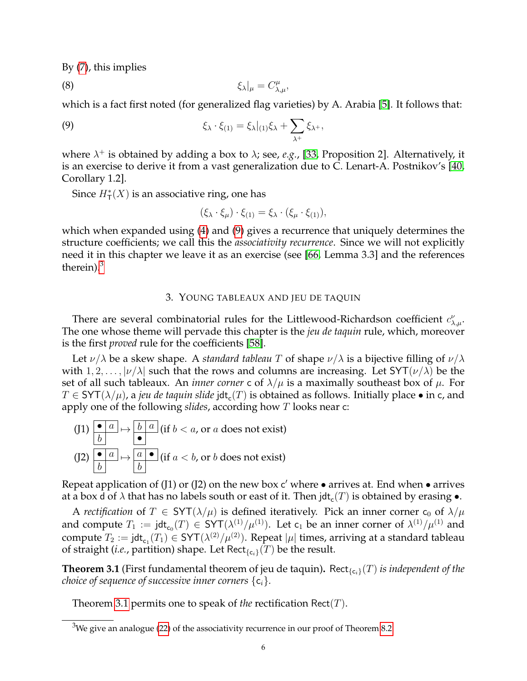By [\(7\)](#page-4-3), this implies

$$
\xi_{\lambda}|_{\mu} = C_{\lambda,\mu}^{\mu},
$$

which is a fact first noted (for generalized flag varieties) by A. Arabia [\[5\]](#page-35-2). It follows that:

(9) 
$$
\xi_{\lambda} \cdot \xi_{(1)} = \xi_{\lambda}|_{(1)} \xi_{\lambda} + \sum_{\lambda^{+}} \xi_{\lambda^{+}},
$$

where  $\lambda^+$  is obtained by adding a box to  $\lambda$ ; see, *e.g.*, [\[33,](#page-36-2) Proposition 2]. Alternatively, it is an exercise to derive it from a vast generalization due to C. Lenart-A. Postnikov's [\[40,](#page-37-8) Corollary 1.2].

Since  $H^*_{\mathsf{T}}(X)$  is an associative ring, one has

<span id="page-5-4"></span><span id="page-5-1"></span>
$$
(\xi_{\lambda} \cdot \xi_{\mu}) \cdot \xi_{(1)} = \xi_{\lambda} \cdot (\xi_{\mu} \cdot \xi_{(1)}),
$$

which when expanded using [\(4\)](#page-3-1) and [\(9\)](#page-5-1) gives a recurrence that uniquely determines the structure coefficients; we call this the *associativity recurrence*. Since we will not explicitly need it in this chapter we leave it as an exercise (see [\[66,](#page-37-9) Lemma 3.3] and the references therein). $3$ 

### 3. YOUNG TABLEAUX AND JEU DE TAQUIN

<span id="page-5-0"></span>There are several combinatorial rules for the Littlewood-Richardson coefficient  $c^{\nu}_{\lambda,\mu}$ . The one whose theme will pervade this chapter is the *jeu de taquin* rule, which, moreover is the first *proved* rule for the coefficients [\[58\]](#page-37-0).

Let  $\nu/\lambda$  be a skew shape. A *standard tableau* T of shape  $\nu/\lambda$  is a bijective filling of  $\nu/\lambda$ with  $1, 2, \ldots, |\nu/\lambda|$  such that the rows and columns are increasing. Let SYT $(\nu/\lambda)$  be the set of all such tableaux. An *inner corner* c of  $\lambda/\mu$  is a maximally southeast box of  $\mu$ . For  $T\in$  SYT $(\lambda/\mu)$ , a *jeu de taquin slide* jdt<sub>c</sub>( $T)$  is obtained as follows. Initially place • in c, and apply one of the following *slides*, according how T looks near c:

$$
(J1) \begin{array}{|l|l|} \hline \bullet & a \\ \hline b & \end{array} \mapsto \begin{array}{|l|} \hline b & a \\ \hline \bullet & \end{array} \text{ (if } b < a \text{, or } a \text{ does not exist)}
$$
\n
$$
(J2) \begin{array}{|l|} \hline \bullet & a \\ \hline b & \end{array} \mapsto \begin{array}{|l|} \hline a & \bullet \\ \hline b & \end{array} \text{ (if } a < b \text{, or } b \text{ does not exist)}
$$

Repeat application of (J1) or (J2) on the new box c' where  $\bullet$  arrives at. End when  $\bullet$  arrives at a box d of  $\lambda$  that has no labels south or east of it. Then jdt $_{\sf c}(T)$  is obtained by erasing  $\bullet.$ 

A *rectification* of  $T \in SYT(\lambda/\mu)$  is defined iteratively. Pick an inner corner  $c_0$  of  $\lambda/\mu$ and compute  $T_1 := \mathsf{jdt}_{\mathsf{c}_0}(T) \in \mathsf{SYT}(\lambda^{(1)}/\mu^{(1)})$ . Let  $\mathsf{c}_1$  be an inner corner of  $\lambda^{(1)}/\mu^{(1)}$  and compute  $T_2 := \mathsf{jdt}_{\mathsf{c}_1}(T_1) \in \mathsf{SYT}(\lambda^{(2)}/\mu^{(2)})$ . Repeat  $|\mu|$  times, arriving at a standard tableau of straight (*i.e.*, partition) shape. Let  $\text{Rect}_{\{c_i\}}(T)$  be the result.

<span id="page-5-3"></span>**Theorem 3.1** (First fundamental theorem of jeu de taquin). Rect<sub>{c<sub>i</sub>}</sub>(T) *is independent of the choice of sequence of successive inner corners*  $\{c_i\}$ *.* 

Theorem [3.1](#page-5-3) permits one to speak of *the* rectification Rect(T).

<span id="page-5-2"></span> $3$ We give an analogue [\(22\)](#page-23-0) of the associativity recurrence in our proof of Theorem [8.2.](#page-22-0)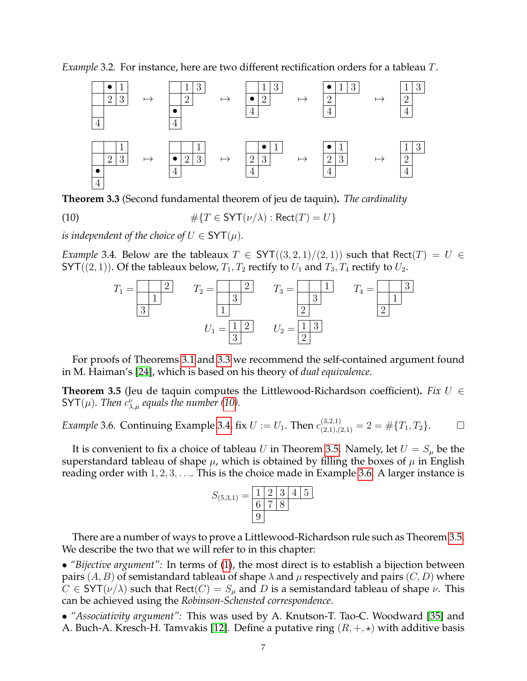*Example* 3.2*.* For instance, here are two different rectification orders for a tableau T.



<span id="page-6-0"></span>**Theorem 3.3** (Second fundamental theorem of jeu de taquin)**.** *The cardinality*

(10) 
$$
\#\{T \in \text{SYT}(\nu/\lambda) : \text{Rect}(T) = U\}
$$

*is independent of the choice of*  $U \in SYT(\mu)$ *.* 

<span id="page-6-2"></span>*Example* 3.4*.* Below are the tableaux  $T \in SYT((3,2,1)/(2,1))$  such that Rect $(T) = U \in$ SYT((2, 1)). Of the tableaux below,  $T_1, T_2$  rectify to  $U_1$  and  $T_3, T_4$  rectify to  $U_2$ .

<span id="page-6-1"></span>

For proofs of Theorems [3.1](#page-5-3) and [3.3](#page-6-0) we recommend the self-contained argument found in M. Haiman's [\[24\]](#page-36-11), which is based on his theory of *dual equivalence*.

<span id="page-6-3"></span>**Theorem 3.5** (Jeu de taquin computes the Littlewood-Richardson coefficient). *Fix*  $U \in$  $SYT(\mu)$ *. Then*  $c^{\nu}_{\lambda,\mu}$  equals the number [\(10\)](#page-6-1).

<span id="page-6-4"></span>*Example* 3.6. Continuing Example [3.4,](#page-6-2) fix  $U := U_1$ . Then  $c_{(2,1),(2,1)}^{(3,2,1)} = 2 = \#\{T_1,T_2\}.$   $\Box$ 

It is convenient to fix a choice of tableau U in Theorem [3.5.](#page-6-3) Namely, let  $U = S_u$  be the superstandard tableau of shape  $\mu$ , which is obtained by filling the boxes of  $\mu$  in English reading order with  $1, 2, 3, \ldots$  This is the choice made in Example [3.6.](#page-6-4) A larger instance is



There are a number of ways to prove a Littlewood-Richardson rule such as Theorem [3.5.](#page-6-3) We describe the two that we will refer to in this chapter:

• *"Bijective argument":* In terms of [\(1\)](#page-1-0), the most direct is to establish a bijection between pairs  $(A, B)$  of semistandard tableau of shape  $\lambda$  and  $\mu$  respectively and pairs  $(C, D)$  where  $C \in SYT(\nu/\lambda)$  such that  $\text{Rect}(C) = S_{\mu}$  and D is a semistandard tableau of shape  $\nu$ . This can be achieved using the *Robinson-Schensted correspondence*.

• *"Associativity argument":* This was used by A. Knutson-T. Tao-C. Woodward [\[35\]](#page-36-12) and A. Buch-A. Kresch-H. Tamvakis [\[12\]](#page-36-13). Define a putative ring  $(R, +, \star)$  with additive basis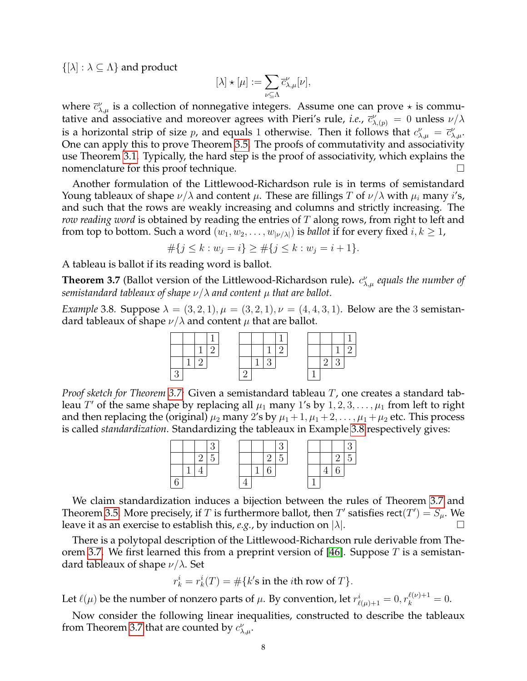$\{[\lambda] : \lambda \subseteq \Lambda\}$  and product

$$
[\lambda]\star[\mu]:=\sum_{\nu\subseteq\Lambda}\overline{c}_{\lambda,\mu}^{\nu}[\nu],
$$

where  $\bar{c}^{\nu}_{\lambda,\mu}$  is a collection of nonnegative integers. Assume one can prove  $\star$  is commutative and associative and moreover agrees with Pieri's rule, *i.e.*,  $\bar{c}^{\nu}_{\lambda,(p)} = 0$  unless  $\nu/\lambda$ is a horizontal strip of size p, and equals 1 otherwise. Then it follows that  $c^{\nu}_{\lambda,\mu} = \bar{c}^{\nu}_{\lambda,\mu}$ . One can apply this to prove Theorem [3.5.](#page-6-3) The proofs of commutativity and associativity use Theorem [3.1.](#page-5-3) Typically, the hard step is the proof of associativity, which explains the nomenclature for this proof technique.

Another formulation of the Littlewood-Richardson rule is in terms of semistandard Young tableaux of shape  $\nu/\lambda$  and content  $\mu$ . These are fillings T of  $\nu/\lambda$  with  $\mu_i$  many i's, and such that the rows are weakly increasing and columns and strictly increasing. The *row reading word* is obtained by reading the entries of T along rows, from right to left and from top to bottom. Such a word  $(w_1, w_2, \ldots, w_{\vert \nu/\lambda \vert})$  is *ballot* if for every fixed  $i, k \geq 1$ ,

$$
\#\{j \le k : w_j = i\} \ge \#\{j \le k : w_j = i + 1\}.
$$

A tableau is ballot if its reading word is ballot.

<span id="page-7-0"></span>**Theorem 3.7** (Ballot version of the Littlewood-Richardson rule).  $c^{\nu}_{\lambda,\mu}$  equals the number of *semistandard tableaux of shape*  $\nu/\lambda$  *and content*  $\mu$  *that are ballot.* 

<span id="page-7-1"></span>*Example* 3.8*.* Suppose  $\lambda = (3, 2, 1), \mu = (3, 2, 1), \nu = (4, 4, 3, 1)$ . Below are the 3 semistandard tableaux of shape  $\nu/\lambda$  and content  $\mu$  that are ballot.

*Proof sketch for Theorem [3.7:](#page-7-0)* Given a semistandard tableau T, one creates a standard tableau  $T'$  of the same shape by replacing all  $\mu_1$  many 1's by  $1, 2, 3, \ldots, \mu_1$  from left to right and then replacing the (original)  $\mu_2$  many 2's by  $\mu_1 + 1, \mu_1 + 2, \ldots, \mu_1 + \mu_2$  etc. This process is called *standardization*. Standardizing the tableaux in Example [3.8](#page-7-1) respectively gives:



We claim standardization induces a bijection between the rules of Theorem [3.7](#page-7-0) and Theorem [3.5.](#page-6-3) More precisely, if T is furthermore ballot, then T' satisfies rect(T') =  $S_{\mu}$ . We leave it as an exercise to establish this, *e.g.*, by induction on  $|\lambda|$ .

There is a polytopal description of the Littlewood-Richardson rule derivable from The-orem [3.7.](#page-7-0) We first learned this from a preprint version of [\[46\]](#page-37-10). Suppose  $T$  is a semistandard tableaux of shape  $\nu/\lambda$ . Set

$$
r_k^i = r_k^i(T) = \# \{k' \text{s in the } i \text{th row of } T\}.
$$

Let  $\ell(\mu)$  be the number of nonzero parts of  $\mu$ . By convention, let  $r^i_{\ell(\mu)+1} = 0, r^{\ell(\nu)+1}_k = 0.$ 

Now consider the following linear inequalities, constructed to describe the tableaux from Theorem [3.7](#page-7-0) that are counted by  $c^{\nu}_{\lambda,\mu}$ .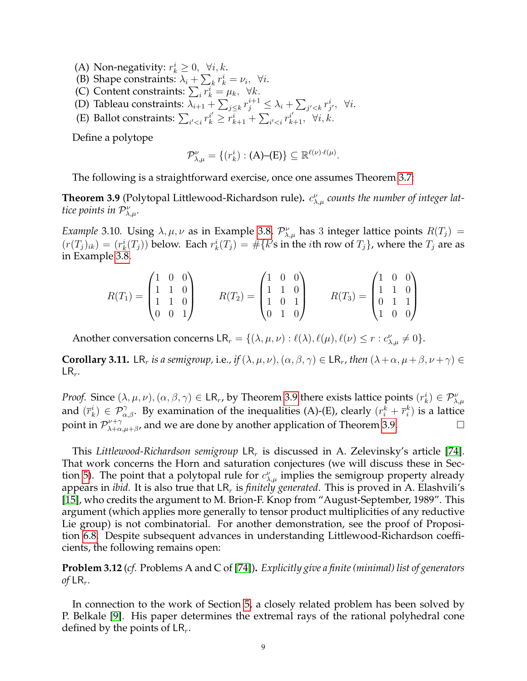- (A) Non-negativity:  $r_k^i \geq 0$ ,  $\forall i, k$ .
- (B) Shape constraints:  $\lambda_i + \sum_k r_k^i = \nu_i$ ,  $\forall i$ .
- (C) Content constraints:  $\sum_i r_k^i = \mu_k, \forall k$ .
- (D) Tableau constraints:  $\lambda_{i+1} + \sum_{j \leq k} r_j^{i+1} \leq \lambda_i + \sum_{j' < k} r_{j'}^{i}$ ,  $\forall i$ .
- (E) Ballot constraints:  $\sum_{i' < i} r_k^{i'} \geq r_{k+1}^i + \sum_{i' < i} r_{k+1}^{i'}, \forall i, k.$

Define a polytope

$$
\mathcal{P}_{\lambda,\mu}^{\nu} = \{ (r_k^i) : (\mathbf{A})-(\mathbf{E}) \} \subseteq \mathbb{R}^{\ell(\nu)\cdot\ell(\mu)}.
$$

The following is a straightforward exercise, once one assumes Theorem [3.7:](#page-7-0)

<span id="page-8-0"></span>**Theorem 3.9** (Polytopal Littlewood-Richardson rule).  $c^{\nu}_{\lambda,\mu}$  counts the number of integer lat*tice points in*  $\mathcal{P}_{\lambda,\mu}^{\nu}$ .

*Example* 3.10. Using  $\lambda, \mu, \nu$  as in Example [3.8,](#page-7-1)  $\mathcal{P}_{\lambda,\mu}^{\nu}$  has 3 integer lattice points  $R(T_j)$  =  $(r(T_j)_{ik}) = (r_k^i(T_j))$  below. Each  $r_k^i(T_j) = \# \{k\}$ s in the *i*th row of  $T_j\}$ , where the  $T_j$  are as in Example [3.8.](#page-7-1)

$$
R(T_1) = \begin{pmatrix} 1 & 0 & 0 \\ 1 & 1 & 0 \\ 1 & 1 & 0 \\ 0 & 0 & 1 \end{pmatrix} \qquad R(T_2) = \begin{pmatrix} 1 & 0 & 0 \\ 1 & 1 & 0 \\ 1 & 0 & 1 \\ 0 & 1 & 0 \end{pmatrix} \qquad R(T_3) = \begin{pmatrix} 1 & 0 & 0 \\ 1 & 1 & 0 \\ 0 & 1 & 1 \\ 1 & 0 & 0 \end{pmatrix}
$$

Another conversation concerns  $LR_r = \{(\lambda, \mu, \nu) : \ell(\lambda), \ell(\mu), \ell(\nu) \le r : c_{\lambda,\mu}^{\nu} \neq 0\}.$ 

<span id="page-8-1"></span>**Corollary 3.11.** LR<sub>r</sub> *is a semigroup,* i.e., *if*  $(\lambda, \mu, \nu)$ ,  $(\alpha, \beta, \gamma) \in \mathsf{LR}_r$ , *then*  $(\lambda + \alpha, \mu + \beta, \nu + \gamma) \in$  $LR_r$ .

*Proof.* Since  $(\lambda, \mu, \nu), (\alpha, \beta, \gamma) \in \mathsf{LR}_r$ , by Theorem [3.9](#page-8-0) there exists lattice points  $(r_k^i) \in \mathcal{P}_{\lambda,\mu}^{\nu}$ and  $(\bar{r}_k^i) \in \mathcal{P}_{\alpha,\beta}^{\gamma}$ . By examination of the inequalities (A)-(E), clearly  $(r_i^k + \bar{r}_i^k)$  is a lattice point in  $\mathcal{P}_{\lambda+\alpha}^{\nu+\gamma}$  $\sum_{\lambda+\alpha,\mu+\beta}^{\nu+\gamma}$ , and we are done by another application of Theorem [3.9.](#page-8-0)

This *Littlewood-Richardson semigroup* LR<sub>r</sub> is discussed in A. Zelevinsky's article [\[74\]](#page-38-2). That work concerns the Horn and saturation conjectures (we will discuss these in Sec-tion [5\)](#page-12-0). The point that a polytopal rule for  $c^{\nu}_{\lambda,\mu}$  implies the semigroup property already appears in *ibid.* It is also true that  $LR_r$  is *finitely generated*. This is proved in A. Elashvili's [\[15\]](#page-36-14), who credits the argument to M. Brion-F. Knop from "August-September, 1989". This argument (which applies more generally to tensor product multiplicities of any reductive Lie group) is not combinatorial. For another demonstration, see the proof of Proposition [6.8.](#page-16-0) Despite subsequent advances in understanding Littlewood-Richardson coefficients, the following remains open:

<span id="page-8-2"></span>**Problem 3.12** (*cf.* Problems A and C of [\[74\]](#page-38-2))**.** *Explicitly give a finite (minimal) list of generators of*  $LR_r$ .

In connection to the work of Section [5,](#page-12-0) a closely related problem has been solved by P. Belkale [\[9\]](#page-36-15). His paper determines the extremal rays of the rational polyhedral cone defined by the points of  $LR_r$ .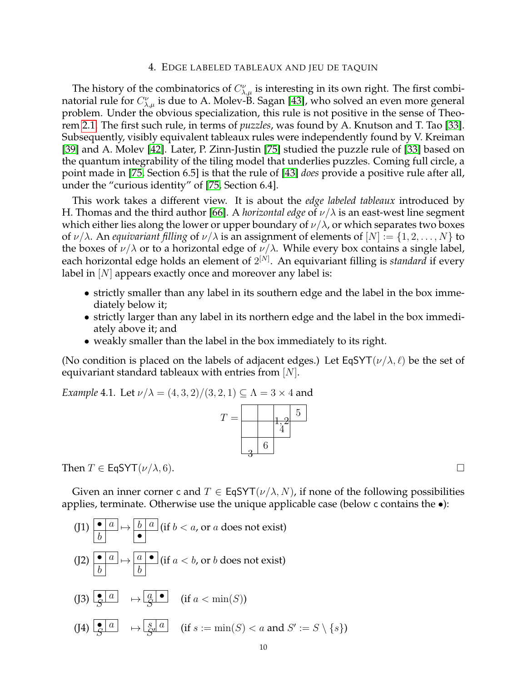#### 4. EDGE LABELED TABLEAUX AND JEU DE TAQUIN

The history of the combinatorics of  $C_{\lambda,\mu}^{\nu}$  is interesting in its own right. The first combinatorial rule for  $C_{\lambda,\mu}^{\nu}$  is due to A. Molev-B. Sagan [\[43\]](#page-37-1), who solved an even more general problem. Under the obvious specialization, this rule is not positive in the sense of Theorem [2.1.](#page-3-2) The first such rule, in terms of *puzzles*, was found by A. Knutson and T. Tao [\[33\]](#page-36-2). Subsequently, visibly equivalent tableaux rules were independently found by V. Kreiman [\[39\]](#page-37-2) and A. Molev [\[42\]](#page-37-3). Later, P. Zinn-Justin [\[75\]](#page-38-3) studied the puzzle rule of [\[33\]](#page-36-2) based on the quantum integrability of the tiling model that underlies puzzles. Coming full circle, a point made in [\[75,](#page-38-3) Section 6.5] is that the rule of [\[43\]](#page-37-1) *does* provide a positive rule after all, under the "curious identity" of [\[75,](#page-38-3) Section 6.4].

This work takes a different view. It is about the *edge labeled tableaux* introduced by H. Thomas and the third author [\[66\]](#page-37-9). A *horizontal edge* of  $\nu/\lambda$  is an east-west line segment which either lies along the lower or upper boundary of  $\nu/\lambda$ , or which separates two boxes of  $\nu/\lambda$ . An *equivariant filling* of  $\nu/\lambda$  is an assignment of elements of  $[N] := \{1, 2, ..., N\}$  to the boxes of  $\nu/\lambda$  or to a horizontal edge of  $\nu/\lambda$ . While every box contains a single label, each horizontal edge holds an element of  $2^{[N]}$ . An equivariant filling is *standard* if every label in  $[N]$  appears exactly once and moreover any label is:

- strictly smaller than any label in its southern edge and the label in the box immediately below it;
- strictly larger than any label in its northern edge and the label in the box immediately above it; and
- weakly smaller than the label in the box immediately to its right.

(No condition is placed on the labels of adjacent edges.) Let EqSYT( $\nu/\lambda, \ell$ ) be the set of equivariant standard tableaux with entries from  $[N]$ .

<span id="page-9-0"></span>*Example* 4.1*.* Let  $\nu/\lambda = (4, 3, 2)/(3, 2, 1) \subset \Lambda = 3 \times 4$  and

| Т |   | $\overline{5}$ |
|---|---|----------------|
|   |   |                |
|   | 6 |                |

Then  $T \in \mathsf{EqSYT}(\nu/\lambda, 6)$ .

Given an inner corner c and  $T \in EqSYT(\nu/\lambda, N)$ , if none of the following possibilities applies, terminate. Otherwise use the unique applicable case (below c contains the •):

$$
(J1) \xrightarrow[b]{\bullet \ a} \mapsto \xrightarrow[b \ a \ (if \ b < a, \text{ or } a \text{ does not exist})
$$
\n
$$
(J2) \xrightarrow[b \ a \ b \ \rightarrow \xrightarrow[a \ b \ (if \ a < b, \text{ or } b \text{ does not exist})]
$$
\n
$$
(J3) \xrightarrow[\mathcal{S} \ a \ b \ \rightarrow \xrightarrow[\mathcal{S} \ a \ a \ (if \ a < \min(S))]
$$
\n
$$
(J4) \xrightarrow[\mathcal{S} \ a \ a \ (if \ s := \min(S) < a \text{ and } S' := S \setminus \{s\})]
$$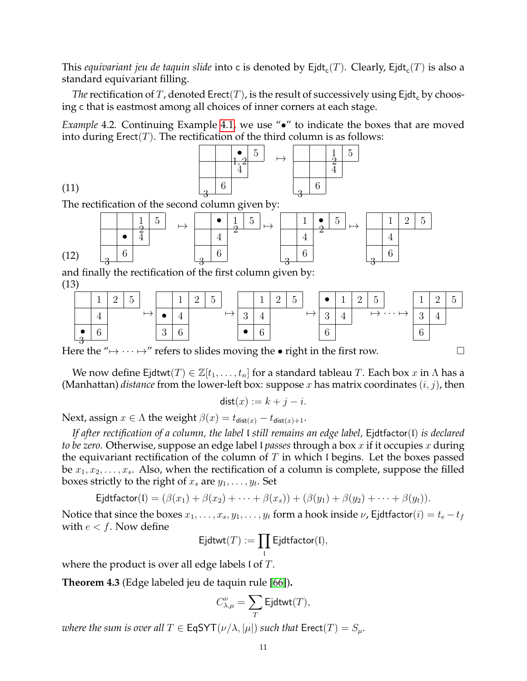This *equivariant jeu de taquin slide* into c is denoted by  $\mathsf{Ejdt}_\mathsf{c}(T).$  Clearly,  $\mathsf{Ejdt}_\mathsf{c}(T)$  is also a standard equivariant filling.

*The* rectification of T, denoted Erect(T), is the result of successively using Ejdt<sub>c</sub> by choosing c that is eastmost among all choices of inner corners at each stage.

*Example* 4.2. Continuing Example [4.1,](#page-9-0) we use " $\bullet$ " to indicate the boxes that are moved into during  $\text{Erect}(T)$ . The rectification of the third column is as follows:



The rectification of the second column given by:

(11)



and finally the rectification of the first column given by: (13)



Here the " $\mapsto \cdots \mapsto$ " refers to slides moving the • right in the first row.

We now define Ejdtwt $(T) \in \mathbb{Z}[t_1,\ldots,t_n]$  for a standard tableau T. Each box x in  $\Lambda$  has a (Manhattan) *distance* from the lower-left box: suppose x has matrix coordinates  $(i, j)$ , then

$$
dist(x) := k + j - i.
$$

Next, assign  $x \in \Lambda$  the weight  $\beta(x) = t_{\text{dist}(x)} - t_{\text{dist}(x)+1}$ .

*If after rectification of a column, the label* l *still remains an edge label,* Ejdtfactor(l) *is declared to be zero.* Otherwise, suppose an edge label l *passes* through a box x if it occupies x during the equivariant rectification of the column of  $T$  in which I begins. Let the boxes passed be  $x_1, x_2, \ldots, x_s$ . Also, when the rectification of a column is complete, suppose the filled boxes strictly to the right of  $x_s$  are  $y_1, \ldots, y_t.$  Set

$$
\mathsf{Ejdtfactor}(\mathsf{I}) = (\beta(x_1) + \beta(x_2) + \cdots + \beta(x_s)) + (\beta(y_1) + \beta(y_2) + \cdots + \beta(y_t)).
$$

Notice that since the boxes  $x_1, \ldots, x_s, y_1, \ldots, y_t$  form a hook inside  $\nu$ , Ejdtfactor $(i) = t_e - t_f$ with  $e < f$ . Now define

$$
\hbox{\rm Ejdtwt}(T):=\prod_{\mathfrak{l}}\hbox{\rm Ejdtfactor}(\mathfrak{l}),
$$

where the product is over all edge labels  $\mathfrak l$  of  $T$ .

<span id="page-10-0"></span>**Theorem 4.3** (Edge labeled jeu de taquin rule [\[66\]](#page-37-9))**.**

$$
C_{\lambda,\mu}^{\nu}=\sum_{T}\mathsf{Ejdtwt}(T),
$$

*where the sum is over all*  $T \in \mathsf{EqSYT}(\nu/\lambda, |\mu|)$  *such that*  $\mathsf{Erect}(T) = S_\mu$ .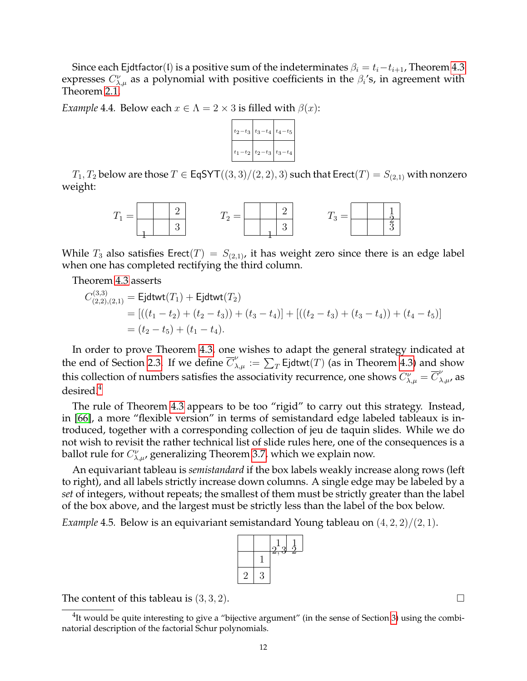Since each Ejdtfactor(l) is a positive sum of the indeterminates  $\beta_i = t_i - t_{i+1}$ , Theorem [4.3](#page-10-0) expresses  $C_{\lambda,\mu}^{\nu}$  as a polynomial with positive coefficients in the  $\beta_i$ 's, in agreement with Theorem [2.1.](#page-3-2)

<span id="page-11-1"></span>*Example* 4.4*.* Below each  $x \in \Lambda = 2 \times 3$  is filled with  $\beta(x)$ :



 $T_1, T_2$  below are those  $T \in \text{EqSYT}((3,3)/(2,2),3)$  such that  $\text{Erect}(T) = S_{(2,1)}$  with nonzero weight:



While  $T_3$  also satisfies Erect(T) =  $S_{(2,1)}$ , it has weight zero since there is an edge label when one has completed rectifying the third column.

Theorem [4.3](#page-10-0) asserts

$$
C_{(2,2),(2,1)}^{(3,3)} = \text{Ejdtwt}(T_1) + \text{Ejdtwt}(T_2)
$$
  
= 
$$
[((t_1 - t_2) + (t_2 - t_3)) + (t_3 - t_4)] + (((t_2 - t_3) + (t_3 - t_4)) + (t_4 - t_5)]
$$
  
= 
$$
(t_2 - t_5) + (t_1 - t_4).
$$

In order to prove Theorem [4.3,](#page-10-0) one wishes to adapt the general strategy indicated at the end of Section [2.3.](#page-4-4) If we define  $\overline{C}_{\lambda,\mu}^{\nu} := \sum_{T}$  Ejdtwt $(T)$  (as in Theorem [4.3\)](#page-10-0) and show this collection of numbers satisfies the associativity recurrence, one shows  $C_{\lambda,\mu}^{\nu} = \overline{C}_{\lambda,\mu}^{\nu}$ , as desired.[4](#page-11-0)

The rule of Theorem [4.3](#page-10-0) appears to be too "rigid" to carry out this strategy. Instead, in [\[66\]](#page-37-9), a more "flexible version" in terms of semistandard edge labeled tableaux is introduced, together with a corresponding collection of jeu de taquin slides. While we do not wish to revisit the rather technical list of slide rules here, one of the consequences is a ballot rule for  $C_{\lambda,\mu}^{\nu}$ , generalizing Theorem [3.7,](#page-7-0) which we explain now.

An equivariant tableau is *semistandard* if the box labels weakly increase along rows (left to right), and all labels strictly increase down columns. A single edge may be labeled by a *set* of integers, without repeats; the smallest of them must be strictly greater than the label of the box above, and the largest must be strictly less than the label of the box below.

*Example* 4.5*.* Below is an equivariant semistandard Young tableau on (4, 2, 2)/(2, 1).



The content of this tableau is  $(3,3,2)$ .

<span id="page-11-0"></span> ${}^{4}$ It would be quite interesting to give a "bijective argument" (in the sense of Section [3\)](#page-5-0) using the combinatorial description of the factorial Schur polynomials.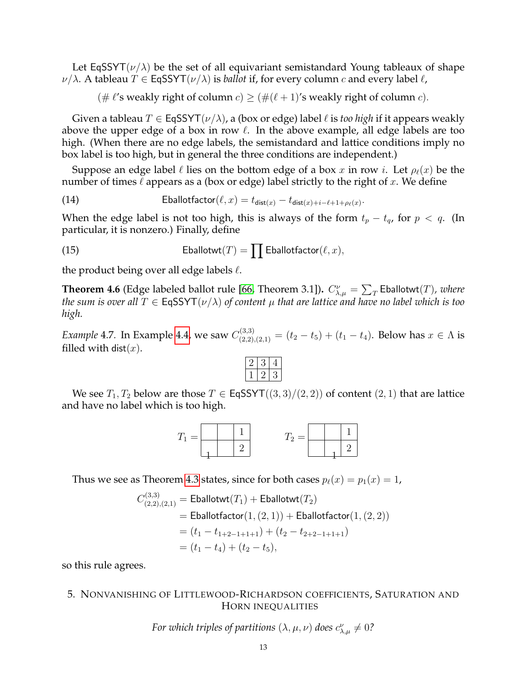Let EqSSYT( $\nu/\lambda$ ) be the set of all equivariant semistandard Young tableaux of shape  $\nu/\lambda$ . A tableau  $T \in \mathsf{EqSSYT}(\nu/\lambda)$  is *ballot* if, for every column c and every label  $\ell$ ,

(#  $\ell$ 's weakly right of column  $c$ )  $\geq$  (#( $\ell$  + 1)'s weakly right of column  $c$ ).

Given a tableau  $T \in \mathsf{EqSSYT}(v/\lambda)$ , a (box or edge) label  $\ell$  is *too high* if it appears weakly above the upper edge of a box in row  $\ell$ . In the above example, all edge labels are too high. (When there are no edge labels, the semistandard and lattice conditions imply no box label is too high, but in general the three conditions are independent.)

Suppose an edge label  $\ell$  lies on the bottom edge of a box x in row i. Let  $\rho_{\ell}(x)$  be the number of times  $\ell$  appears as a (box or edge) label strictly to the right of x. We define

(14) 
$$
\text{Eballotfactor}(\ell, x) = t_{\text{dist}(x)} - t_{\text{dist}(x) + i - \ell + 1 + \rho_{\ell}(x)}.
$$

When the edge label is not too high, this is always of the form  $t_p - t_q$ , for  $p < q$ . (In particular, it is nonzero.) Finally, define

(15)  Eballotwt(T) = 
$$
\prod
$$
 Eballotfactor( $\ell, x$ ),

the product being over all edge labels  $\ell$ .

<span id="page-12-1"></span>**Theorem 4.6** (Edge labeled ballot rule [\[66,](#page-37-9) Theorem 3.1]).  $C_{\lambda,\mu}^{\nu} = \sum_{T}$  Eballotwt $(T)$ , where *the sum is over all*  $T \in EqSSYT(\nu/\lambda)$  *of content*  $\mu$  *that are lattice and have no label which is too high.*

*Example* 4.7. In Example [4.4,](#page-11-1) we saw  $C_{(2,2),(2,1)}^{(3,3)} = (t_2 - t_5) + (t_1 - t_4)$ . Below has  $x \in \Lambda$  is filled with dist $(x)$ .

We see  $T_1, T_2$  below are those  $T \in E$ qSSYT $((3, 3)/(2, 2))$  of content  $(2, 1)$  that are lattice and have no label which is too high.



Thus we see as Theorem [4.3](#page-10-0) states, since for both cases  $p_{\ell}(x) = p_1(x) = 1$ ,

$$
C_{(2,2),(2,1)}^{(3,3)} = \text{Eballotwt}(T_1) + \text{Eballotwt}(T_2)
$$
  
= 
$$
\text{Eballotfactor}(1,(2,1)) + \text{Eballotfactor}(1,(2,2))
$$
  
= 
$$
(t_1 - t_{1+2-1+1+1}) + (t_2 - t_{2+2-1+1+1})
$$
  
= 
$$
(t_1 - t_4) + (t_2 - t_5),
$$

so this rule agrees.

## <span id="page-12-0"></span>5. NONVANISHING OF LITTLEWOOD-RICHARDSON COEFFICIENTS, SATURATION AND HORN INEQUALITIES

*For which triples of partitions*  $(\lambda, \mu, \nu)$  *does*  $c^{\nu}_{\lambda, \mu} \neq 0$ ?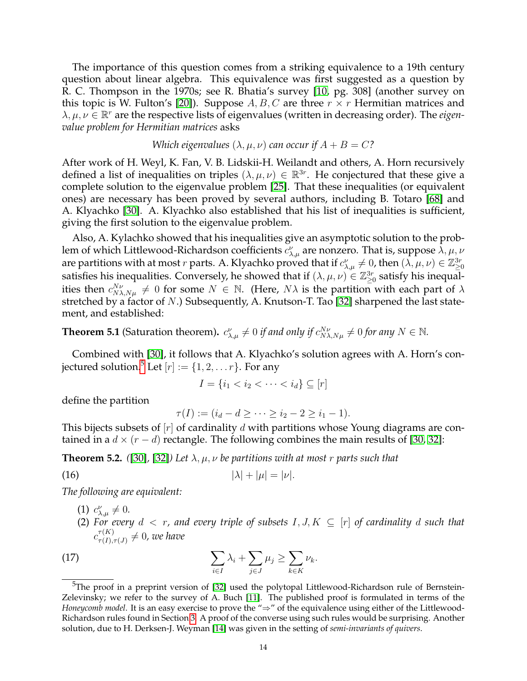The importance of this question comes from a striking equivalence to a 19th century question about linear algebra. This equivalence was first suggested as a question by R. C. Thompson in the 1970s; see R. Bhatia's survey [\[10,](#page-36-16) pg. 308] (another survey on this topic is W. Fulton's [\[20\]](#page-36-17)). Suppose  $A, B, C$  are three  $r \times r$  Hermitian matrices and  $\lambda, \mu, \nu \in \mathbb{R}^r$  are the respective lists of eigenvalues (written in decreasing order). The *eigenvalue problem for Hermitian matrices* asks

## *Which eigenvalues*  $(\lambda, \mu, \nu)$  *can occur if*  $A + B = C$ ?

After work of H. Weyl, K. Fan, V. B. Lidskii-H. Weilandt and others, A. Horn recursively defined a list of inequalities on triples  $(\lambda, \mu, \nu) \in \mathbb{R}^{3r}$ . He conjectured that these give a complete solution to the eigenvalue problem [\[25\]](#page-36-18). That these inequalities (or equivalent ones) are necessary has been proved by several authors, including B. Totaro [\[68\]](#page-37-11) and A. Klyachko [\[30\]](#page-36-19). A. Klyachko also established that his list of inequalities is sufficient, giving the first solution to the eigenvalue problem.

Also, A. Kylachko showed that his inequalities give an asymptotic solution to the problem of which Littlewood-Richardson coefficients  $c^{\nu}_{\lambda,\mu}$  are nonzero. That is, suppose  $\bar{\lambda},\mu,\nu$ are partitions with at most  $r$  parts. A. Klyachko proved that if  $c_{\lambda,\mu}^\nu\neq 0$ , then  $(\lambda,\mu,\nu)\in\Z_{\geq 0}^{3r}$ satisfies his inequalities. Conversely, he showed that if  $(\lambda, \mu, \nu) \in \mathbb{Z}_{\geq 0}^{3r}$  satisfy his inequalities then  $c_{N\lambda,N\mu}^{N\nu} \neq 0$  for some  $N \in \mathbb{N}$ . (Here,  $N\lambda$  is the partition with each part of  $\lambda$ stretched by a factor of N.) Subsequently, A. Knutson-T. Tao [\[32\]](#page-36-20) sharpened the last statement, and established:

<span id="page-13-2"></span>**Theorem 5.1** (Saturation theorem).  $c_{\lambda,\mu}^{\nu} \neq 0$  *if and only if*  $c_{N\lambda,N\mu}^{N\nu} \neq 0$  *for any*  $N \in \mathbb{N}$ .

Combined with [\[30\]](#page-36-19), it follows that A. Klyachko's solution agrees with A. Horn's con-jectured solution.<sup>[5](#page-13-0)</sup> Let  $[r] := \{1, 2, \ldots r\}$ . For any

$$
I = \{i_1 < i_2 < \dots < i_d\} \subseteq [r]
$$

define the partition

<span id="page-13-4"></span>
$$
\tau(I) := (i_d - d \ge \dots \ge i_2 - 2 \ge i_1 - 1).
$$

This bijects subsets of  $[r]$  of cardinality d with partitions whose Young diagrams are contained in a  $d \times (r - d)$  rectangle. The following combines the main results of [\[30,](#page-36-19) [32\]](#page-36-20):

<span id="page-13-1"></span>**Theorem 5.2.** ([\[30\]](#page-36-19), [\[32\]](#page-36-20)) Let  $\lambda, \mu, \nu$  be partitions with at most r parts such that

$$
|\lambda| + |\mu| = |\nu|.
$$

*The following are equivalent:*

- (1)  $c^{\nu}_{\lambda,\mu} \neq 0$ .
- <span id="page-13-3"></span>(2) For every  $d < r$ , and every triple of subsets  $I, J, K \subseteq [r]$  of cardinality d such that  $c^{\tau(K)}_{\tau(L)}$  $_{\tau(I),\tau(J)}^{\tau(K)}\neq0$ , we have

(17) 
$$
\sum_{i\in I} \lambda_i + \sum_{j\in J} \mu_j \geq \sum_{k\in K} \nu_k.
$$

<span id="page-13-0"></span> $5$ The proof in a preprint version of [\[32\]](#page-36-20) used the polytopal Littlewood-Richardson rule of Bernstein-Zelevinsky; we refer to the survey of A. Buch [\[11\]](#page-36-21). The published proof is formulated in terms of the *Honeycomb model*. It is an easy exercise to prove the "⇒" of the equivalence using either of the Littlewood-Richardson rules found in Section [3.](#page-5-0) A proof of the converse using such rules would be surprising. Another solution, due to H. Derksen-J. Weyman [\[14\]](#page-36-22) was given in the setting of *semi-invariants of quivers*.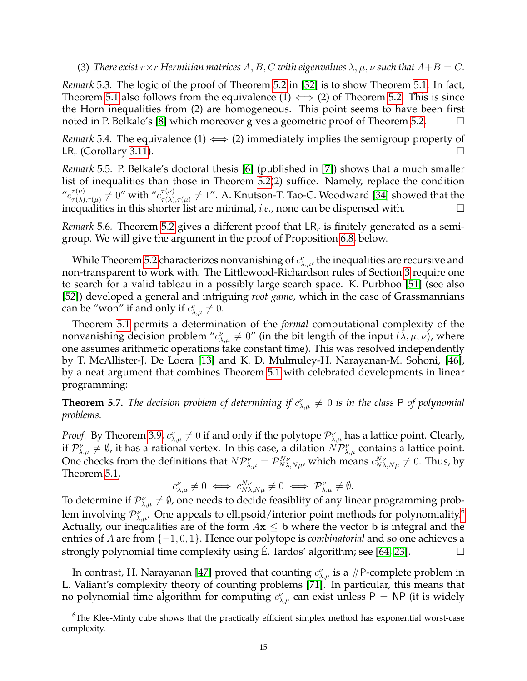(3) *There exist*  $r \times r$  *Hermitian matrices* A, B, C *with eigenvalues*  $\lambda$ ,  $\mu$ ,  $\nu$  *such that*  $A + B = C$ .

<span id="page-14-1"></span>*Remark* 5.3*.* The logic of the proof of Theorem [5.2](#page-13-1) in [\[32\]](#page-36-20) is to show Theorem [5.1.](#page-13-2) In fact, Theorem [5.1](#page-13-2) also follows from the equivalence  $(1) \iff (2)$  of Theorem [5.2.](#page-13-1) This is since the Horn inequalities from (2) are homogeneous. This point seems to have been first noted in P. Belkale's [\[8\]](#page-36-23) which moreover gives a geometric proof of Theorem [5.2.](#page-13-1)

<span id="page-14-3"></span>*Remark* 5.4. The equivalence (1)  $\iff$  (2) immediately implies the semigroup property of  $LR_r$  (Corollary [3.11\)](#page-8-1).

<span id="page-14-2"></span>*Remark* 5.5*.* P. Belkale's doctoral thesis [\[6\]](#page-35-3) (published in [\[7\]](#page-36-24)) shows that a much smaller list of inequalities than those in Theorem [5.2\(](#page-13-1)2) suffice. Namely, replace the condition  $^{\prime\prime}c_{\tau(\lambda)}^{\tau(\nu)}$  $\tau^{(\nu)}_{\tau(\lambda),\tau(\mu)}\neq 0''$  with  $^{\prime\prime}c^{\tau(\nu)}_{\tau(\lambda)}$  $\frac{\tau^{(\nu)}}{\tau(\lambda),\tau(\mu)}\neq 1''.$  A. Knutson-T. Tao-C. Woodward [\[34\]](#page-36-25) showed that the inequalities in this shorter list are minimal, *i.e.*, none can be dispensed with.  $\Box$ 

*Remark* 5.6. Theorem [5.2](#page-13-1) gives a different proof that  $LR<sub>r</sub>$  is finitely generated as a semigroup. We will give the argument in the proof of Proposition [6.8,](#page-16-0) below.

While Theorem [5.2](#page-13-1) characterizes nonvanishing of  $c^{\nu}_{\lambda,\mu}$ , the inequalities are recursive and non-transparent to work with. The Littlewood-Richardson rules of Section [3](#page-5-0) require one to search for a valid tableau in a possibly large search space. K. Purbhoo [\[51\]](#page-37-12) (see also [\[52\]](#page-37-13)) developed a general and intriguing *root game*, which in the case of Grassmannians can be "won" if and only if  $c^{\nu}_{\lambda,\mu}\neq 0$ .

Theorem [5.1](#page-13-2) permits a determination of the *formal* computational complexity of the nonvanishing decision problem  ${}''c_{\lambda,\mu}^{\nu}\neq 0"$  (in the bit length of the input  $(\lambda,\mu,\nu)$ , where one assumes arithmetic operations take constant time). This was resolved independently by T. McAllister-J. De Loera [\[13\]](#page-36-26) and K. D. Mulmuley-H. Narayanan-M. Sohoni, [\[46\]](#page-37-10), by a neat argument that combines Theorem [5.1](#page-13-2) with celebrated developments in linear programming:

<span id="page-14-4"></span>**Theorem 5.7.** The decision problem of determining if  $c^{\nu}_{\lambda,\mu} \neq 0$  is in the class P of polynomial *problems.*

*Proof.* By Theorem [3.9,](#page-8-0)  $c_{\lambda,\mu}^{\nu} \neq 0$  if and only if the polytope  $\mathcal{P}_{\lambda,\mu}^{\nu}$  has a lattice point. Clearly, if  $\mathcal{P}_{\lambda,\mu}^{\nu}\neq\emptyset$ , it has a rational vertex. In this case, a dilation  $\dot{NP}_{\lambda,\mu}^{\nu}$  contains a lattice point. One checks from the definitions that  $N\mathcal{P}_{\lambda,\mu}^{\nu} = \mathcal{P}_{N\lambda,N\mu}^{N\nu}$ , which means  $c_{N\lambda,N\mu}^{N\nu} \neq 0$ . Thus, by Theorem [5.1,](#page-13-2)

$$
c_{\lambda,\mu}^{\nu} \neq 0 \iff c_{N\lambda,N\mu}^{N\nu} \neq 0 \iff \mathcal{P}_{\lambda,\mu}^{\nu} \neq \emptyset.
$$

To determine if  $\mathcal{P}_{\lambda,\mu}^{\nu}\neq\emptyset$ , one needs to decide feasiblity of any linear programming problem involving  $\mathcal{P}_{\lambda,\mu}^{\nu}.$  One appeals to ellipsoid/interior point methods for polynomiality. $^{6}$  $^{6}$  $^{6}$ Actually, our inequalities are of the form  $Ax \leq b$  where the vector b is integral and the entries of A are from {−1, 0, 1}. Hence our polytope is *combinatorial* and so one achieves a strongly polynomial time complexity using E. Tardos' algorithm; see  $[64, 23]$  $[64, 23]$ .

In contrast, H. Narayanan [\[47\]](#page-37-15) proved that counting  $c^{\nu}_{\lambda,\mu}$  is a #P-complete problem in L. Valiant's complexity theory of counting problems [\[71\]](#page-38-4). In particular, this means that no polynomial time algorithm for computing  $c^{\nu}_{\lambda,\mu}$  can exist unless P = NP (it is widely

<span id="page-14-0"></span> $6$ The Klee-Minty cube shows that the practically efficient simplex method has exponential worst-case complexity.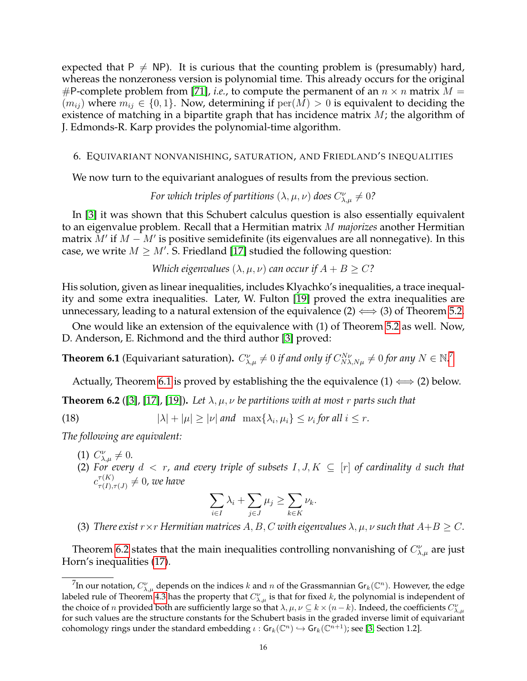expected that  $P \neq NP$ ). It is curious that the counting problem is (presumably) hard, whereas the nonzeroness version is polynomial time. This already occurs for the original #P-complete problem from [\[71\]](#page-38-4), *i.e.*, to compute the permanent of an  $n \times n$  matrix  $M =$  $(m_{ij})$  where  $m_{ij} \in \{0,1\}$ . Now, determining if  $per(M) > 0$  is equivalent to deciding the existence of matching in a bipartite graph that has incidence matrix  $M$ ; the algorithm of J. Edmonds-R. Karp provides the polynomial-time algorithm.

### 6. EQUIVARIANT NONVANISHING, SATURATION, AND FRIEDLAND'S INEQUALITIES

We now turn to the equivariant analogues of results from the previous section.

*For which triples of partitions*  $(\lambda, \mu, \nu)$  *does*  $C_{\lambda, \mu}^{\nu} \neq 0$ ?

In [\[3\]](#page-35-4) it was shown that this Schubert calculus question is also essentially equivalent to an eigenvalue problem. Recall that a Hermitian matrix M *majorizes* another Hermitian matrix  $\bar{M}'$  if  $M-\bar{M}'$  is positive semidefinite (its eigenvalues are all nonnegative). In this case, we write  $M \geq M'$ . S. Friedland [\[17\]](#page-36-28) studied the following question:

<span id="page-15-3"></span>*Which eigenvalues*  $(\lambda, \mu, \nu)$  *can occur if*  $A + B \geq C$ ?

His solution, given as linear inequalities, includes Klyachko's inequalities, a trace inequality and some extra inequalities. Later, W. Fulton [\[19\]](#page-36-4) proved the extra inequalities are unnecessary, leading to a natural extension of the equivalence  $(2) \iff (3)$  of Theorem [5.2.](#page-13-1)

One would like an extension of the equivalence with (1) of Theorem [5.2](#page-13-1) as well. Now, D. Anderson, E. Richmond and the third author [\[3\]](#page-35-4) proved:

<span id="page-15-1"></span>**Theorem 6.1** (Equivariant saturation).  $C_{\lambda,\mu}^{\nu}\neq 0$  *if and only if*  $C_{N\lambda,N\mu}^{N\nu}\neq 0$  for any  $N\in\mathbb{N}^{.7}$  $N\in\mathbb{N}^{.7}$  $N\in\mathbb{N}^{.7}$ 

Actually, Theorem [6.1](#page-15-1) is proved by establishing the the equivalence (1)  $\Longleftrightarrow$  (2) below.

<span id="page-15-2"></span>**Theorem 6.2** ([\[3\]](#page-35-4), [\[17\]](#page-36-28), [\[19\]](#page-36-4)). Let  $\lambda, \mu, \nu$  be partitions with at most r parts such that

(18) 
$$
|\lambda| + |\mu| \ge |\nu| \text{ and } \max\{\lambda_i, \mu_i\} \le \nu_i \text{ for all } i \le r.
$$

*The following are equivalent:*

- (1)  $C_{\lambda,\mu}^{\nu} \neq 0$ .
- (2) For every  $d < r$ , and every triple of subsets  $I, J, K \subseteq [r]$  of cardinality d such that  $c^{\tau(K)}_{\tau(L)}$  $_{\tau(I),\tau(J)}^{\tau(K)}\neq0$ , we have

$$
\sum_{i \in I} \lambda_i + \sum_{j \in J} \mu_j \ge \sum_{k \in K} \nu_k.
$$

(3) *There exist*  $r \times r$  *Hermitian matrices*  $A, B, C$  *with eigenvalues*  $\lambda, \mu, \nu$  *such that*  $A + B \geq C$ *.* 

Theorem [6.2](#page-15-2) states that the main inequalities controlling nonvanishing of  $C_{\lambda,\mu}^{\nu}$  are just Horn's inequalities [\(17\)](#page-13-3).

<span id="page-15-0"></span> $^7$ In our notation,  $C_{\lambda,\mu}^\nu$  depends on the indices  $k$  and  $n$  of the Grassmannian Gr $_k({\Bbb C}^n).$  However, the edge labeled rule of Theorem [4.3](#page-10-0) has the property that  $C_{\lambda,\mu}^{\nu}$  is that for fixed k, the polynomial is independent of the choice of n provided both are sufficiently large so that  $\lambda, \mu, \nu \subseteq k \times (n-k)$ . Indeed, the coefficients  $C_{\lambda,\mu}^{\nu}$ for such values are the structure constants for the Schubert basis in the graded inverse limit of equivariant cohomology rings under the standard embedding  $\iota: \mathsf{Gr}_k(\mathbb{C}^n) \hookrightarrow \mathsf{Gr}_k(\mathbb{C}^{n+1})$ ; see [\[3,](#page-35-4) Section 1.2].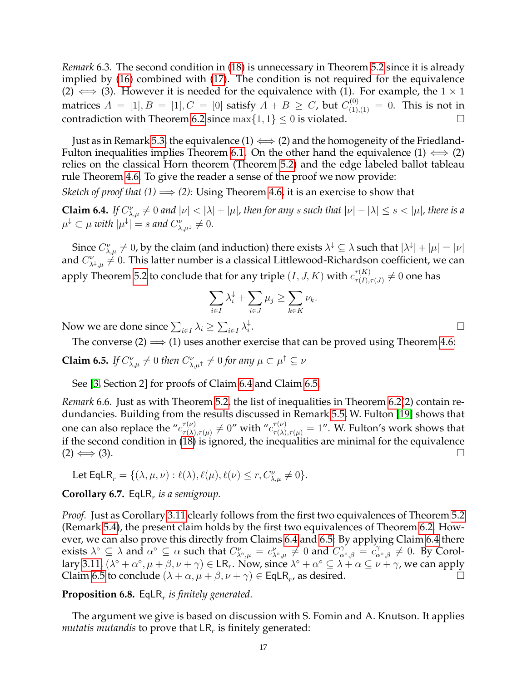*Remark* 6.3*.* The second condition in [\(18\)](#page-15-3) is unnecessary in Theorem [5.2](#page-13-1) since it is already implied by [\(16\)](#page-13-4) combined with [\(17\)](#page-13-3). The condition is not required for the equivalence (2)  $\iff$  (3). However it is needed for the equivalence with (1). For example, the  $1 \times 1$ matrices  $A\,=\,[1], B\,=\,[1], C\,=\,[0]$  satisfy  $A\,+\,B\,\geq\,C$ , but  $C_{(1),(1)}^{(0)}\,=\,0.$  This is not in contradiction with Theorem [6.2](#page-15-2) since  $\max\{1, 1\} \leq 0$  is violated.

Just as in Remark [5.3,](#page-14-1) the equivalence  $(1) \Longleftrightarrow (2)$  and the homogeneity of the Friedland-Fulton inequalities implies Theorem [6.1.](#page-15-1) On the other hand the equivalence  $(1) \iff (2)$ relies on the classical Horn theorem (Theorem [5.2\)](#page-13-1) and the edge labeled ballot tableau rule Theorem [4.6.](#page-12-1) To give the reader a sense of the proof we now provide:

*Sketch of proof that*  $(1) \Longrightarrow (2)$ : Using Theorem [4.6,](#page-12-1) it is an exercise to show that

<span id="page-16-1"></span>**Claim 6.4.** *If*  $C_{\lambda,\mu}^{\nu} \neq 0$  and  $|\nu| < |\lambda| + |\mu|$ , then for any s such that  $|\nu| - |\lambda| \leq s < |\mu|$ , there is a  $\mu^\downarrow \subset \mu$  with  $|\mu^\downarrow| = s$  and  $C_{\lambda,\mu^\downarrow}^\nu \neq 0.$ 

Since  $C_{\lambda,\mu}^{\nu}\neq 0$ , by the claim (and induction) there exists  $\lambda^{\downarrow}\subseteq\lambda$  such that  $|\lambda^{\downarrow}|+|\mu|=|\nu|$ and  $C_{\lambda^{\downarrow},\mu}^{\nu}\neq 0.$  This latter number is a classical Littlewood-Richardson coefficient, we can apply Theorem [5.2](#page-13-1) to conclude that for any triple  $(I,J,K)$  with  $c^{\tau(K)}_{\tau(I)}$  $\frac{\tau(\mathbf{A})}{\tau(I),\tau(J)}\neq 0$  one has

$$
\sum_{i\in I} \lambda_i^{\downarrow} + \sum_{i\in J} \mu_j \ge \sum_{k\in K} \nu_k.
$$

Now we are done since  $\sum_{i\in I}\lambda_i\geq \sum_{i\in I}\lambda_i^{\downarrow}$ i

The converse (2)  $\implies$  (1) uses another exercise that can be proved using Theorem [4.6:](#page-12-1)

<span id="page-16-2"></span>**Claim 6.5.** *If*  $C^{\nu}_{\lambda,\mu} \neq 0$  *then*  $C^{\nu}_{\lambda,\mu^{\uparrow}} \neq 0$  *for any*  $\mu \subset \mu^{\uparrow} \subseteq \nu$ 

See [\[3,](#page-35-4) Section 2] for proofs of Claim [6.4](#page-16-1) and Claim [6.5.](#page-16-2)

*Remark* 6.6*.* Just as with Theorem [5.2,](#page-13-1) the list of inequalities in Theorem [6.2\(](#page-15-2)2) contain redundancies. Building from the results discussed in Remark [5.5,](#page-14-2) W. Fulton [\[19\]](#page-36-4) shows that one can also replace the " $c^{\tau(\nu)}_{\tau(\lambda)}$  $\tau^{(\nu)}_{\tau(\lambda),\tau(\mu)}\neq 0''$  with  $''c^{\tau(\nu)}_{\tau(\lambda),\tau(\mu)}=1''.$  W. Fulton's work shows that if the second condition in [\(18\)](#page-15-3) is ignored, the inequalities are minimal for the equivalence  $(2) \Longleftrightarrow (3).$ 

Let  $\mathsf{EqLR}_r = \{(\lambda, \mu, \nu) : \ell(\lambda), \ell(\mu), \ell(\nu) \le r, C_{\lambda,\mu}^{\nu} \neq 0\}.$ 

**Corollary 6.7.** EqLR<sub>r</sub> is a semigroup.

*Proof.* Just as Corollary [3.11](#page-8-1) clearly follows from the first two equivalences of Theorem [5.2](#page-13-1) (Remark [5.4\)](#page-14-3), the present claim holds by the first two equivalences of Theorem [6.2.](#page-15-2) However, we can also prove this directly from Claims [6.4](#page-16-1) and [6.5:](#page-16-2) By applying Claim [6.4](#page-16-1) there exists  $\lambda^{\circ} \subseteq \lambda$  and  $\alpha^{\circ} \subseteq \alpha$  such that  $C^{\nu}_{\lambda^{\circ},\mu} = c^{\nu}_{\lambda^{\circ},\mu} \neq 0$  and  $C^{\gamma}_{\alpha^{\circ},\beta} = c^{\gamma}_{\alpha^{\circ},\beta} \neq 0$ . By Corol-lary [3.11,](#page-8-1)  $(\lambda^\circ+\alpha^\circ,\mu+\beta,\nu+\gamma)\in \sf{LR}_r.$  Now, since  $\lambda^\circ+\alpha^\circ\subseteq\lambda+\alpha\subseteq\nu+\gamma$ , we can apply Claim [6.5](#page-16-2) to conclude  $(\lambda + \alpha, \mu + \beta, \nu + \gamma) \in \text{EqLR}_r$ , as desired.

# <span id="page-16-0"></span>**Proposition 6.8.** EqLR<sub>r</sub> is finitely generated.

The argument we give is based on discussion with S. Fomin and A. Knutson. It applies *mutatis mutandis* to prove that  $LR<sub>r</sub>$  is finitely generated:

. В последните поставите на селото на селото на селото на селото на селото на селото на селото на селото на се<br>Селото на селото на селото на селото на селото на селото на селото на селото на селото на селото на селото на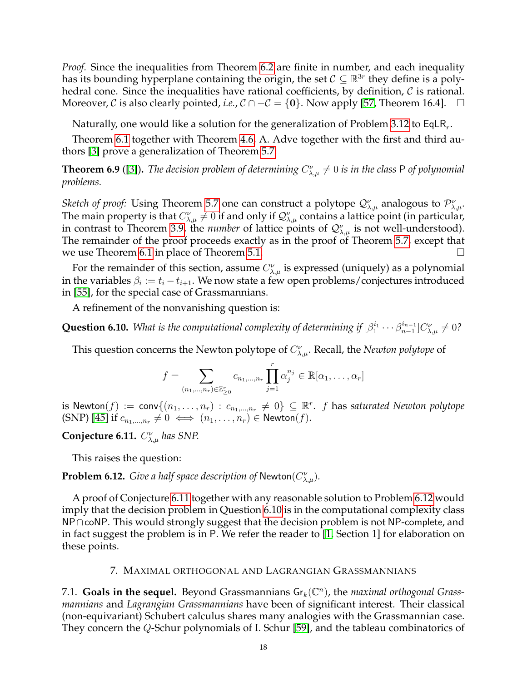*Proof.* Since the inequalities from Theorem [6.2](#page-15-2) are finite in number, and each inequality has its bounding hyperplane containing the origin, the set  $C \subseteq \mathbb{R}^{3r}$  they define is a polyhedral cone. Since the inequalities have rational coefficients, by definition,  $C$  is rational. Moreover, C is also clearly pointed, *i.e.*,  $C \cap -C = \{0\}$ . Now apply [\[57,](#page-37-16) Theorem 16.4].  $\Box$ 

Naturally, one would like a solution for the generalization of Problem [3.12](#page-8-2) to EqLR $_{r}$ .

Theorem [6.1](#page-15-1) together with Theorem [4.6,](#page-12-1) A. Adve together with the first and third authors [\[3\]](#page-35-4) prove a generalization of Theorem [5.7:](#page-14-4)

<span id="page-17-4"></span>**Theorem 6.9** ([\[3\]](#page-35-4)). The decision problem of determining  $C^{\nu}_{\lambda,\mu}\neq 0$  is in the class P of polynomial *problems.*

*Sketch of proof:* Using Theorem [5.7](#page-14-4) one can construct a polytope  $\mathcal{Q}_{\lambda,\mu}^{\nu}$  analogous to  $\mathcal{P}_{\lambda,\mu}^{\nu}$ . The main property is that  $C_{\lambda,\mu}^{\nu}\neq 0$  if and only if  $\mathcal{Q}_{\lambda,\mu}^{\nu}$  contains a lattice point (in particular, in contrast to Theorem [3.9,](#page-8-0) the *number* of lattice points of  $\mathcal{Q}_{\lambda,\mu}^{\nu}$  is not well-understood). The remainder of the proof proceeds exactly as in the proof of Theorem [5.7,](#page-14-4) except that we use Theorem [6.1](#page-15-1) in place of Theorem [5.1.](#page-13-2)  $\Box$ 

For the remainder of this section, assume  $C_{\lambda,\mu}^{\nu}$  is expressed (uniquely) as a polynomial in the variables  $\beta_i := t_i - t_{i+1}.$  We now state a few open problems/conjectures introduced in [\[55\]](#page-37-7), for the special case of Grassmannians.

A refinement of the nonvanishing question is:

<span id="page-17-3"></span>**Question 6.10.** *What is the computational complexity of determining if*  $[\beta_1^{i_1} \cdots \beta_{n-1}^{i_{n-1}}]$  $\binom{n-1}{n-1} C_{\lambda,\mu}^{\nu} \neq 0$ ?

This question concerns the Newton polytope of  $C_{\lambda,\mu}^{\nu}$ . Recall, the *Newton polytope* of

$$
f = \sum_{(n_1,\ldots,n_r)\in\mathbb{Z}_{\geq 0}^r} c_{n_1,\ldots,n_r} \prod_{j=1}^r \alpha_j^{n_j} \in \mathbb{R}[\alpha_1,\ldots,\alpha_r]
$$

is  ${\sf Newton}(f) := {\sf conv}\{(n_1,\ldots,n_r) \,:\, c_{n_1,\ldots,n_r}\, \neq\, 0\} \,\subseteq\, \mathbb{R}^r.$  *f* has saturated Newton polytope (SNP) [\[45\]](#page-37-17) if  $c_{n_1,\dots,n_r}\neq 0 \iff (n_1,\dots,n_r) \in \text{Newton}(f)$ .

<span id="page-17-1"></span>**Conjecture 6.11.**  $C_{\lambda,\mu}^{\nu}$  has SNP.

This raises the question:

<span id="page-17-2"></span>**Problem 6.12.** *Give a half space description of* Newton $(C_{\lambda,\mu}^{\nu})$ *.* 

A proof of Conjecture [6.11](#page-17-1) together with any reasonable solution to Problem [6.12](#page-17-2) would imply that the decision problem in Question [6.10](#page-17-3) is in the computational complexity class NP∩coNP. This would strongly suggest that the decision problem is not NP-complete, and in fact suggest the problem is in P. We refer the reader to [\[1,](#page-35-5) Section 1] for elaboration on these points.

### 7. MAXIMAL ORTHOGONAL AND LAGRANGIAN GRASSMANNIANS

<span id="page-17-0"></span>7.1. **Goals in the sequel.** Beyond Grassmannians  $Gr_k(\mathbb{C}^n)$ , the *maximal orthogonal Grassmannians* and *Lagrangian Grassmannians* have been of significant interest. Their classical (non-equivariant) Schubert calculus shares many analogies with the Grassmannian case. They concern the Q-Schur polynomials of I. Schur [\[59\]](#page-37-18), and the tableau combinatorics of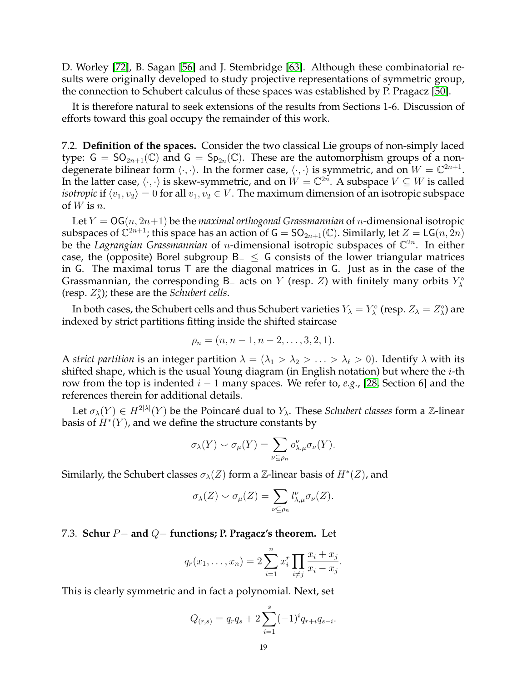D. Worley [\[72\]](#page-38-5), B. Sagan [\[56\]](#page-37-19) and J. Stembridge [\[63\]](#page-37-20). Although these combinatorial results were originally developed to study projective representations of symmetric group, the connection to Schubert calculus of these spaces was established by P. Pragacz [\[50\]](#page-37-21).

It is therefore natural to seek extensions of the results from Sections 1-6. Discussion of efforts toward this goal occupy the remainder of this work.

7.2. **Definition of the spaces.** Consider the two classical Lie groups of non-simply laced type:  $G = SO_{2n+1}(\mathbb{C})$  and  $G = Sp_{2n}(\mathbb{C})$ . These are the automorphism groups of a nondegenerate bilinear form  $\langle \cdot, \cdot \rangle$ . In the former case,  $\langle \cdot, \cdot \rangle$  is symmetric, and on  $W = \mathbb{C}^{2n+1}$ . In the latter case,  $\langle \cdot, \cdot \rangle$  is skew-symmetric, and on  $W = \mathbb{C}^{2n}$ . A subspace  $V \subseteq W$  is called *isotropic* if  $\langle v_1, v_2 \rangle = 0$  for all  $v_1, v_2 \in V$ . The maximum dimension of an isotropic subspace of  $W$  is  $n$ .

Let  $Y = OG(n, 2n+1)$  be the *maximal orthogonal Grassmannian* of *n*-dimensional isotropic subspaces of  $\mathbb{C}^{2n+1}$ ; this space has an action of G = SO $_{2n+1}(\mathbb{C})$ . Similarly, let  $Z = \mathsf{LG}(n, \overline{2n})$ be the Lagrangian Grassmannian of *n*-dimensional isotropic subspaces of  $\mathbb{C}^{2n}$ . In either case, the (opposite) Borel subgroup  $B_-\leq G$  consists of the lower triangular matrices in G. The maximal torus T are the diagonal matrices in G. Just as in the case of the Grassmannian, the corresponding B<sub>-</sub> acts on Y (resp. Z) with finitely many orbits  $Y_\lambda^\circ$ (resp.  $Z_{\lambda}^{\circ}$ ); these are the *Schubert cells*.

In both cases, the Schubert cells and thus Schubert varieties  $Y_\lambda=\overline{Y^\circ_\lambda}$  (resp.  $Z_\lambda=\overline{Z^\circ_\lambda}$ ) are indexed by strict partitions fitting inside the shifted staircase

$$
\rho_n = (n, n-1, n-2, \ldots, 3, 2, 1).
$$

A *strict partition* is an integer partition  $\lambda = (\lambda_1 > \lambda_2 > \ldots > \lambda_\ell > 0)$ . Identify  $\lambda$  with its shifted shape, which is the usual Young diagram (in English notation) but where the  $i$ -th row from the top is indented i − 1 many spaces. We refer to, *e.g.*, [\[28,](#page-36-10) Section 6] and the references therein for additional details.

Let  $\sigma_{\lambda}(Y) \in H^{2|\lambda|}(Y)$  be the Poincaré dual to  $Y_{\lambda}$ . These *Schubert classes* form a Z-linear basis of  $H^*(Y)$ , and we define the structure constants by

$$
\sigma_{\lambda}(Y) \smile \sigma_{\mu}(Y) = \sum_{\nu \subseteq \rho_n} o_{\lambda,\mu}^{\nu} \sigma_{\nu}(Y).
$$

Similarly, the Schubert classes  $\sigma_\lambda(Z)$  form a  $\mathbb Z$ -linear basis of  $H^*(Z)$ , and

$$
\sigma_{\lambda}(Z) \smile \sigma_{\mu}(Z) = \sum_{\nu \subseteq \rho_n} l_{\lambda,\mu}^{\nu} \sigma_{\nu}(Z).
$$

### 7.3. **Schur** P− **and** Q− **functions; P. Pragacz's theorem.** Let

$$
q_r(x_1,...,x_n) = 2\sum_{i=1}^n x_i^r \prod_{i \neq j} \frac{x_i + x_j}{x_i - x_j}.
$$

This is clearly symmetric and in fact a polynomial. Next, set

$$
Q_{(r,s)} = q_r q_s + 2 \sum_{i=1}^s (-1)^i q_{r+i} q_{s-i}.
$$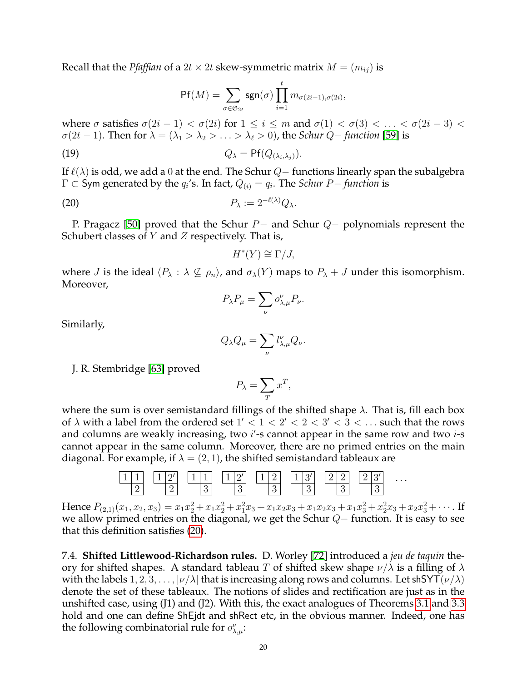Recall that the *Pfaffian* of a  $2t \times 2t$  skew-symmetric matrix  $M = (m_{ij})$  is

$$
\mathsf{Pf}(M) = \sum_{\sigma \in \mathfrak{S}_{2t}} \mathsf{sgn}(\sigma) \prod_{i=1}^t m_{\sigma(2i-1), \sigma(2i)},
$$

where  $\sigma$  satisfies  $\sigma(2i-1) < \sigma(2i)$  for  $1 \leq i \leq m$  and  $\sigma(1) < \sigma(3) < \ldots < \sigma(2i-3) < \sigma(3)$  $\sigma(2t-1)$ . Then for  $\lambda = (\lambda_1 > \lambda_2 > \ldots > \lambda_\ell > 0)$ , the *Schur Q*– *function* [\[59\]](#page-37-18) is

(19) 
$$
Q_{\lambda} = \mathsf{Pf}(Q_{(\lambda_i,\lambda_j)}).
$$

If  $\ell(\lambda)$  is odd, we add a 0 at the end. The Schur  $Q-$  functions linearly span the subalgebra  $Γ ⊂$  Sym generated by the  $q_i$ 's. In fact,  $Q_{(i)} = q_i$ . The *Schur P− function* is

$$
P_{\lambda} := 2^{-\ell(\lambda)} Q_{\lambda}.
$$

P. Pragacz [\[50\]](#page-37-21) proved that the Schur P− and Schur Q− polynomials represent the Schubert classes of  $Y$  and  $Z$  respectively. That is,

<span id="page-19-0"></span>
$$
H^*(Y) \cong \Gamma/J,
$$

where J is the ideal  $\langle P_\lambda : \lambda \nsubseteq \rho_n \rangle$ , and  $\sigma_\lambda(Y)$  maps to  $P_\lambda + J$  under this isomorphism. Moreover,

$$
P_{\lambda}P_{\mu} = \sum_{\nu} o_{\lambda,\mu}^{\nu} P_{\nu}.
$$

Similarly,

$$
Q_{\lambda}Q_{\mu} = \sum_{\nu} l_{\lambda,\mu}^{\nu} Q_{\nu}.
$$

J. R. Stembridge [\[63\]](#page-37-20) proved

$$
P_{\lambda} = \sum_{T} x^{T},
$$

where the sum is over semistandard fillings of the shifted shape  $\lambda$ . That is, fill each box of  $\lambda$  with a label from the ordered set  $1' < 1 < 2' < 2 < 3' < 3 < \ldots$  such that the rows and columns are weakly increasing, two  $i'$ -s cannot appear in the same row and two  $i$ -s cannot appear in the same column. Moreover, there are no primed entries on the main diagonal. For example, if  $\lambda = (2, 1)$ , the shifted semistandard tableaux are



Hence  $P_{(2,1)}(x_1, x_2, x_3) = x_1x_2^2 + x_1x_2^2 + x_1^2x_3 + x_1x_2x_3 + x_1x_2x_3 + x_1x_3^2 + x_2^2x_3 + x_2x_3^2 + \cdots$ . If we allow primed entries on the diagonal, we get the Schur Q− function. It is easy to see that this definition satisfies [\(20\)](#page-19-0).

7.4. **Shifted Littlewood-Richardson rules.** D. Worley [\[72\]](#page-38-5) introduced a *jeu de taquin* theory for shifted shapes. A standard tableau T of shifted skew shape  $\nu/\lambda$  is a filling of  $\lambda$ with the labels  $1, 2, 3, \ldots, |\nu/\lambda|$  that is increasing along rows and columns. Let shSYT( $\nu/\lambda$ ) denote the set of these tableaux. The notions of slides and rectification are just as in the unshifted case, using (J1) and (J2). With this, the exact analogues of Theorems [3.1](#page-5-3) and [3.3](#page-6-0) hold and one can define ShEjdt and shRect etc, in the obvious manner. Indeed, one has the following combinatorial rule for  $o_{\lambda,\mu}^{\nu}$ :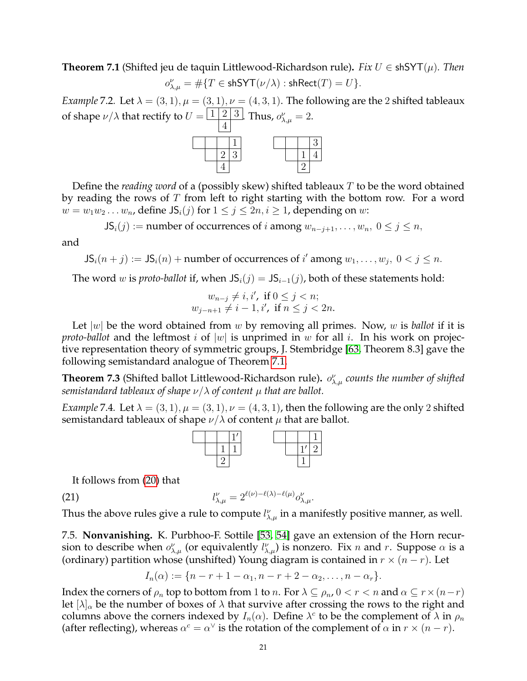<span id="page-20-0"></span>**Theorem 7.1** (Shifted jeu de taquin Littlewood-Richardson rule)**.** *Fix* U ∈ shSYT(µ)*. Then*  $o^{\nu}_{\lambda,\mu} = \#\{T \in \mathsf{shSYT}(\nu/\lambda) : \mathsf{shRect}(T) = U\}.$ 

*Example* 7.2*.* Let  $\lambda = (3, 1), \mu = (3, 1), \nu = (4, 3, 1)$ . The following are the 2 shifted tableaux of shape  $\nu/\lambda$  that rectify to  $U=\begin{array}{|c|c|} \hline 1&2&3 \ \hline \end{array}$ . Thus,  $o_{\lambda,\mu}^{\nu}=2$ .



Define the *reading word* of a (possibly skew) shifted tableaux T to be the word obtained by reading the rows of  $T$  from left to right starting with the bottom row. For a word  $w = w_1w_2 \ldots w_n$ , define  $JS_i(j)$  for  $1 \leq j \leq 2n, i \geq 1$ , depending on w:

 $JS_i(j) :=$  number of occurrences of *i* among  $w_{n-j+1}, \ldots, w_n, 0 \le j \le n$ ,

and

 $JS_i(n+j) := JS_i(n) +$  number of occurrences of i' among  $w_1, \ldots, w_j, 0 < j \le n$ .

The word *w* is *proto-ballot* if, when  $JS_i(j) = JS_{i-1}(j)$ , both of these statements hold:

$$
w_{n-j} \neq i, i', \text{ if } 0 \leq j < n; \\
w_{j-n+1} \neq i-1, i', \text{ if } n \leq j < 2n.
$$

Let  $|w|$  be the word obtained from  $w$  by removing all primes. Now,  $w$  is *ballot* if it is *proto-ballot* and the leftmost i of |w| is unprimed in w for all i. In his work on projective representation theory of symmetric groups, J. Stembridge [\[63,](#page-37-20) Theorem 8.3] gave the following semistandard analogue of Theorem [7.1.](#page-20-0)

**Theorem 7.3** (Shifted ballot Littlewood-Richardson rule).  $o_{\lambda,\mu}^{\nu}$  counts the number of shifted *semistandard tableaux of shape*  $\nu/\lambda$  *of content*  $\mu$  *that are ballot.* 

*Example* 7.4*.* Let  $\lambda = (3, 1), \mu = (3, 1), \nu = (4, 3, 1)$ , then the following are the only 2 shifted semistandard tableaux of shape  $\nu/\lambda$  of content  $\mu$  that are ballot.

<span id="page-20-1"></span>

It follows from [\(20\)](#page-19-0) that

 $(l21)$   $l$  $v_{\lambda,\mu}^{\nu} = 2^{\ell(\nu) - \ell(\lambda) - \ell(\mu)} o_{\lambda,\mu}^{\nu}.$ 

Thus the above rules give a rule to compute  $l_{\lambda,\mu}^{\nu}$  in a manifestly positive manner, as well.

7.5. **Nonvanishing.** K. Purbhoo-F. Sottile [\[53,](#page-37-22) [54\]](#page-37-23) gave an extension of the Horn recursion to describe when  $o_{\lambda,\mu}^{\nu}$  (or equivalently  $l_{\lambda,\mu}^{\nu}$ ) is nonzero. Fix n and r. Suppose  $\alpha$  is a (ordinary) partition whose (unshifted) Young diagram is contained in  $r \times (n - r)$ . Let

$$
I_n(\alpha) := \{ n - r + 1 - \alpha_1, n - r + 2 - \alpha_2, \dots, n - \alpha_r \}.
$$

Index the corners of  $\rho_n$  top to bottom from 1 to n. For  $\lambda \subseteq \rho_n$ ,  $0 < r < n$  and  $\alpha \subseteq r \times (n-r)$ let  $[\lambda]_{\alpha}$  be the number of boxes of  $\lambda$  that survive after crossing the rows to the right and columns above the corners indexed by  $I_n(\alpha)$ . Define  $\lambda^c$  to be the complement of  $\lambda$  in  $\rho_n$ (after reflecting), whereas  $\alpha^c = \alpha^{\vee}$  is the rotation of the complement of  $\alpha$  in  $r \times (n-r)$ .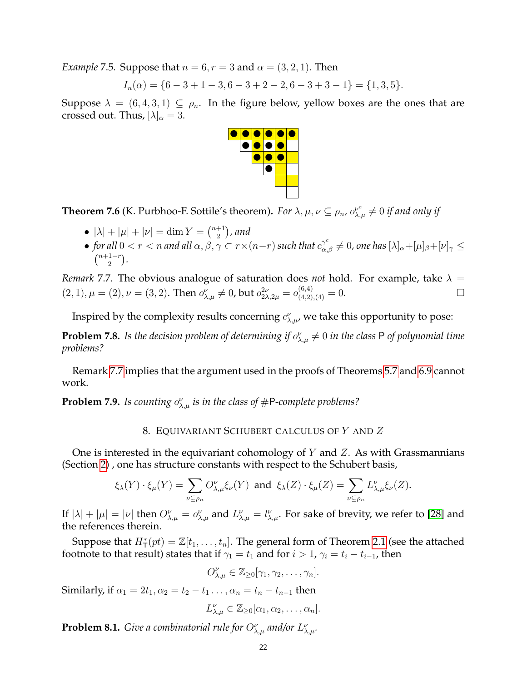*Example* 7.5*.* Suppose that  $n = 6$ ,  $r = 3$  and  $\alpha = (3, 2, 1)$ . Then

$$
I_n(\alpha) = \{6-3+1-3, 6-3+2-2, 6-3+3-1\} = \{1,3,5\}.
$$

Suppose  $\lambda = (6, 4, 3, 1) \subseteq \rho_n$ . In the figure below, yellow boxes are the ones that are crossed out. Thus,  $[\lambda]_{\alpha} = 3$ .



<span id="page-21-3"></span>**Theorem 7.6** (K. Purbhoo-F. Sottile's theorem). *For*  $\lambda, \mu, \nu \subseteq \rho_n$ ,  $o_{\lambda,\mu}^{\nu^c} \neq 0$  *if and only if* 

- $|\lambda| + |\mu| + |\nu| = \dim Y = \binom{n+1}{2}$ , and 2
- *for all*  $0 < r < n$  *and all*  $\alpha, \beta, \gamma \subset r \times (n-r)$  *such that*  $c_{\alpha,\beta}^{\gamma^c} \neq 0$ , one has  $[\lambda]_{\alpha} + [\mu]_{\beta} + [\nu]_{\gamma} \leq$  $\binom{n+1-r}{2}$  $\binom{1-r}{2}$ .

<span id="page-21-1"></span>*Remark* 7.7. The obvious analogue of saturation does *not* hold. For example, take  $\lambda =$  $(2, 1), \mu = (2), \nu = (3, 2).$  Then  $o_{\lambda, \mu}^{\nu} \neq 0$ , but  $o_{2\lambda, 2\mu}^{2\nu} = o_{(4, 2), (4)}^{(6, 4)} = 0.$ 

Inspired by the complexity results concerning  $c^{\nu}_{\lambda,\mu}$ , we take this opportunity to pose:

**Problem 7.8.** Is the decision problem of determining if  $o_{\lambda,\mu}^{\nu} \neq 0$  in the class P of polynomial time *problems?*

Remark [7.7](#page-21-1) implies that the argument used in the proofs of Theorems [5.7](#page-14-4) and [6.9](#page-17-4) cannot work.

**Problem 7.9.** Is counting  $o_{\lambda,\mu}^{\nu}$  is in the class of  $\#\textsf{P-complete problems?}$ 

### 8. EQUIVARIANT SCHUBERT CALCULUS OF Y AND Z

<span id="page-21-0"></span>One is interested in the equivariant cohomology of  $Y$  and  $Z$ . As with Grassmannians (Section [2\)](#page-2-3) , one has structure constants with respect to the Schubert basis,

$$
\xi_{\lambda}(Y) \cdot \xi_{\mu}(Y) = \sum_{\nu \subseteq \rho_n} O_{\lambda,\mu}^{\nu} \xi_{\nu}(Y) \text{ and } \xi_{\lambda}(Z) \cdot \xi_{\mu}(Z) = \sum_{\nu \subseteq \rho_n} L_{\lambda,\mu}^{\nu} \xi_{\nu}(Z).
$$

If  $|\lambda| + |\mu| = |\nu|$  then  $O_{\lambda,\mu}^{\nu} = o_{\lambda,\mu}^{\nu}$  and  $L_{\lambda,\mu}^{\nu} = l_{\lambda,\mu}^{\nu}$ . For sake of brevity, we refer to [\[28\]](#page-36-10) and the references therein.

Suppose that  $H^*_{\mathsf{T}}(pt) = \mathbb{Z}[t_1,\ldots,t_n].$  The general form of Theorem [2.1](#page-3-2) (see the attached footnote to that result) states that if  $\gamma_1 = t_1$  and for  $i > 1$ ,  $\gamma_i = t_i - t_{i-1}$ , then

$$
O_{\lambda,\mu}^{\nu} \in \mathbb{Z}_{\geq 0}[\gamma_1, \gamma_2, \ldots, \gamma_n].
$$

Similarly, if  $\alpha_1 = 2t_1, \alpha_2 = t_2 - t_1 \dots, \alpha_n = t_n - t_{n-1}$  then

$$
L_{\lambda,\mu}^{\nu} \in \mathbb{Z}_{\geq 0}[\alpha_1, \alpha_2, \ldots, \alpha_n].
$$

<span id="page-21-2"></span>**Problem 8.1.** Give a combinatorial rule for  $O_{\lambda,\mu}^{\nu}$  and/or  $L_{\lambda,\mu}^{\nu}$ .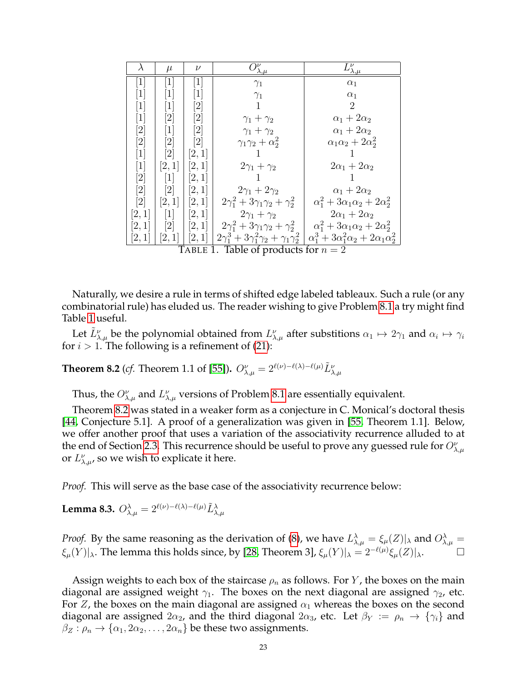| $\lambda$                    | $\mu$                                  | $\nu$                                                                                                                                                                                     | $\mathcal{V}_{\underline{\lambda,\mu}}^{\nu}$  | $L_{\lambda,\mu}^{\nu}$                                                                                              |  |  |  |  |  |
|------------------------------|----------------------------------------|-------------------------------------------------------------------------------------------------------------------------------------------------------------------------------------------|------------------------------------------------|----------------------------------------------------------------------------------------------------------------------|--|--|--|--|--|
| $\left\lceil 1 \right\rceil$ | $\lceil 1 \rceil$                      | $\left\lceil 1 \right\rceil$                                                                                                                                                              | $\gamma_1$                                     | $\alpha_1$                                                                                                           |  |  |  |  |  |
| $\vert 1 \vert$              | $\lceil 1 \rceil$                      | $\left\lceil 1 \right\rceil$                                                                                                                                                              | $\gamma_1$                                     | $\alpha_1$                                                                                                           |  |  |  |  |  |
| $\vert 1 \vert$              | $\left\lceil 1 \right\rceil$           | $[2] % \includegraphics[width=1\textwidth]{images/TrDiM-Architecture.png} \caption{The image shows the image shows a different image with a different image.} \label{TrDiM-Architecture}$ |                                                | $\overline{2}$                                                                                                       |  |  |  |  |  |
| $[1]$                        | $\left\lceil 2 \right\rceil$           | $[2] % \includegraphics[width=1\textwidth]{images/TrDiM-Architecture.png} \caption{The image shows the image shows a different image with a different image.} \label{TrDiM-Architecture}$ | $\gamma_1 + \gamma_2$                          | $\alpha_1+2\alpha_2$                                                                                                 |  |  |  |  |  |
| $\lceil 2 \rceil$            | $[1]$                                  | $[2] % \includegraphics[width=1\textwidth]{images/TrDiM-Architecture.png} \caption{The image shows the image shows a different image with a different image.} \label{TrDiM-Architecture}$ | $\gamma_1 + \gamma_2$                          | $\alpha_1+2\alpha_2$                                                                                                 |  |  |  |  |  |
| $\lceil 2 \rceil$            | $\left\lceil 2 \right\rceil$           | $\left\lceil 2 \right\rceil$                                                                                                                                                              | $\gamma_1\gamma_2+\alpha_2^2$                  | $\alpha_1\alpha_2+2\alpha_2^2$                                                                                       |  |  |  |  |  |
| $[1]$                        | $\left\lceil 2 \right\rceil$           | [2,1]                                                                                                                                                                                     | 1                                              |                                                                                                                      |  |  |  |  |  |
| $[1]$                        | [2,1]                                  | [2,1]                                                                                                                                                                                     | $2\gamma_1+\gamma_2$                           | $2\alpha_1+2\alpha_2$                                                                                                |  |  |  |  |  |
| $\left[2\right]$             | $[1]$                                  | [2,1]                                                                                                                                                                                     |                                                |                                                                                                                      |  |  |  |  |  |
| $\lceil 2 \rceil$            | $\lceil 2 \rceil$                      | [2,1]                                                                                                                                                                                     | $2\gamma_1 + 2\gamma_2$                        | $\alpha_1+2\alpha_2$                                                                                                 |  |  |  |  |  |
| $\lceil 2 \rceil$            | [2,1]                                  | [2,1]                                                                                                                                                                                     | $2\gamma_1^2 + 3\gamma_1\gamma_2 + \gamma_2^2$ | $\alpha_1^2 + 3\alpha_1\alpha_2 + 2\alpha_2^2$                                                                       |  |  |  |  |  |
| [2,1]                        | $\lceil 1 \rceil$                      | [2,1]                                                                                                                                                                                     | $2\gamma_1+\gamma_2$                           | $2\alpha_1+2\alpha_2$                                                                                                |  |  |  |  |  |
| [2,1]                        | $\left[2\right]$                       | [2,1]                                                                                                                                                                                     | $2\gamma_1^2 + 3\gamma_1\gamma_2 + \gamma_2^2$ | $\alpha_1^2 + 3\alpha_1\alpha_2 + 2\alpha_2^2$                                                                       |  |  |  |  |  |
| [2,1]                        | $[2,1]$                                | [2,1]                                                                                                                                                                                     |                                                | $2\gamma_1^3 + 3\gamma_1^2\gamma_2 + \gamma_1\gamma_2^2 \mid \alpha_1^3 + 3\alpha_1^2\alpha_2 + 2\alpha_1\alpha_2^2$ |  |  |  |  |  |
|                              | TABLE 1. Table of products for $n = 2$ |                                                                                                                                                                                           |                                                |                                                                                                                      |  |  |  |  |  |

<span id="page-22-1"></span>Naturally, we desire a rule in terms of shifted edge labeled tableaux. Such a rule (or any combinatorial rule) has eluded us. The reader wishing to give Problem [8.1](#page-21-2) a try might find Table [1](#page-22-1) useful.

Let  $\tilde{L}^\nu_{\lambda,\mu}$  be the polynomial obtained from  $L^\nu_{\lambda,\mu}$  after substitions  $\alpha_1\mapsto 2\gamma_1$  and  $\alpha_i\mapsto \gamma_i$ for  $i > 1$ . The following is a refinement of [\(21\)](#page-20-1):

<span id="page-22-0"></span>**Theorem 8.2** (*cf.* Theorem 1.1 of [\[55\]](#page-37-7)).  $O_{\lambda,\mu}^{\nu} = 2^{\ell(\nu)-\ell(\lambda)-\ell(\mu)} \tilde{L}_{\lambda,\mu}^{\nu}$ 

Thus, the  $O_{\lambda,\mu}^{\nu}$  and  $L_{\lambda,\mu}^{\nu}$  versions of Problem [8.1](#page-21-2) are essentially equivalent.

Theorem [8.2](#page-22-0) was stated in a weaker form as a conjecture in C. Monical's doctoral thesis [\[44,](#page-37-6) Conjecture 5.1]. A proof of a generalization was given in [\[55,](#page-37-7) Theorem 1.1]. Below, we offer another proof that uses a variation of the associativity recurrence alluded to at the end of Section [2.3.](#page-4-4) This recurrence should be useful to prove any guessed rule for  $O_{\lambda,\mu}^\nu$ or  $L^{\nu}_{\lambda,\mu}$ , so we wish to explicate it here.

*Proof.* This will serve as the base case of the associativity recurrence below:

**Lemma 8.3.**  $O^{\lambda}_{\lambda,\mu} = 2^{\ell(\nu) - \ell(\lambda) - \ell(\mu)} \tilde{L}^{\lambda}_{\lambda,\mu}$ 

*Proof.* By the same reasoning as the derivation of [\(8\)](#page-5-4), we have  $L^{\lambda}_{\lambda,\mu} = \xi_{\mu}(Z)|_{\lambda}$  and  $O^{\lambda}_{\lambda,\mu} =$  $\xi_\mu(Y)|_\lambda$ . The lemma this holds since, by [\[28,](#page-36-10) Theorem 3],  $\xi_\mu(Y)|_\lambda = 2^{-\ell(\mu)} \xi_\mu(Z)|_\lambda$ . □

Assign weights to each box of the staircase  $\rho_n$  as follows. For Y, the boxes on the main diagonal are assigned weight  $\gamma_1$ . The boxes on the next diagonal are assigned  $\gamma_2$ , etc. For Z, the boxes on the main diagonal are assigned  $\alpha_1$  whereas the boxes on the second diagonal are assigned  $2\alpha_2$ , and the third diagonal  $2\alpha_3$ , etc. Let  $\beta_Y := \rho_n \to {\gamma_i}$  and  $\beta_Z : \rho_n \to {\alpha_1, 2\alpha_2, \ldots, 2\alpha_n}$  be these two assignments.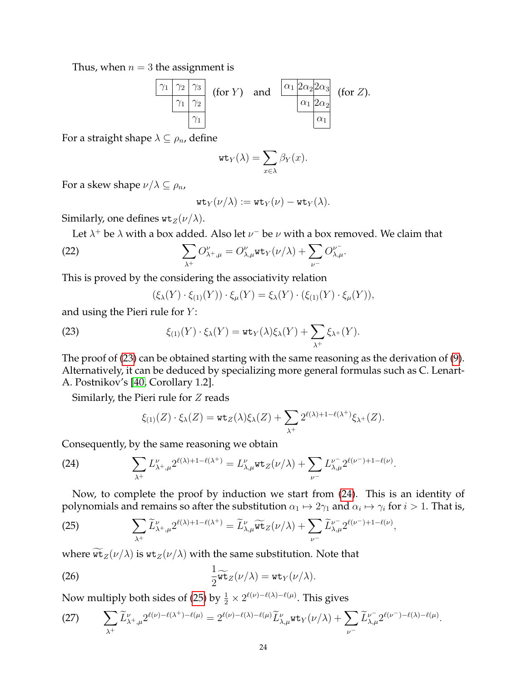Thus, when  $n = 3$  the assignment is

$$
\begin{array}{c|c}\n\hline\n\gamma_1 & \gamma_2 & \gamma_3 \\
\hline\n\gamma_1 & \gamma_2 & \\
\hline\n\gamma_1 & \\
\hline\n\gamma_2 & \\
\hline\n\gamma_1 & \\
\hline\n\end{array}\n\quad \text{(for } Y) \quad \text{and} \quad\n\begin{array}{c}\n\hline\n\alpha_1 & 2\alpha_2 & 2\alpha_3 \\
\hline\n\alpha_1 & 2\alpha_2 & \\
\hline\n\alpha_1 & \\
\hline\n\end{array}\n\quad \text{(for } Z).
$$

For a straight shape  $\lambda \subseteq \rho_n$ , define

$$
\operatorname{wt}_Y(\lambda) = \sum_{x \in \lambda} \beta_Y(x).
$$

For a skew shape  $\nu/\lambda \subseteq \rho_n$ ,

<span id="page-23-0"></span>
$$
\mathrm{wt}_Y(\nu/\lambda):=\mathrm{wt}_Y(\nu)-\mathrm{wt}_Y(\lambda).
$$

Similarly, one defines  $\texttt{wt}_Z(\nu/\lambda)$ .

Let  $\lambda^+$  be  $\lambda$  with a box added. Also let  $\nu^-$  be  $\nu$  with a box removed. We claim that

(22) 
$$
\sum_{\lambda^+} O_{\lambda^+,\mu}^{\nu} = O_{\lambda,\mu}^{\nu} \text{wt}_Y(\nu/\lambda) + \sum_{\nu^-} O_{\lambda,\mu}^{\nu^-}.
$$

This is proved by the considering the associativity relation

<span id="page-23-1"></span>
$$
(\xi_{\lambda}(Y)\cdot\xi_{(1)}(Y))\cdot\xi_{\mu}(Y)=\xi_{\lambda}(Y)\cdot(\xi_{(1)}(Y)\cdot\xi_{\mu}(Y)),
$$

and using the Pieri rule for  $Y$ :

(23) 
$$
\xi_{(1)}(Y) \cdot \xi_{\lambda}(Y) = \mathbf{wt}_Y(\lambda)\xi_{\lambda}(Y) + \sum_{\lambda^+} \xi_{\lambda^+}(Y).
$$

The proof of [\(23\)](#page-23-1) can be obtained starting with the same reasoning as the derivation of [\(9\)](#page-5-1). Alternatively, it can be deduced by specializing more general formulas such as C. Lenart-A. Postnikov's [\[40,](#page-37-8) Corollary 1.2].

Similarly, the Pieri rule for  $Z$  reads

<span id="page-23-2"></span>
$$
\xi_{(1)}(Z) \cdot \xi_{\lambda}(Z) = \mathbf{wt}_{Z}(\lambda)\xi_{\lambda}(Z) + \sum_{\lambda^{+}} 2^{\ell(\lambda)+1-\ell(\lambda^{+})}\xi_{\lambda^{+}}(Z).
$$

Consequently, by the same reasoning we obtain

(24) 
$$
\sum_{\lambda^+} L_{\lambda^+,\mu}^{\nu} 2^{\ell(\lambda)+1-\ell(\lambda^+)} = L_{\lambda,\mu}^{\nu} \text{wt}_Z(\nu/\lambda) + \sum_{\nu^-} L_{\lambda,\mu}^{\nu^-} 2^{\ell(\nu^-)+1-\ell(\nu)}.
$$

Now, to complete the proof by induction we start from [\(24\)](#page-23-2). This is an identity of polynomials and remains so after the substitution  $\alpha_1\mapsto 2\gamma_1$  and  $\alpha_i\mapsto\gamma_i$  for  $i>1.$  That is,

<span id="page-23-3"></span>(25) 
$$
\sum_{\lambda^+} \widetilde{L}_{\lambda^+, \mu}^{\nu} 2^{\ell(\lambda)+1-\ell(\lambda^+)} = \widetilde{L}_{\lambda, \mu}^{\nu} \widetilde{\text{wt}}_Z(\nu/\lambda) + \sum_{\nu^-} \widetilde{L}_{\lambda, \mu}^{\nu^-} 2^{\ell(\nu^-)+1-\ell(\nu)},
$$

where  $\widetilde{\mathfrak{wt}}_Z(\nu/\lambda)$  is  $\mathfrak{wt}_Z(\nu/\lambda)$  with the same substitution. Note that

(26) 
$$
\frac{1}{2}\widetilde{\mathtt{wt}}_Z(\nu/\lambda) = \mathtt{wt}_Y(\nu/\lambda).
$$

Now multiply both sides of [\(25\)](#page-23-3) by  $\frac{1}{2} \times 2^{\ell(\nu) - \ell(\lambda) - \ell(\mu)}$ . This gives

(27) 
$$
\sum_{\lambda^+} \widetilde{L}_{\lambda^+, \mu}^{\nu} 2^{\ell(\nu) - \ell(\lambda^+) - \ell(\mu)} = 2^{\ell(\nu) - \ell(\lambda) - \ell(\mu)} \widetilde{L}_{\lambda, \mu}^{\nu} \text{wt}_Y(\nu/\lambda) + \sum_{\nu^-} \widetilde{L}_{\lambda, \mu}^{\nu^-} 2^{\ell(\nu^-) - \ell(\lambda) - \ell(\mu)}.
$$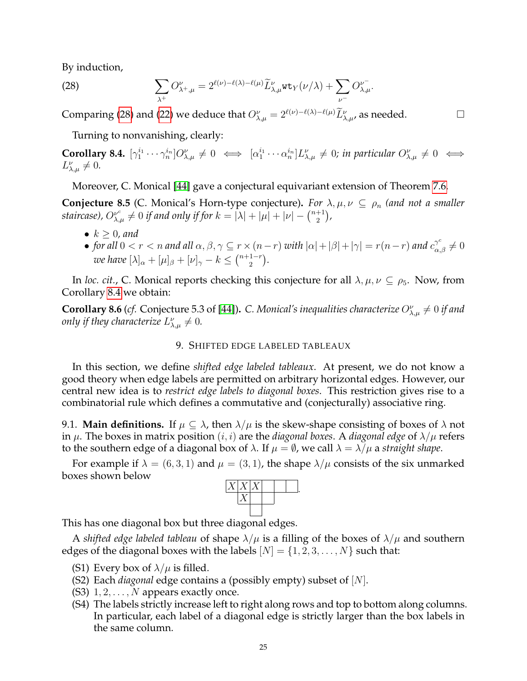By induction,

<span id="page-24-1"></span>(28) 
$$
\sum_{\lambda^+} O_{\lambda^+,\mu}^{\nu} = 2^{\ell(\nu)-\ell(\lambda)-\ell(\mu)} \widetilde{L}_{\lambda,\mu}^{\nu} \text{wt}_{Y}(\nu/\lambda) + \sum_{\nu^-} O_{\lambda,\mu}^{\nu^-}.
$$

Comparing [\(28\)](#page-24-1) and [\(22\)](#page-23-0) we deduce that  $O_{\lambda,\mu}^{\nu}=2^{\ell(\nu)-\ell(\lambda)-\ell(\mu)}\widetilde{L}_{\lambda,\mu}^{\nu}$ , as needed.  $\hfill\Box$ 

Turning to nonvanishing, clearly:

<span id="page-24-2"></span>**Corollary 8.4.**  $[\gamma_1^{i_1} \cdots \gamma_n^{i_n}] O_{\lambda,\mu}^{\nu} \neq 0 \iff [\alpha_1^{i_1} \cdots \alpha_n^{i_n}] L_{\lambda,\mu}^{\nu} \neq 0$ ; in particular  $O_{\lambda,\mu}^{\nu} \neq 0 \iff$  $L_{\lambda,\mu}^{\nu}\neq 0.$ 

Moreover, C. Monical [\[44\]](#page-37-6) gave a conjectural equivariant extension of Theorem [7.6.](#page-21-3)

**Conjecture 8.5** (C. Monical's Horn-type conjecture). For  $\lambda, \mu, \nu \subseteq \rho_n$  (and not a smaller staircase),  $O_{\lambda,\mu}^{\nu^c}\neq 0$  if and only if for  $k=|\lambda|+|\mu|+|\nu|-{n+1\choose 2}$  $_{2}^{+1}),$ 

- $k \geq 0$ , and
- *for all*  $0 < r < n$  *and all*  $\alpha, \beta, \gamma \subseteq r \times (n-r)$  *with*  $|\alpha| + |\beta| + |\gamma| = r(n-r)$  *and*  $c_{\alpha,\beta}^{\gamma^c} \neq 0$ *we have*  $[\lambda]_{\alpha} + [\mu]_{\beta} + [\nu]_{\gamma} - k \leq {n+1-r \choose 2}$  $\binom{1-r}{2}$ .

In *loc. cit.*, C. Monical reports checking this conjecture for all  $\lambda, \mu, \nu \subseteq \rho_5$ . Now, from Corollary [8.4](#page-24-2) we obtain:

**Corollary 8.6** (*cf.* Conjecture 5.3 of [\[44\]](#page-37-6)). C. Monical's inequalities characterize  $O_{\lambda,\mu}^{\nu} \neq 0$  if and only if they characterize  $L_{\lambda,\mu}^{\nu}\neq 0.$ 

### 9. SHIFTED EDGE LABELED TABLEAUX

<span id="page-24-0"></span>In this section, we define *shifted edge labeled tableaux*. At present, we do not know a good theory when edge labels are permitted on arbitrary horizontal edges. However, our central new idea is to *restrict edge labels to diagonal boxes*. This restriction gives rise to a combinatorial rule which defines a commutative and (conjecturally) associative ring.

9.1. **Main definitions.** If  $\mu \subseteq \lambda$ , then  $\lambda/\mu$  is the skew-shape consisting of boxes of  $\lambda$  not in  $\mu$ . The boxes in matrix position  $(i, i)$  are the *diagonal boxes*. A *diagonal edge* of  $\lambda/\mu$  refers to the southern edge of a diagonal box of  $\lambda$ . If  $\mu = \emptyset$ , we call  $\lambda = \lambda/\mu$  a *straight shape*.

For example if  $\lambda = (6, 3, 1)$  and  $\mu = (3, 1)$ , the shape  $\lambda/\mu$  consists of the six unmarked boxes shown below



.

This has one diagonal box but three diagonal edges.

A *shifted edge labeled tableau* of shape  $\lambda/\mu$  is a filling of the boxes of  $\lambda/\mu$  and southern edges of the diagonal boxes with the labels  $[N] = \{1, 2, 3, \ldots, N\}$  such that:

- (S1) Every box of  $\lambda/\mu$  is filled.
- (S2) Each *diagonal* edge contains a (possibly empty) subset of [N].
- (S3)  $1, 2, \ldots, N$  appears exactly once.
- (S4) The labels strictly increase left to right along rows and top to bottom along columns. In particular, each label of a diagonal edge is strictly larger than the box labels in the same column.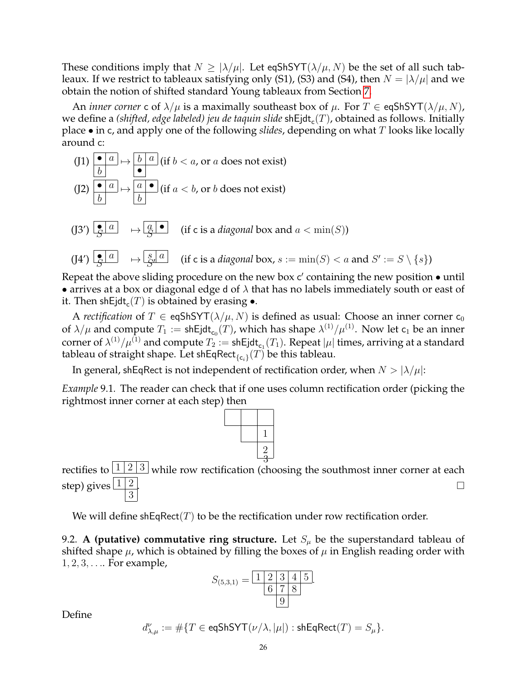These conditions imply that  $N > |\lambda/\mu|$ . Let eqShSYT( $\lambda/\mu$ , N) be the set of all such tableaux. If we restrict to tableaux satisfying only (S1), (S3) and (S4), then  $N = |\lambda/\mu|$  and we obtain the notion of shifted standard Young tableaux from Section [7.](#page-17-0)

An *inner* corner c of  $\lambda/\mu$  is a maximally southeast box of  $\mu$ . For  $T \in \text{eqShSYT}(\lambda/\mu, N)$ , we define a (shifted, edge labeled) jeu de taquin slide  $\mathsf{shEjdt}_\mathsf{c}(T)$ , obtained as follows. Initially place • in c, and apply one of the following *slides*, depending on what T looks like locally around c:

(11) 
$$
\begin{array}{|c|c|c|c|}\n\hline\n0 & a \\
\hline\n0 & b \\
\hline\n0 & a \\
\hline\n0 & b \\
\hline\n0 & b \\
\hline\n0 & b \\
\hline\n0 & b \\
\hline\n0 & b \\
\hline\n0 & b \\
\hline\n0 & b \\
\hline\n0 & b \\
\hline\n0 & a \\
\hline\n0 & b \\
\hline\n0 & a \\
\hline\n0 & b \\
\hline\n0 & a \\
\hline\n0 & b \\
\hline\n0 & a \\
\hline\n0 & b \\
\hline\n0 & a \\
\hline\n0 & b \\
\hline\n0 & a \\
\hline\n0 & b \\
\hline\n0 & a \\
\hline\n0 & b \\
\hline\n0 & a \\
\hline\n0 & a \\
\hline\n0 & a \\
\hline\n0 & a \\
\hline\n0 & a \\
\hline\n0 & a \\
\hline\n0 & a \\
\hline\n0 & a \\
\hline\n0 & a \\
\hline\n0 & a \\
\hline\n0 & a \\
\hline\n0 & a \\
\hline\n0 & a \\
\hline\n0 & a \\
\hline\n0 & a \\
\hline\n0 & a \\
\hline\n0 & a \\
\hline\n0 & a \\
\hline\n0 & a \\
\hline\n0 & a \\
\hline\n0 & a \\
\hline\n0 & a \\
\hline\n0 & a \\
\hline\n0 & a \\
\hline\n0 & a \\
\hline\n0 & a \\
\hline\n0 & a \\
\hline\n0 & a \\
\hline\n0 & a \\
\hline\n0 & a \\
\hline\n0 & a \\
\hline\n0 & a \\
\hline\n0 & a \\
\hline\n0 & a \\
\hline\n0 & a \\
\hline\n0 & a \\
\hline\n0 & a \\
\hline\n0 & a \\
\hline\n0 & a \\
\hline\n0 & a \\
\hline\n0 & a \\
\hline\n0 & a \\
\hline\n0 & a \\
\hline\n0 & a \\
\hline\n0 & a \\
\hline\n0 & a \\
\hline\n0 & a \\
\hline\n0 & a \\
\hline\n0 & a \\
\hline
$$

Repeat the above sliding procedure on the new box  $c'$  containing the new position  $\bullet$  until • arrives at a box or diagonal edge d of  $\lambda$  that has no labels immediately south or east of it. Then shEjdt $_{\mathsf{c}}(T)$  is obtained by erasing  $\bullet.$ 

A *rectification* of  $T \in \text{eqShSYT}(\lambda/\mu, N)$  is defined as usual: Choose an inner corner  $c_0$ of  $\lambda/\mu$  and compute  $T_1 := \mathsf{shEjdt}_{\mathsf{c}_0}(T)$ , which has shape  $\lambda^{(1)}/\mu^{(1)}$ . Now let  $\mathsf{c}_1$  be an inner corner of  $\lambda^{(1)}/\mu^{(1)}$  and compute  $T_2:=$  shEjdt $_{\mathsf{c}_1}(T_1).$  Repeat  $|\mu|$  times, arriving at a standard tableau of straight shape. Let shEqRect $_{\{\mathsf{c}_i\}}(T)$  be this tableau.

In general, shEqRect is not independent of rectification order, when  $N > |\lambda/\mu|$ :

*Example* 9.1*.* The reader can check that if one uses column rectification order (picking the rightmost inner corner at each step) then



rectifies to  $\boxed{1\,|\,2\,|\,3}$  while row rectification (choosing the southmost inner corner at each step) gives  $\frac{1}{2}$ 3 .<br>. The contract of the contract of the contract of the contract of the contract of the contract of the contract

We will define shEqRect(T) to be the rectification under row rectification order.

9.2. **A (putative) commutative ring structure.** Let  $S_{\mu}$  be the superstandard tableau of shifted shape  $\mu$ , which is obtained by filling the boxes of  $\mu$  in English reading order with  $1, 2, 3, \ldots$  For example,

$$
S_{(5,3,1)} = \frac{1 \; 2 \; 3 \; 4 \; 5}{6 \; 7 \; 8}
$$

Define

$$
d_{\lambda,\mu}^{\nu}:=\#\{T\in \mathsf{eqShSYT}(\nu/\lambda,|\mu|): \mathsf{shEqRect}(T)=S_{\mu}\}.
$$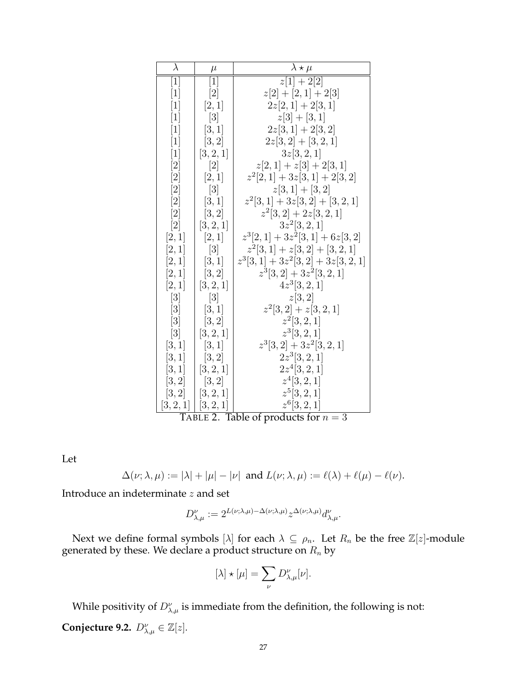| $\lambda$         | $\mu$                      | $\lambda \star \mu$                                   |  |  |  |  |
|-------------------|----------------------------|-------------------------------------------------------|--|--|--|--|
| $\lceil 1 \rceil$ | $\lceil 1 \rceil$          | $z[1] + 2[2]$                                         |  |  |  |  |
| $\lceil 1 \rceil$ | $[2]$                      | $z[2]+[2,1]+2[3]$                                     |  |  |  |  |
| $\vert 1 \vert$   | [2,1]                      | $2z[2,1]+2[3,1]$                                      |  |  |  |  |
| $\vert 1 \vert$   | [3]                        | $z[3]+[3,1]$                                          |  |  |  |  |
| $\vert 1 \vert$   | [3, 1]                     | $2z[3,1]+2[3,2]$                                      |  |  |  |  |
| $\vert 1 \vert$   | [3, 2]                     | $2z[3,2]+[3,2,1]$                                     |  |  |  |  |
| $\vert 1 \vert$   | [3, 2, 1]                  | 3z[3,2,1]                                             |  |  |  |  |
|                   | $\left[2\right]$           | $z[2,1]+z[3]+2[3,1]$                                  |  |  |  |  |
| $\left[ 2\right]$ | [2,1]                      | $z^2[2,1]+3z[3,1]+2[3,2]$                             |  |  |  |  |
|                   | $\lceil 3 \rceil$          | $z[3,1]+[3,2]$                                        |  |  |  |  |
| [2]               | [3, 1]                     | $z^2[3,1]+3z[3,2]+[3,2,1]$                            |  |  |  |  |
| $[2]$             | [3, 2]                     | $z^2[3,2]+2z[3,2,1]$                                  |  |  |  |  |
| $\lceil 2 \rceil$ | [3, 2, 1]                  | $3z^2[3,2,1]$                                         |  |  |  |  |
| [2,1]             | [2,1]                      | $z^3[2,1]+3z^2[3,1]+6z[3,2]$                          |  |  |  |  |
| [2,1]             | [3]                        | $z^2[3,1]+z[3,2]+[3,2,1]$                             |  |  |  |  |
| [2,1]             | [3,1]                      | $z^3[3,1]+3z^2[3,2]+3z[3,2,1]$                        |  |  |  |  |
| [2,1]             | [3, 2]                     | $z^3[3,2]+3z^2[3,2,1]$                                |  |  |  |  |
| [2,1]             | [3, 2, 1]                  | $4z^3[3,2,1]$                                         |  |  |  |  |
| $\lceil 3 \rceil$ | $\lceil 3 \rceil$          | z[3,2]                                                |  |  |  |  |
| $\left[3\right]$  | [3, 1]                     | $z^2[3,2]+z[3,2,1]$                                   |  |  |  |  |
| $\lceil 3 \rceil$ | [3, 2]                     | $z^2[3,2,1]$                                          |  |  |  |  |
| $\lceil 3 \rceil$ | [3, 2, 1]                  | $z^3[3,2,1]$                                          |  |  |  |  |
| [3,1]             | [3, 1]                     | $z^3[3,2]+3z^2[3,2,1]$                                |  |  |  |  |
| [3,1]             | [3, 2]                     | $2z^3[3,2,1]$                                         |  |  |  |  |
| [3,1]             | [3, 2, 1]                  | $2z^4[3,2,1]$                                         |  |  |  |  |
| [3,2]             | [3, 2]                     | $z^4[3,2,1]$                                          |  |  |  |  |
| [3,2]             | [3, 2, 1]                  | $z^5[3,2,1]$                                          |  |  |  |  |
| $[3,2,1] \mid$    | [3, 2, 1]<br>$T$ арт с $2$ | $z^6[3,2,1]$<br>$T_2 h l_0$<br>Q<br>of producte for n |  |  |  |  |

TABLE 2. Table of products for  $n = 3$ 

Let

$$
\Delta(\nu;\lambda,\mu):=|\lambda|+|\mu|-|\nu| \text{ and } L(\nu;\lambda,\mu):=\ell(\lambda)+\ell(\mu)-\ell(\nu).
$$

Introduce an indeterminate  $z$  and set

$$
D_{\lambda,\mu}^{\nu} := 2^{L(\nu;\lambda,\mu) - \Delta(\nu;\lambda,\mu)} z^{\Delta(\nu;\lambda,\mu)} d_{\lambda,\mu}^{\nu}.
$$

Next we define formal symbols  $[\lambda]$  for each  $\lambda \subseteq \rho_n$ . Let  $R_n$  be the free  $\mathbb{Z}[z]$ -module generated by these. We declare a product structure on  $R_n$  by

$$
[\lambda] \star [\mu] = \sum_{\nu} D^{\nu}_{\lambda,\mu}[\nu].
$$

<span id="page-26-0"></span>While positivity of  $D^{\nu}_{\lambda,\mu}$  is immediate from the definition, the following is not: **Conjecture 9.2.**  $D_{\lambda,\mu}^{\nu} \in \mathbb{Z}[z]$ .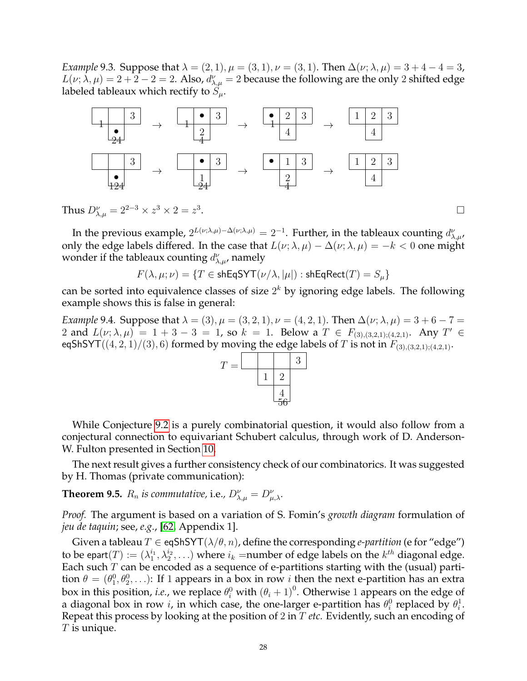*Example* 9.3*.* Suppose that  $\lambda = (2, 1), \mu = (3, 1), \nu = (3, 1)$ . Then  $\Delta(\nu; \lambda, \mu) = 3 + 4 - 4 = 3$ ,  $L(\nu;\lambda,\mu)=2+2-2=2.$  Also,  $d^{\nu}_{\lambda,\mu}=2$  because the following are the only 2 shifted edge labeled tableaux which rectify to  $S_{\mu}$ .



Thus  $D_{\lambda,\mu}^{\nu}=2^{2-3}\times z^3\times 2=z^3$ . В последните последните последните последните последните последните последните последните последните последн<br>В 1990 година от селото на селото на селото на селото на селото на селото на селото на селото на селото на сел

In the previous example,  $2^{L(\nu;\lambda,\mu)-\Delta(\nu;\lambda,\mu)}=2^{-1}$ . Further, in the tableaux counting  $d_{\lambda,\mu}^{\nu}$ , only the edge labels differed. In the case that  $L(\nu; \lambda, \mu) - \Delta(\nu; \lambda, \mu) = -k < 0$  one might wonder if the tableaux counting  $d^{\nu}_{\lambda,\mu}$ , namely

 $F(\lambda, \mu; \nu) = \{T \in \mathsf{shEqSYT}(\nu/\lambda, |\mu|) : \mathsf{shEqRect}(T) = S_\mu\}$ 

can be sorted into equivalence classes of size  $2^k$  by ignoring edge labels. The following example shows this is false in general:

*Example* 9.4*.* Suppose that  $\lambda = (3)$ ,  $\mu = (3, 2, 1)$ ,  $\nu = (4, 2, 1)$ . Then  $\Delta(\nu; \lambda, \mu) = 3 + 6 - 7 =$ 2 and  $L(\nu; \lambda, \mu) = 1 + 3 - 3 = 1$ , so  $k = 1$ . Below a  $T \in F_{(3),(3,2,1);(4,2,1)}$ . Any  $T' \in$ eqShSYT((4, 2, 1)/(3), 6) formed by moving the edge labels of T is not in  $F_{(3),(3,2,1);(4,2,1)}$ .



While Conjecture [9.2](#page-26-0) is a purely combinatorial question, it would also follow from a conjectural connection to equivariant Schubert calculus, through work of D. Anderson-W. Fulton presented in Section [10.](#page-30-0)

The next result gives a further consistency check of our combinatorics. It was suggested by H. Thomas (private communication):

<span id="page-27-0"></span>**Theorem 9.5.**  $R_n$  is commutative, i.e.,  $D_{\lambda,\mu}^{\nu} = D_{\mu,\lambda}^{\nu}$ .

*Proof.* The argument is based on a variation of S. Fomin's *growth diagram* formulation of *jeu de taquin*; see, *e.g.*, [\[62,](#page-37-24) Appendix 1].

Given a tableau  $T \in \text{eq}$ ShSYT $(\lambda/\theta, n)$ , define the corresponding *e-partition* (e for "edge") to be epart $(T):=(\lambda_1^{i_1},\lambda_2^{i_2},\ldots)$  where  $i_k$  =number of edge labels on the  $k^{th}$  diagonal edge. Each such  $T$  can be encoded as a sequence of e-partitions starting with the (usual) partition  $\theta = (\theta_1^0, \theta_2^0, \ldots)$ : If 1 appears in a box in row *i* then the next e-partition has an extra box in this position, *i.e.*, we replace  $\theta_i^0$  with  $(\theta_i + 1)^0$ . Otherwise 1 appears on the edge of a diagonal box in row i, in which case, the one-larger e-partition has  $\theta_i^0$  replaced by  $\theta_i^1$ . Repeat this process by looking at the position of 2 in T *etc.* Evidently, such an encoding of  $T$  is unique.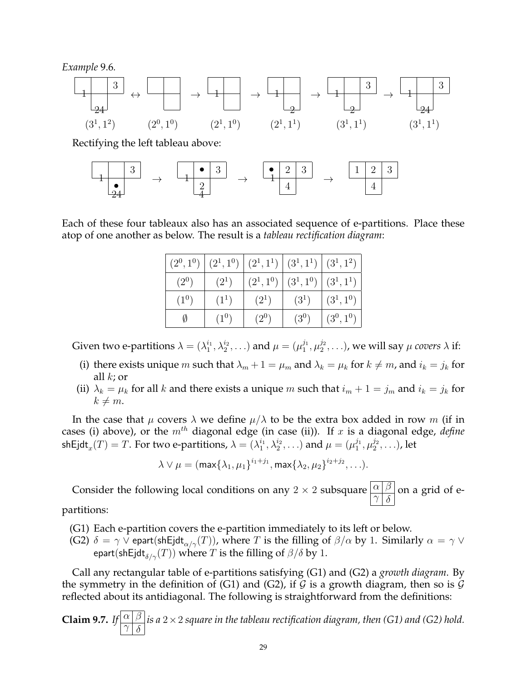*Example* 9.6*.*



Rectifying the left tableau above:

$$
\begin{array}{|c|c|c|c|c|c|}\hline 1 & 3 & & \\ \hline 2 & & & \\ \hline 24 & & & & \\ \hline \end{array} \rightarrow \begin{array}{|c|c|c|c|}\hline \bullet & 3 & & \\ \hline 1 & 4 & & \\ \hline \end{array} \rightarrow \begin{array}{|c|c|c|}\hline \bullet & 2 & 3 & \\ \hline 4 & & & \\ \hline \end{array} \rightarrow \begin{array}{|c|c|c|c|}\hline 1 & 2 & 3 & \\ \hline \end{array}
$$

Each of these four tableaux also has an associated sequence of e-partitions. Place these atop of one another as below. The result is a *tableau rectification diagram*:

| $\left(2^0,1^0\right)$ $\left(2^1,1^0\right)$ $\left(2^1,1^1\right)$ $\left(3^1,1^1\right)$ $\left(3^1,1^2\right)$ |         |                                     |           |               |
|--------------------------------------------------------------------------------------------------------------------|---------|-------------------------------------|-----------|---------------|
| $(2^{0})$                                                                                                          | $(2^1)$ | $ (2^1,1^0)  (3^1,1^0)  (3^1,1^1) $ |           |               |
| $(1^0)$                                                                                                            | $(1^1)$ | $(2^1)$                             | $(3^1)$   | $ (3^1, 1^0)$ |
| Ø                                                                                                                  | $(1^0)$ | $(2^{0})$                           | $(3^{0})$ | $(3^0, 1^0)$  |

Given two e-partitions  $\lambda = (\lambda_1^{i_1}, \lambda_2^{i_2}, \ldots)$  and  $\mu = (\mu_1^{j_1}, \mu_2^{j_2}, \ldots)$ , we will say  $\mu$  covers  $\lambda$  if:

- (i) there exists unique m such that  $\lambda_m + 1 = \mu_m$  and  $\lambda_k = \mu_k$  for  $k \neq m$ , and  $i_k = j_k$  for all  $k$ ; or
- (ii)  $\lambda_k = \mu_k$  for all k and there exists a unique m such that  $i_m + 1 = j_m$  and  $i_k = j_k$  for  $k \neq m$ .

In the case that  $\mu$  covers  $\lambda$  we define  $\mu/\lambda$  to be the extra box added in row m (if in cases (i) above), or the  $m<sup>th</sup>$  diagonal edge (in case (ii)). If  $x$  is a diagonal edge, *define* shEjdt $_x(T)=T.$  For two e-partitions,  $\lambda=(\lambda_1^{i_1},\lambda_2^{i_2},\ldots)$  and  $\mu=(\mu_1^{j_1},\mu_2^{j_2},\ldots)$ , let

$$
\lambda\vee\mu=(\max\{\lambda_1,\mu_1\}^{i_1+j_1},\max\{\lambda_2,\mu_2\}^{i_2+j_2},\ldots).
$$

Consider the following local conditions on any 2  $\times$  2 subsquare  $\boxed{\alpha \beta}$  $\frac{\alpha}{\gamma} \frac{\beta}{\delta}$  on a grid of e-

partitions:

- (G1) Each e-partition covers the e-partition immediately to its left or below.
- (G2)  $\delta = \gamma \bar{\vee}$  epart(shEjdt<sub> $\alpha/\gamma$ </sub> $(T)$ ), where T is the filling of  $\beta/\alpha$  by 1. Similarly  $\alpha = \gamma \bar{\vee}$ epart(shEjdt $_{\delta/\gamma}(T)$ ) where T is the filling of  $\beta/\delta$  by 1.

Call any rectangular table of e-partitions satisfying (G1) and (G2) a *growth diagram*. By the symmetry in the definition of (G1) and (G2), if  $G$  is a growth diagram, then so is  $G$ reflected about its antidiagonal. The following is straightforward from the definitions:

<span id="page-28-0"></span>**Claim 9.7.** *If*  $\alpha \beta$  $\gamma$   $\delta$ *is a* 2×2 *square in the tableau rectification diagram, then (G1) and (G2) hold.*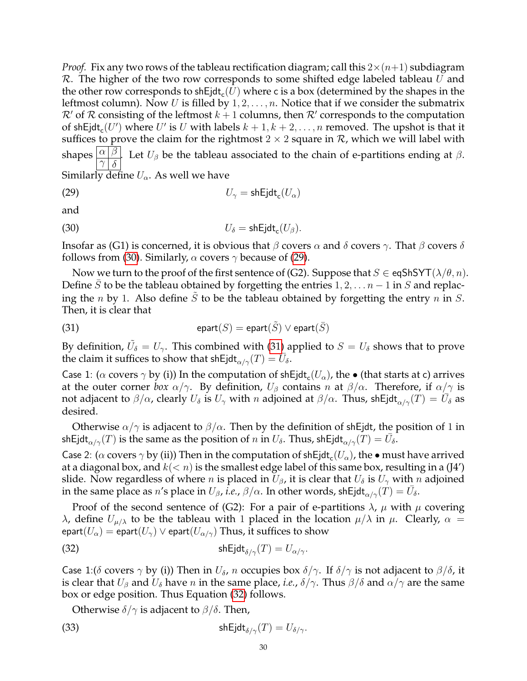*Proof.* Fix any two rows of the tableau rectification diagram; call this  $2\times(n+1)$  subdiagram  $R$ . The higher of the two row corresponds to some shifted edge labeled tableau  $U$  and the other row corresponds to shEjdt $_{\mathsf{c}}(U)$  where c is a box (determined by the shapes in the leftmost column). Now U is filled by  $1, 2, \ldots, n$ . Notice that if we consider the submatrix  $\mathcal{R}'$  of  $\mathcal R$  consisting of the leftmost  $k+1$  columns, then  $\mathcal{R}'$  corresponds to the computation of shEjdt<sub>c</sub> $(U')$  where  $U'$  is  $U$  with labels  $k + 1, k + 2, \ldots, n$  removed. The upshot is that it suffices to prove the claim for the rightmost  $2 \times 2$  square in  $\mathcal{R}$ , which we will label with shapes  $\boxed{\alpha \beta}$  $\gamma$   $\delta$ . Let  $U_\beta$  be the tableau associated to the chain of e-partitions ending at  $\beta$ . Similarly define  $U_{\alpha}$ . As well we have

<span id="page-29-1"></span>(29) 
$$
U_{\gamma} = \mathsf{shEjdt}_{\mathsf{c}}(U_{\alpha})
$$

and

<span id="page-29-0"></span>(30) 
$$
U_{\delta} = \mathsf{shEjdt}_{\mathsf{c}}(U_{\beta}).
$$

Insofar as (G1) is concerned, it is obvious that  $\beta$  covers  $\alpha$  and  $\delta$  covers  $\gamma$ . That  $\beta$  covers  $\delta$ follows from [\(30\)](#page-29-0). Similarly,  $\alpha$  covers  $\gamma$  because of [\(29\)](#page-29-1).

Now we turn to the proof of the first sentence of (G2). Suppose that  $S \in \text{eqShSYT}(\lambda/\theta, n)$ . Define  $\bar{S}$  to be the tableau obtained by forgetting the entries  $1, 2, \ldots n-1$  in S and replacing the *n* by 1. Also define  $\tilde{S}$  to be the tableau obtained by forgetting the entry *n* in *S*. Then, it is clear that

<span id="page-29-2"></span>(31) 
$$
epart(S) = epart(\tilde{S}) \vee epart(\bar{S})
$$

By definition,  $\tilde{U}_\delta = U_\gamma$ . This combined with [\(31\)](#page-29-2) applied to  $S = U_\delta$  shows that to prove the claim it suffices to show that shEjdt $_{\alpha/\gamma}(T) = \overline{U}_{\delta}$ .

Case 1: ( $\alpha$  covers  $\gamma$  by (i)) In the computation of shEjdt<sub>c</sub>( $U_{\alpha}$ ), the  $\bullet$  (that starts at c) arrives at the outer corner *box*  $\alpha/\gamma$ . By definition,  $U_\beta$  contains n at  $\beta/\alpha$ . Therefore, if  $\alpha/\gamma$  is not adjacent to  $\beta/\alpha$ , clearly  $U_\delta$  is  $U_\gamma$  with  $n$  adjoined at  $\beta/\alpha.$  Thus, shEjdt $_{\alpha/\gamma}(T)=\dot{\overline{U_\delta}}$  as desired.

Otherwise  $\alpha/\gamma$  is adjacent to  $\beta/\alpha$ . Then by the definition of shEjdt, the position of 1 in shEjdt $_{\alpha/\gamma}(T)$  is the same as the position of  $n$  in  $U_\delta.$  Thus, shEjdt $_{\alpha/\gamma}(T)=\bar{U_\delta}.$ 

Case 2: ( $\alpha$  covers  $\gamma$  by (ii)) Then in the computation of shEjdt<sub>c</sub>(U<sub>a</sub>), the  $\bullet$  must have arrived at a diagonal box, and  $k(< n)$  is the smallest edge label of this same box, resulting in a (J4') slide. Now regardless of where *n* is placed in  $U_{\beta}$ , it is clear that  $U_{\delta}$  is  $U_{\gamma}$  with *n* adjoined in the same place as n's place in  $U_\beta$ , *i.e.*,  $\beta/\alpha$ . In other words, shEjdt $\frac{1}{\alpha/\gamma}(T) = \bar{U}_\delta$ .

Proof of the second sentence of (G2): For a pair of e-partitions  $\lambda$ ,  $\mu$  with  $\mu$  covering λ, define  $U_{\mu/\lambda}$  to be the tableau with 1 placed in the location  $\mu/\lambda$  in  $\mu$ . Clearly,  $\alpha =$ epart $(U_\alpha) = \mathsf{epart}(U_\gamma) \vee \mathsf{epart}(U_{\alpha/\gamma})$  Thus, it suffices to show

<span id="page-29-3"></span>(32) 
$$
\mathsf{shEjdt}_{\delta/\gamma}(T) = U_{\alpha/\gamma}.
$$

Case 1:( $\delta$  covers  $\gamma$  by (i)) Then in  $U_\delta$ , n occupies box  $\delta/\gamma$ . If  $\delta/\gamma$  is not adjacent to  $\beta/\delta$ , it is clear that  $U_\beta$  and  $U_\delta$  have n in the same place, *i.e.*,  $\delta/\gamma$ . Thus  $\beta/\delta$  and  $\alpha/\gamma$  are the same box or edge position. Thus Equation [\(32\)](#page-29-3) follows.

<span id="page-29-4"></span>Otherwise  $\delta/\gamma$  is adjacent to  $\beta/\delta$ . Then,

(33) 
$$
\mathsf{shEjdt}_{\delta/\gamma}(T) = U_{\delta/\gamma}.
$$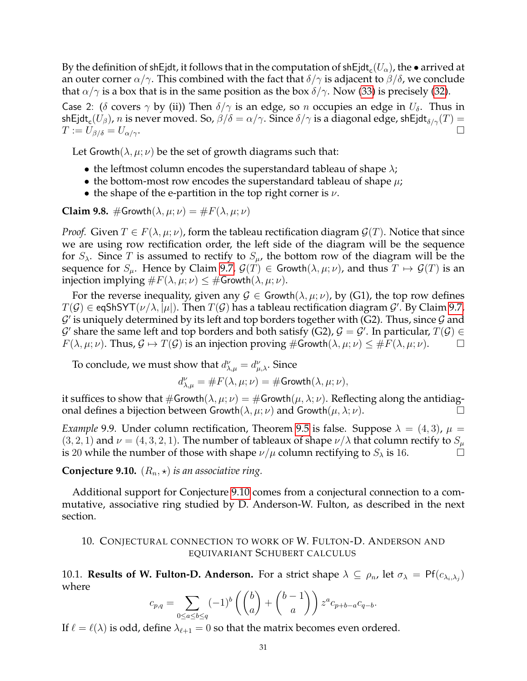By the definition of shEjdt, it follows that in the computation of shEjdt $_{\mathrm{c}}(U_\alpha)$ , the  $\bullet$  arrived at an outer corner  $\alpha/\gamma$ . This combined with the fact that  $\delta/\gamma$  is adjacent to  $\beta/\delta$ , we conclude that  $\alpha/\gamma$  is a box that is in the same position as the box  $\delta/\gamma$ . Now [\(33\)](#page-29-4) is precisely [\(32\)](#page-29-3).

Case 2: ( $\delta$  covers  $\gamma$  by (ii)) Then  $\delta/\gamma$  is an edge, so n occupies an edge in  $U_{\delta}$ . Thus in shEjdt $_{\rm c}(U_\beta)$ ,  $n$  is never moved. So,  $\beta/\delta=\alpha/\gamma.$  Since  $\delta/\gamma$  is a diagonal edge, shEjdt $_{\delta/\gamma}(T)=$  $T := U_{\beta/\delta} = U_{\alpha/\gamma}.$ 

Let Growth( $\lambda, \mu; \nu$ ) be the set of growth diagrams such that:

- the leftmost column encodes the superstandard tableau of shape  $\lambda$ ;
- the bottom-most row encodes the superstandard tableau of shape  $\mu$ ;
- the shape of the e-partition in the top right corner is  $\nu$ .

**Claim 9.8.** #Growth $(\lambda, \mu; \nu) = \#F(\lambda, \mu; \nu)$ 

*Proof.* Given  $T \in F(\lambda, \mu; \nu)$ , form the tableau rectification diagram  $\mathcal{G}(T)$ . Notice that since we are using row rectification order, the left side of the diagram will be the sequence for  $S_\lambda$ . Since T is assumed to rectify to  $S_\mu$ , the bottom row of the diagram will be the sequence for  $S_\mu$ . Hence by Claim [9.7,](#page-28-0)  $\mathcal{G}(T) \in \mathsf{Growth}(\lambda, \mu; \nu)$ , and thus  $T \mapsto \mathcal{G}(T)$  is an injection implying  $\#F(\lambda, \mu; \nu) \leq \#G$ rowth $(\lambda, \mu; \nu)$ .

For the reverse inequality, given any  $G \in$  Growth $(\lambda, \mu; \nu)$ , by (G1), the top row defines  $T(\mathcal{G})\in$  eqShSYT $(\nu/\lambda,|\mu|)$ . Then  $T(\mathcal{G})$  has a tableau rectification diagram  $\mathcal{G}'$ . By Claim [9.7,](#page-28-0)  $\mathcal{G}'$  is uniquely determined by its left and top borders together with (G2). Thus, since  $\mathcal G$  and  $\mathcal G'$  share the same left and top borders and both satisfy (G2),  $\mathcal G=\mathcal G'.$  In particular,  $T(\mathcal G)\in$  $F(\lambda, \mu; \nu)$ . Thus,  $\mathcal{G} \mapsto T(\mathcal{G})$  is an injection proving  $\#\text{Growth}(\lambda, \mu; \nu) \leq \#F(\lambda, \mu; \nu)$ .

To conclude, we must show that  $d^{\nu}_{\lambda,\mu} = d^{\nu}_{\mu,\lambda}$ . Since

$$
d_{\lambda,\mu}^{\nu} = \#F(\lambda,\mu;\nu) = \# \text{Growth}(\lambda,\mu;\nu),
$$

it suffices to show that  $\#\text{Growth}(\lambda, \mu; \nu) = \#\text{Growth}(\mu, \lambda; \nu)$ . Reflecting along the antidiagonal defines a bijection between Growth $(\lambda, \mu; \nu)$  and Growth $(\mu, \lambda; \nu)$ .

*Example* 9.9. Under column rectification, Theorem [9.5](#page-27-0) is false. Suppose  $\lambda = (4, 3)$ ,  $\mu =$  $(3, 2, 1)$  and  $\nu = (4, 3, 2, 1)$ . The number of tableaux of shape  $\nu/\lambda$  that column rectify to  $S_u$ is 20 while the number of those with shape  $\nu/\mu$  column rectifying to  $S_\lambda$  is 16.

<span id="page-30-1"></span>**Conjecture 9.10.**  $(R_n, \star)$  *is an associative ring.* 

Additional support for Conjecture [9.10](#page-30-1) comes from a conjectural connection to a commutative, associative ring studied by D. Anderson-W. Fulton, as described in the next section.

# <span id="page-30-0"></span>10. CONJECTURAL CONNECTION TO WORK OF W. FULTON-D. ANDERSON AND EQUIVARIANT SCHUBERT CALCULUS

10.1. **Results of W. Fulton-D. Anderson.** For a strict shape  $\lambda \subseteq \rho_n$ , let  $\sigma_\lambda = Pf(c_{\lambda_i, \lambda_j})$ where

$$
c_{p,q} = \sum_{0 \le a \le b \le q} (-1)^b \left( \binom{b}{a} + \binom{b-1}{a} \right) z^a c_{p+b-a} c_{q-b}.
$$

If  $\ell = \ell(\lambda)$  is odd, define  $\lambda_{\ell+1} = 0$  so that the matrix becomes even ordered.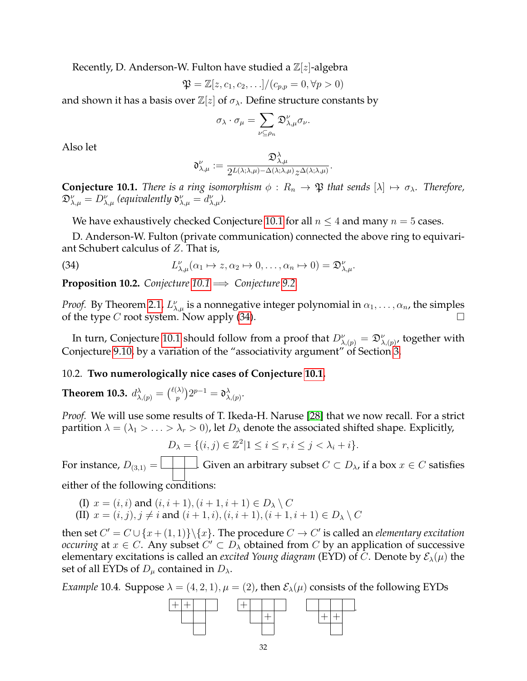Recently, D. Anderson-W. Fulton have studied a  $\mathbb{Z}[z]$ -algebra

$$
\mathfrak{P} = \mathbb{Z}[z, c_1, c_2, \ldots]/(c_{p,p} = 0, \forall p > 0)
$$

and shown it has a basis over  $\mathbb{Z}[z]$  of  $\sigma_{\lambda}$ . Define structure constants by

$$
\sigma_\lambda\cdot \sigma_\mu=\sum_{\nu\subseteq\rho_n}\mathfrak{D}_{\lambda,\mu}^\nu\sigma_\nu.
$$

Also let

<span id="page-31-1"></span>
$$
\mathfrak{d}_{\lambda,\mu}^{\nu}:=\frac{\mathfrak{D}_{\lambda,\mu}^{\lambda}}{2^{L(\lambda;\lambda,\mu)-\Delta(\lambda;\lambda,\mu)}z^{\Delta(\lambda;\lambda,\mu)}}
$$

.

<span id="page-31-0"></span>**Conjecture 10.1.** *There is a ring isomorphism*  $\phi : R_n \to \mathfrak{P}$  *that sends*  $[\lambda] \mapsto \sigma_\lambda$ *. Therefore,*  $\mathfrak{D}_{\lambda,\mu}^{\nu}=D_{\lambda,\mu}^{\nu}$  (equivalently  $\mathfrak{d}_{\lambda,\mu}^{\nu}=d_{\lambda,\mu}^{\nu}$ ).

We have exhaustively checked Conjecture [10.1](#page-31-0) for all  $n \leq 4$  and many  $n = 5$  cases.

D. Anderson-W. Fulton (private communication) connected the above ring to equivariant Schubert calculus of Z. That is,

(34) 
$$
L_{\lambda,\mu}^{\nu}(\alpha_1 \mapsto z, \alpha_2 \mapsto 0, \ldots, \alpha_n \mapsto 0) = \mathfrak{D}_{\lambda,\mu}^{\nu}.
$$

**Proposition 10.2.** *Conjecture*  $10.1 \implies$  *Conjecture* [9.2.](#page-26-0)

*Proof.* By Theorem [2.1,](#page-3-2)  $L_{\lambda,\mu}^{\nu}$  is a nonnegative integer polynomial in  $\alpha_1,\ldots,\alpha_n$ , the simples of the type  $C$  root system. Now apply  $(34)$ .

In turn, Conjecture [10.1](#page-31-0) should follow from a proof that  $D_{\lambda,(p)}^{\nu}=\mathfrak{D}_{\lambda,(p)}^{\nu}$ , together with Conjecture [9.10,](#page-30-1) by a variation of the "associativity argument" of Section [3.](#page-5-0)

## 10.2. **Two numerologically nice cases of Conjecture [10.1.](#page-31-0)**

**Theorem 10.3.**  $d^{\lambda}_{\lambda,(p)} = \binom{\ell(\lambda)}{p}$  $\mathfrak{d}^{(\lambda)}_{p}) 2^{p-1} = \mathfrak{d}^{\lambda}_{\lambda, (p)}.$ 

*Proof.* We will use some results of T. Ikeda-H. Naruse [\[28\]](#page-36-10) that we now recall. For a strict partition  $\lambda = (\lambda_1 > \ldots > \lambda_r > 0)$ , let  $D_\lambda$  denote the associated shifted shape. Explicitly,

$$
D_{\lambda} = \{(i, j) \in \mathbb{Z}^2 | 1 \le i \le r, i \le j < \lambda_i + i\}.
$$

For instance,  $D_{(3,1)} = \bigsqcup \cdots$ . Given an arbitrary subset  $C \subset D_{\lambda}$ , if a box  $x \in C$  satisfies

either of the following conditions:

(I) 
$$
x = (i, i)
$$
 and  $(i, i + 1), (i + 1, i + 1) \in D_{\lambda} \setminus C$   
(II)  $x = (i, j), j \neq i$  and  $(i + 1, i), (i, i + 1), (i + 1, i + 1) \in D_{\lambda} \setminus C$ 

then set  $C' = C \cup \{x + (1, 1)\} \setminus \{x\}$ . The procedure  $C \to C'$  is called an *elementary excitation occuring* at  $x \in C$ . Any subset  $C' \subset D_\lambda$  obtained from  $C$  by an application of successive elementary excitations is called an *excited Young diagram* (EYD) of C. Denote by  $\mathcal{E}_{\lambda}(\mu)$  the set of all EYDs of  $D_{\mu}$  contained in  $D_{\lambda}$ .

*Example* 10.4. Suppose  $\lambda = (4, 2, 1), \mu = (2)$ , then  $\mathcal{E}_{\lambda}(\mu)$  consists of the following EYDs

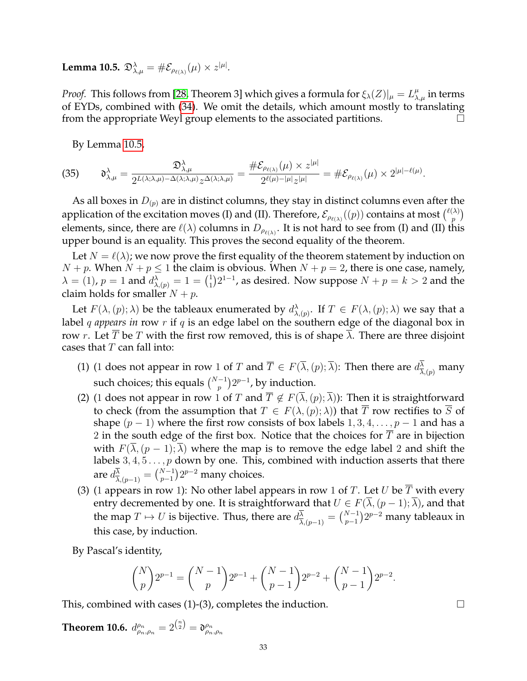<span id="page-32-0"></span> ${\bf Lemma \ 10.5.} \ \mathfrak{D}_{\lambda,\mu}^{\lambda} = \# \mathcal{E}_{\rho_{\ell(\lambda)}}(\mu) \times z^{|\mu|}.$ 

*Proof.* This follows from [\[28,](#page-36-10) Theorem 3] which gives a formula for  $\xi_\lambda(Z)|_\mu = L_{\lambda,\mu}^\mu$  in terms of EYDs, combined with [\(34\)](#page-31-1). We omit the details, which amount mostly to translating from the appropriate Weyl group elements to the associated partitions.  $\Box$ 

By Lemma [10.5,](#page-32-0)

$$
(35) \qquad \mathfrak{d}^{\lambda}_{\lambda,\mu} = \frac{\mathfrak{D}^{\lambda}_{\lambda,\mu}}{2^{\mathcal{L}(\lambda;\lambda,\mu)-\Delta(\lambda;\lambda,\mu)}z^{\Delta(\lambda;\lambda,\mu)}} = \frac{\#\mathcal{E}_{\rho_{\ell(\lambda)}}(\mu) \times z^{|\mu|}}{2^{\ell(\mu)-|\mu|}z^{|\mu|}} = \#\mathcal{E}_{\rho_{\ell(\lambda)}}(\mu) \times 2^{|\mu|-\ell(\mu)}.
$$

As all boxes in  $D_{(p)}$  are in distinct columns, they stay in distinct columns even after the application of the excitation moves (I) and (II). Therefore,  $\mathcal{E}_{\rho_{\ell(\lambda)}}((p))$  contains at most  $\binom{\ell(\lambda)}{p}$  $\binom{\lambda}{p}$ elements, since, there are  $\ell(\lambda)$  columns in  $D_{\rho_{\ell(\lambda)}}$ . It is not hard to see from (I) and (II) this upper bound is an equality. This proves the second equality of the theorem.

Let  $N = \ell(\lambda)$ ; we now prove the first equality of the theorem statement by induction on  $N + p$ . When  $N + p \le 1$  the claim is obvious. When  $N + p = 2$ , there is one case, namely,  $\lambda = (1)$ ,  $p = 1$  and  $d^{\lambda}_{\lambda,(p)} = 1 = \binom{1}{1}$  $n_1^1$ ) $2^{1-1}$ , as desired. Now suppose  $N + p = k > 2$  and the claim holds for smaller  $N + p$ .

Let  $F(\lambda,(p);\lambda)$  be the tableaux enumerated by  $d^{\lambda}_{\lambda,(p)}$ . If  $T \in F(\lambda,(p);\lambda)$  we say that a label *q appears in* row *r* if *q* is an edge label on the southern edge of the diagonal box in row r. Let  $\overline{T}$  be T with the first row removed, this is of shape  $\overline{\lambda}$ . There are three disjoint cases that  $T$  can fall into:

- (1) (1 does not appear in row 1 of T and  $\overline{T} \in F(\overline{\lambda}, (p);\overline{\lambda})$ : Then there are  $d^{\lambda}_{\overline{\lambda}, (p)}$  many such choices; this equals  $\binom{N-1}{p} 2^{p-1}$ , by induction.
- (2) (1 does not appear in row 1 of T and  $\overline{T} \notin F(\overline{\lambda},(p);\overline{\lambda})$ ): Then it is straightforward to check (from the assumption that  $T \in F(\lambda,(p);\lambda)$ ) that  $\overline{T}$  row rectifies to  $\overline{S}$  of shape  $(p-1)$  where the first row consists of box labels  $1, 3, 4, \ldots, p-1$  and has a 2 in the south edge of the first box. Notice that the choices for  $T$  are in bijection with  $F(\lambda,(p-1);\lambda)$  where the map is to remove the edge label 2 and shift the labels  $3, 4, 5 \ldots$ , *p* down by one. This, combined with induction asserts that there are  $d_{\overline{\lambda},(p-1)}^{\overline{\lambda}} = \binom{N-1}{p-1} 2^{p-2}$  many choices.
- (3) (1 appears in row 1): No other label appears in row 1 of T. Let U be  $\overline{T}$  with every entry decremented by one. It is straightforward that  $U \in F(\overline{\lambda},(p-1);\overline{\lambda})$ , and that the map  $T\mapsto U$  is bijective. Thus, there are  $d^{\overline{\lambda}}_{\overline{\lambda},(p-1)}={N-1\choose p-1}2^{p-2}$  many tableaux in this case, by induction.

By Pascal's identity,

$$
\binom{N}{p} 2^{p-1} = \binom{N-1}{p} 2^{p-1} + \binom{N-1}{p-1} 2^{p-2} + \binom{N-1}{p-1} 2^{p-2}.
$$

This, combined with cases  $(1)-(3)$ , completes the induction.

Theorem 10.6.  $d_{\rho_n,\rho_n}^{\rho_n}=2^{\binom{n}{2}}=\mathfrak{d}_{\rho_n,\rho_n}^{\rho_n}$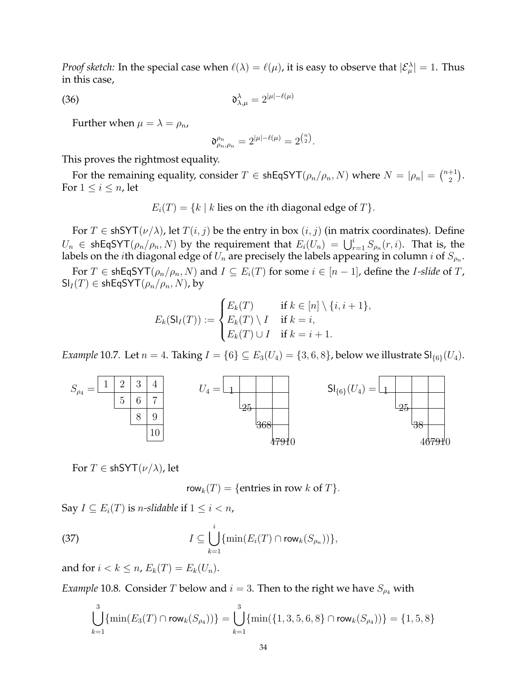*Proof sketch:* In the special case when  $\ell(\lambda) = \ell(\mu)$ , it is easy to observe that  $|\mathcal{E}^{\lambda}_{\mu}| = 1$ . Thus in this case,

$$
\mathfrak{d}^{\lambda}_{\lambda,\mu} = 2^{|\mu|-\ell(\mu)}
$$

Further when  $\mu = \lambda = \rho_n$ ,

$$
\mathfrak{d}_{\rho_n,\rho_n}^{\rho_n} = 2^{|\mu|-\ell(\mu)} = 2^{\binom{n}{2}}.
$$

This proves the rightmost equality.

For the remaining equality, consider  $T \in \mathsf{shEqSYT}(\rho_n/\rho_n, N)$  where  $N = |\rho_n| = \binom{n+1}{2}$  $_{2}^{+1}).$ For  $1 \leq i \leq n$ , let

 $E_i(T) = \{k \mid k \text{ lies on the } i\text{th diagonal edge of } T\}.$ 

For  $T \in$  shSYT( $\nu/\lambda$ ), let  $T(i, j)$  be the entry in box  $(i, j)$  (in matrix coordinates). Define  $U_n \in \mathsf{shEqSYT}(\rho_n/\rho_n, N)$  by the requirement that  $E_i(U_n) = \bigcup_{r=1}^i S_{\rho_n}(r, i)$ . That is, the labels on the  $i$ th diagonal edge of  $U_n$  are precisely the labels appearing in column  $i$  of  $S_{\rho_n}.$ 

For  $T \in \text{shEqSYT}(\rho_n/\rho_n, N)$  and  $I \subseteq E_i(T)$  for some  $i \in [n-1]$ , define the *I-slide* of  $T$ ,  $\mathsf{SI}_I(T) \in \mathsf{shEqSYT}(\rho_n/\rho_n, N)$ , by

$$
E_k(\mathsf{SI}_I(T)) := \begin{cases} E_k(T) & \text{if } k \in [n] \setminus \{i, i+1\}, \\ E_k(T) \setminus I & \text{if } k = i, \\ E_k(T) \cup I & \text{if } k = i+1. \end{cases}
$$

*Example* 10.7*.* Let  $n = 4$ . Taking  $I = \{6\} \subseteq E_3(U_4) = \{3, 6, 8\}$ , below we illustrate  $SI_{\{6\}}(U_4)$ .



For  $T \in$  shSYT $(\nu/\lambda)$ , let

<span id="page-33-0"></span>row<sub>k</sub> $(T) = \{$  entries in row  $k$  of  $T$  $\}.$ 

Say  $I \subseteq E_i(T)$  is *n-slidable* if  $1 \leq i < n$ ,

(37) 
$$
I \subseteq \bigcup_{k=1}^{i} \{ \min(E_i(T) \cap \text{row}_k(S_{\rho_n})) \},
$$

and for  $i < k \leq n$ ,  $E_k(T) = E_k(U_n)$ .

*Example* 10.8*.* Consider *T* below and  $i = 3$ . Then to the right we have  $S_{\rho_4}$  with

$$
\bigcup_{k=1}^3 \{ \min(E_3(T) \cap \mathrm{row}_k(S_{\rho_4})) \} = \bigcup_{k=1}^3 \{ \min(\{1,3,5,6,8\} \cap \mathrm{row}_k(S_{\rho_4})) \} = \{1,5,8\}
$$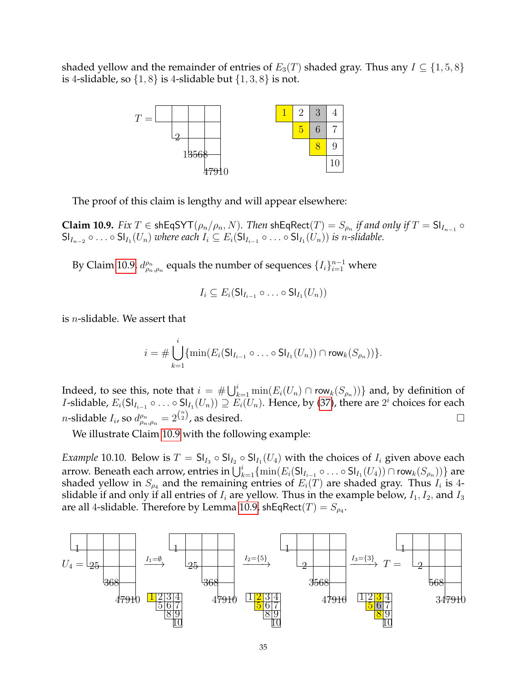shaded yellow and the remainder of entries of  $E_3(T)$  shaded gray. Thus any  $I \subseteq \{1, 5, 8\}$ is 4-slidable, so  $\{1, 8\}$  is 4-slidable but  $\{1, 3, 8\}$  is not.



The proof of this claim is lengthy and will appear elsewhere:

<span id="page-34-0"></span> ${\bf Claim~10.9.}$   $Fix~T\in\mathsf{shEqSYT}(\rho_n/\rho_n,N).$  Then  $\mathsf{shEqRect}(T)=S_{\rho_n}$  if and only if  $T=\mathsf{Sl}_{I_{n-1}}\circ$  $\mathsf{SI}_{I_{n-2}} \circ \ldots \circ \mathsf{SI}_{I_1}(U_n)$  where each  $I_i \subseteq E_i(\mathsf{SI}_{I_{i-1}} \circ \ldots \circ \mathsf{SI}_{I_1}(U_n))$  is n-slidable.

By Claim [10.9,](#page-34-0)  $d_{\rho_n,\rho_n}^{\rho_n}$  equals the number of sequences  $\{I_i\}_{i=1}^{n-1}$  where

$$
I_i \subseteq E_i(\mathsf{SI}_{I_{i-1}} \circ \ldots \circ \mathsf{SI}_{I_1}(U_n))
$$

is n-slidable. We assert that

$$
i = \# \bigcup_{k=1}^{i} \{ \min(E_i(\mathsf{SI}_{I_{i-1}} \circ \ldots \circ \mathsf{SI}_{I_1}(U_n)) \cap \mathsf{row}_k(S_{\rho_n})) \}.
$$

Indeed, to see this, note that  $i\,=\,\#\bigcup_{k=1}^i \min(E_i(U_n)\cap \mathsf{row}_k(S_{\rho_n}))\}$  and, by definition of *I*-slidable,  $E_i(S|_{I_{i-1}} \circ \ldots \circ S|_{I_1}(U_n)) \supseteq E_i(U_n)$ . Hence, by [\(37\)](#page-33-0), there are  $2^i$  choices for each *n*-slidable  $I_i$ , so  $d_{\rho_n,\rho_n}^{\rho_n} = 2^{\binom{n}{2}}$ , as desired.

We illustrate Claim [10.9](#page-34-0) with the following example:

*Example* 10.10. Below is  $T = \mathsf{SI}_{I_3} \circ \mathsf{SI}_{I_2} \circ \mathsf{SI}_{I_1}(U_4)$  with the choices of  $I_i$  given above each arrow. Beneath each arrow, entries in  $\bigcup_{k=1}^i\{\min(E_i(\mathsf{SI}_{I_{i-1}}\circ\ldots\circ \mathsf{SI}_{I_1}(U_4))\cap \mathsf{row}_k(S_{\rho_n}))\}$  are shaded yellow in  $S_{\rho_4}$  and the remaining entries of  $E_i(T)$  are shaded gray. Thus  $I_i$  is 4slidable if and only if all entries of  $I_i$  are yellow. Thus in the example below,  $I_1, I_2$ , and  $I_3$ are all 4-slidable. Therefore by Lemma [10.9,](#page-34-0) shEqRect $(T)=S_{\rho_4}.$ 

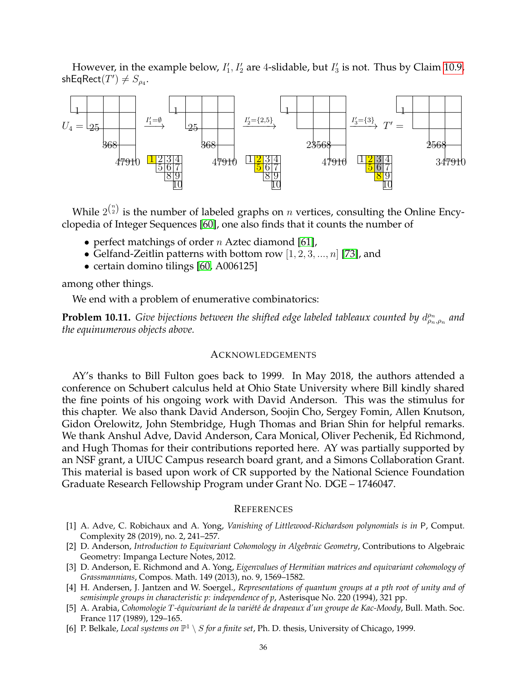However, in the example below,  $I'_1$ ,  $I'_2$  are 4-slidable, but  $I'_3$  is not. Thus by Claim [10.9,](#page-34-0)  $shEqRect(T') \neq S_{\rho_4}.$ 



While  $2^{\binom{n}{2}}$  is the number of labeled graphs on  $n$  vertices, consulting the Online Encyclopedia of Integer Sequences [\[60\]](#page-37-25), one also finds that it counts the number of

- perfect matchings of order  $n$  Aztec diamond [\[61\]](#page-37-26),
- Gelfand-Zeitlin patterns with bottom row  $[1, 2, 3, ..., n]$  [\[73\]](#page-38-6), and
- certain domino tilings [\[60,](#page-37-25) A006125]

among other things.

We end with a problem of enumerative combinatorics:

**Problem 10.11.** Give bijections between the shifted edge labeled tableaux counted by  $d_{\rho_n,\rho_n}^{\rho_n}$  and *the equinumerous objects above.*

### ACKNOWLEDGEMENTS

AY's thanks to Bill Fulton goes back to 1999. In May 2018, the authors attended a conference on Schubert calculus held at Ohio State University where Bill kindly shared the fine points of his ongoing work with David Anderson. This was the stimulus for this chapter. We also thank David Anderson, Soojin Cho, Sergey Fomin, Allen Knutson, Gidon Orelowitz, John Stembridge, Hugh Thomas and Brian Shin for helpful remarks. We thank Anshul Adve, David Anderson, Cara Monical, Oliver Pechenik, Ed Richmond, and Hugh Thomas for their contributions reported here. AY was partially supported by an NSF grant, a UIUC Campus research board grant, and a Simons Collaboration Grant. This material is based upon work of CR supported by the National Science Foundation Graduate Research Fellowship Program under Grant No. DGE – 1746047.

#### **REFERENCES**

- <span id="page-35-5"></span>[1] A. Adve, C. Robichaux and A. Yong, *Vanishing of Littlewood-Richardson polynomials is in* P, Comput. Complexity 28 (2019), no. 2, 241–257.
- <span id="page-35-0"></span>[2] D. Anderson, *Introduction to Equivariant Cohomology in Algebraic Geometry*, Contributions to Algebraic Geometry: Impanga Lecture Notes, 2012.
- <span id="page-35-4"></span>[3] D. Anderson, E. Richmond and A. Yong, *Eigenvalues of Hermitian matrices and equivariant cohomology of Grassmannians*, Compos. Math. 149 (2013), no. 9, 1569–1582.
- <span id="page-35-1"></span>[4] H. Andersen, J. Jantzen and W. Soergel., *Representations of quantum groups at a pth root of unity and of semisimple groups in characteristic p: independence of p*, Asterisque No. 220 (1994), 321 pp.
- <span id="page-35-2"></span>[5] A. Arabia, *Cohomologie* T*-´equivariant de la vari´et´e de drapeaux d'un groupe de Kac-Moody*, Bull. Math. Soc. France 117 (1989), 129–165.
- <span id="page-35-3"></span>[6] P. Belkale, *Local systems on*  $\mathbb{P}^1 \setminus S$  *for a finite set*, Ph. D. thesis, University of Chicago, 1999.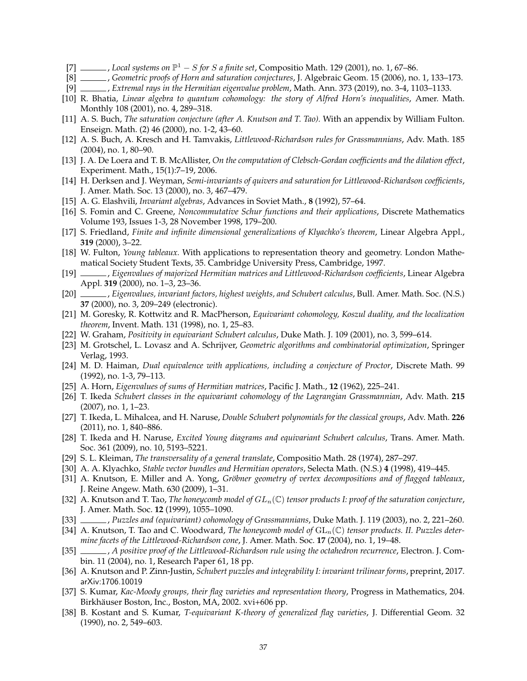- <span id="page-36-24"></span>[7] , *Local systems on*  $\mathbb{P}^1 - S$  *for*  $S$  *a finite set*, Compositio Math. 129 (2001), no. 1, 67–86.
- <span id="page-36-23"></span>[8] , *Geometric proofs of Horn and saturation conjectures*, J. Algebraic Geom. 15 (2006), no. 1, 133–173.
- <span id="page-36-15"></span>[9] , *Extremal rays in the Hermitian eigenvalue problem*, Math. Ann. 373 (2019), no. 3-4, 1103–1133.
- <span id="page-36-16"></span>[10] R. Bhatia, *Linear algebra to quantum cohomology: the story of Alfred Horn's inequalities*, Amer. Math. Monthly 108 (2001), no. 4, 289–318.
- <span id="page-36-21"></span>[11] A. S. Buch, *The saturation conjecture (after A. Knutson and T. Tao)*. With an appendix by William Fulton. Enseign. Math. (2) 46 (2000), no. 1-2, 43–60.
- <span id="page-36-13"></span>[12] A. S. Buch, A. Kresch and H. Tamvakis, *Littlewood-Richardson rules for Grassmannians*, Adv. Math. 185 (2004), no. 1, 80–90.
- <span id="page-36-26"></span>[13] J. A. De Loera and T. B. McAllister, *On the computation of Clebsch-Gordan coefficients and the dilation effect*, Experiment. Math., 15(1):7–19, 2006.
- <span id="page-36-22"></span>[14] H. Derksen and J. Weyman, *Semi-invariants of quivers and saturation for Littlewood-Richardson coefficients*, J. Amer. Math. Soc. 13 (2000), no. 3, 467–479.
- <span id="page-36-14"></span>[15] A. G. Elashvili, *Invariant algebras*, Advances in Soviet Math., **8** (1992), 57–64.
- [16] S. Fomin and C. Greene, *Noncommutative Schur functions and their applications*, Discrete Mathematics Volume 193, Issues 1-3, 28 November 1998, 179–200.
- <span id="page-36-28"></span>[17] S. Friedland, *Finite and infinite dimensional generalizations of Klyachko's theorem*, Linear Algebra Appl., **319** (2000), 3–22.
- <span id="page-36-1"></span>[18] W. Fulton, *Young tableaux.* With applications to representation theory and geometry. London Mathematical Society Student Texts, 35. Cambridge University Press, Cambridge, 1997.
- <span id="page-36-4"></span>[19] , *Eigenvalues of majorized Hermitian matrices and Littlewood-Richardson coefficients*, Linear Algebra Appl. **319** (2000), no. 1–3, 23–36.
- <span id="page-36-17"></span>[20] , *Eigenvalues, invariant factors, highest weights, and Schubert calculus*, Bull. Amer. Math. Soc. (N.S.) **37** (2000), no. 3, 209–249 (electronic).
- <span id="page-36-8"></span>[21] M. Goresky, R. Kottwitz and R. MacPherson, *Equivariant cohomology, Koszul duality, and the localization theorem*, Invent. Math. 131 (1998), no. 1, 25–83.
- <span id="page-36-6"></span>[22] W. Graham, *Positivity in equivariant Schubert calculus*, Duke Math. J. 109 (2001), no. 3, 599–614.
- <span id="page-36-27"></span>[23] M. Grotschel, L. Lovasz and A. Schrijver, *Geometric algorithms and combinatorial optimization*, Springer Verlag, 1993.
- <span id="page-36-11"></span>[24] M. D. Haiman, *Dual equivalence with applications, including a conjecture of Proctor*, Discrete Math. 99 (1992), no. 1-3, 79–113.
- <span id="page-36-18"></span>[25] A. Horn, *Eigenvalues of sums of Hermitian matrices*, Pacific J. Math., **12** (1962), 225–241.
- [26] T. Ikeda *Schubert classes in the equivariant cohomology of the Lagrangian Grassmannian*, Adv. Math. **215** (2007), no. 1, 1–23.
- [27] T. Ikeda, L. Mihalcea, and H. Naruse, *Double Schubert polynomials for the classical groups*, Adv. Math. **226** (2011), no. 1, 840–886.
- <span id="page-36-10"></span>[28] T. Ikeda and H. Naruse, *Excited Young diagrams and equivariant Schubert calculus*, Trans. Amer. Math. Soc. 361 (2009), no. 10, 5193–5221.
- <span id="page-36-0"></span>[29] S. L. Kleiman, *The transversality of a general translate*, Compositio Math. 28 (1974), 287–297.
- <span id="page-36-19"></span>[30] A. A. Klyachko, *Stable vector bundles and Hermitian operators*, Selecta Math. (N.S.) **4** (1998), 419–445.
- <span id="page-36-7"></span>[31] A. Knutson, E. Miller and A. Yong, *Gröbner geometry of vertex decompositions and of flagged tableaux*, J. Reine Angew. Math. 630 (2009), 1–31.
- <span id="page-36-20"></span>[32] A. Knutson and T. Tao, *The honeycomb model of*  $GL_n(\mathbb{C})$  *tensor products I: proof of the saturation conjecture*, J. Amer. Math. Soc. **12** (1999), 1055–1090.
- <span id="page-36-2"></span>[33] , *Puzzles and (equivariant) cohomology of Grassmannians*, Duke Math. J. 119 (2003), no. 2, 221–260.
- <span id="page-36-25"></span>[34] A. Knutson, T. Tao and C. Woodward, *The honeycomb model of*  $GL_n(\mathbb{C})$  *tensor products. II. Puzzles determine facets of the Littlewood-Richardson cone*, J. Amer. Math. Soc. **17** (2004), no. 1, 19–48.
- <span id="page-36-12"></span>[35] , *A positive proof of the Littlewood-Richardson rule using the octahedron recurrence*, Electron. J. Combin. 11 (2004), no. 1, Research Paper 61, 18 pp.
- <span id="page-36-3"></span>[36] A. Knutson and P. Zinn-Justin, *Schubert puzzles and integrability I: invariant trilinear forms*, preprint, 2017. arXiv:1706.10019
- <span id="page-36-5"></span>[37] S. Kumar, *Kac-Moody groups, their flag varieties and representation theory*, Progress in Mathematics, 204. Birkhäuser Boston, Inc., Boston, MA, 2002. xvi+606 pp.
- <span id="page-36-9"></span>[38] B. Kostant and S. Kumar, *T-equivariant K-theory of generalized flag varieties*, J. Differential Geom. 32 (1990), no. 2, 549–603.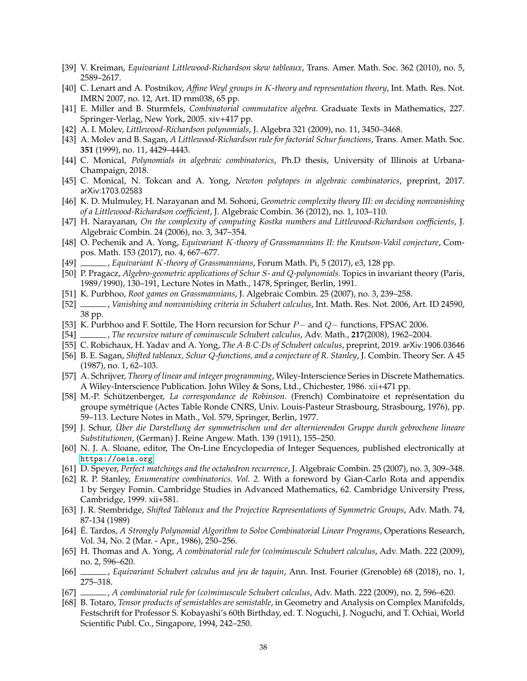- <span id="page-37-2"></span>[39] V. Kreiman, *Equivariant Littlewood-Richardson skew tableaux*, Trans. Amer. Math. Soc. 362 (2010), no. 5, 2589–2617.
- <span id="page-37-8"></span>[40] C. Lenart and A. Postnikov, *Affine Weyl groups in* K*-theory and representation theory*, Int. Math. Res. Not. IMRN 2007, no. 12, Art. ID rnm038, 65 pp.
- [41] E. Miller and B. Sturmfels, *Combinatorial commutative algebra.* Graduate Texts in Mathematics, 227. Springer-Verlag, New York, 2005. xiv+417 pp.
- <span id="page-37-3"></span>[42] A. I. Molev, *Littlewood-Richardson polynomials*, J. Algebra 321 (2009), no. 11, 3450–3468.
- <span id="page-37-1"></span>[43] A. Molev and B. Sagan, *A Littlewood-Richardson rule for factorial Schur functions*, Trans. Amer. Math. Soc. **351** (1999), no. 11, 4429–4443.
- <span id="page-37-6"></span>[44] C. Monical, *Polynomials in algebraic combinatorics*, Ph.D thesis, University of Illinois at Urbana-Champaign, 2018.
- <span id="page-37-17"></span>[45] C. Monical, N. Tokcan and A. Yong, *Newton polytopes in algebraic combinatorics*, preprint, 2017. arXiv:1703.02583
- <span id="page-37-10"></span>[46] K. D. Mulmuley, H. Narayanan and M. Sohoni, *Geometric complexity theory III: on deciding nonvanishing of a Littlewood-Richardson coefficient*, J. Algebraic Combin. 36 (2012), no. 1, 103–110.
- <span id="page-37-15"></span>[47] H. Narayanan, *On the complexity of computing Kostka numbers and Littlewood-Richardson coefficients*, J. Algebraic Combin. 24 (2006), no. 3, 347–354.
- <span id="page-37-5"></span>[48] O. Pechenik and A. Yong, *Equivariant* K*-theory of Grassmannians II: the Knutson-Vakil conjecture*, Compos. Math. 153 (2017), no. 4, 667–677.
- <span id="page-37-4"></span>[49] , *Equivariant* K*-theory of Grassmannians*, Forum Math. Pi, 5 (2017), e3, 128 pp.
- <span id="page-37-21"></span>[50] P. Pragacz, *Algebro-geometric applications of Schur* S*- and* Q*-polynomials.* Topics in invariant theory (Paris, 1989/1990), 130–191, Lecture Notes in Math., 1478, Springer, Berlin, 1991.
- <span id="page-37-12"></span>[51] K. Purbhoo, *Root games on Grassmannians*, J. Algebraic Combin. 25 (2007), no. 3, 239–258.
- <span id="page-37-13"></span>[52] , *Vanishing and nonvanishing criteria in Schubert calculus*, Int. Math. Res. Not. 2006, Art. ID 24590, 38 pp.
- <span id="page-37-22"></span>[53] K. Purbhoo and F. Sottile, The Horn recursion for Schur P− and Q− functions, FPSAC 2006.
- <span id="page-37-23"></span>[54] , *The recursive nature of cominuscule Schubert calculus*, Adv. Math., **217**(2008), 1962–2004.
- <span id="page-37-7"></span>[55] C. Robichaux, H. Yadav and A. Yong, *The A*·*B*·*C*·*Ds of Schubert calculus*, preprint, 2019. arXiv:1906.03646
- <span id="page-37-19"></span>[56] B. E. Sagan, *Shifted tableaux, Schur* Q*-functions, and a conjecture of R. Stanley*, J. Combin. Theory Ser. A 45 (1987), no. 1, 62–103.
- <span id="page-37-16"></span>[57] A. Schrijver, *Theory of linear and integer programming*, Wiley-Interscience Series in Discrete Mathematics. A Wiley-Interscience Publication. John Wiley & Sons, Ltd., Chichester, 1986. xii+471 pp.
- <span id="page-37-0"></span>[58] M.-P. Schützenberger, La correspondance de Robinson. (French) Combinatoire et représentation du groupe symetrique (Actes Table Ronde CNRS, Univ. Louis-Pasteur Strasbourg, Strasbourg, 1976), pp. ´ 59–113. Lecture Notes in Math., Vol. 579, Springer, Berlin, 1977.
- <span id="page-37-18"></span>[59] J. Schur, Über die Darstellung der symmetrischen und der alternierenden Gruppe durch gebrochene lineare *Substitutionen*, (German) J. Reine Angew. Math. 139 (1911), 155–250.
- <span id="page-37-25"></span>[60] N. J. A. Sloane, editor, The On-Line Encyclopedia of Integer Sequences, published electronically at <https://oeis.org>
- <span id="page-37-26"></span>[61] D. Speyer, *Perfect matchings and the octahedron recurrence*, J. Algebraic Combin. 25 (2007), no. 3, 309–348.
- <span id="page-37-24"></span>[62] R. P. Stanley, *Enumerative combinatorics. Vol. 2.* With a foreword by Gian-Carlo Rota and appendix 1 by Sergey Fomin. Cambridge Studies in Advanced Mathematics, 62. Cambridge University Press, Cambridge, 1999. xii+581.
- <span id="page-37-20"></span>[63] J. R. Stembridge, *Shifted Tableaux and the Projective Representations of Symmetric Groups*, Adv. Math. 74, 87-134 (1989)
- <span id="page-37-14"></span>[64] E. Tardos, ´ *A Strongly Polynomial Algorithm to Solve Combinatorial Linear Programs*, Operations Research, Vol. 34, No. 2 (Mar. - Apr., 1986), 250–256.
- [65] H. Thomas and A. Yong, *A combinatorial rule for (co)minuscule Schubert calculus*, Adv. Math. 222 (2009), no. 2, 596–620.
- <span id="page-37-9"></span>[66] , *Equivariant Schubert calculus and jeu de taquin*, Ann. Inst. Fourier (Grenoble) 68 (2018), no. 1, 275–318.
- [67] , *A combinatorial rule for (co)minuscule Schubert calculus*, Adv. Math. 222 (2009), no. 2, 596–620.
- <span id="page-37-11"></span>[68] B. Totaro, *Tensor products of semistables are semistable*, in Geometry and Analysis on Complex Manifolds, Festschrift for Professor S. Kobayashi's 60th Birthday, ed. T. Noguchi, J. Noguchi, and T. Ochiai, World Scientific Publ. Co., Singapore, 1994, 242–250.